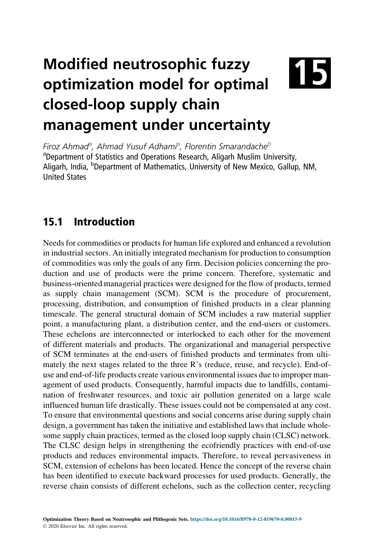# Modified neutrosophic fuzzy<br>optimization model for optimal closed-loop supply chain management under uncertainty

Firoz Ahmad<sup>a</sup>, Ahmad Yusuf Adhami<sup>a</sup>, Florentin Smarandache<sup>b</sup> <sup>a</sup>Department of Statistics and Operations Research, Aligarh Muslim University, Aligarh, India, <sup>b</sup>Department of Mathematics, University of New Mexico, Gallup, NM, United States

# 15.1 Introduction

Needs for commodities or products for human life explored and enhanced a revolution in industrial sectors. An initially integrated mechanism for production to consumption of commodities was only the goals of any firm. Decision policies concerning the production and use of products were the prime concern. Therefore, systematic and business-oriented managerial practices were designed for the flow of products, termed as supply chain management (SCM). SCM is the procedure of procurement, processing, distribution, and consumption of finished products in a clear planning timescale. The general structural domain of SCM includes a raw material supplier point, a manufacturing plant, a distribution center, and the end-users or customers. These echelons are interconnected or interlocked to each other for the movement of different materials and products. The organizational and managerial perspective of SCM terminates at the end-users of finished products and terminates from ultimately the next stages related to the three R's (reduce, reuse, and recycle). End-ofuse and end-of-life products create various environmental issues due to improper management of used products. Consequently, harmful impacts due to landfills, contamination of freshwater resources, and toxic air pollution generated on a large scale influenced human life drastically. These issues could not be compensated at any cost. To ensure that environmental questions and social concerns arise during supply chain design, a government has taken the initiative and established laws that include wholesome supply chain practices, termed as the closed loop supply chain (CLSC) network. The CLSC design helps in strengthening the ecofriendly practices with end-of-use products and reduces environmental impacts. Therefore, to reveal pervasiveness in SCM, extension of echelons has been located. Hence the concept of the reverse chain has been identified to execute backward processes for used products. Generally, the reverse chain consists of different echelons, such as the collection center, recycling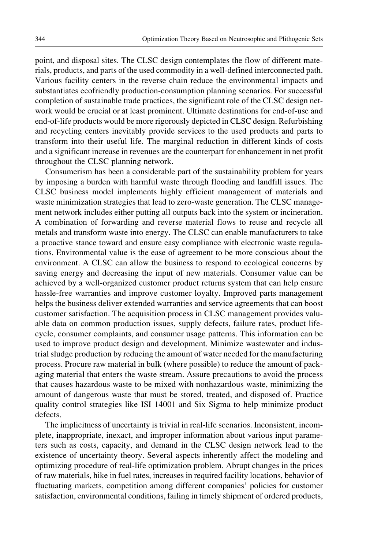point, and disposal sites. The CLSC design contemplates the flow of different materials, products, and parts of the used commodity in a well-defined interconnected path. Various facility centers in the reverse chain reduce the environmental impacts and substantiates ecofriendly production-consumption planning scenarios. For successful completion of sustainable trade practices, the significant role of the CLSC design network would be crucial or at least prominent. Ultimate destinations for end-of-use and end-of-life products would be more rigorously depicted in CLSC design. Refurbishing and recycling centers inevitably provide services to the used products and parts to transform into their useful life. The marginal reduction in different kinds of costs and a significant increase in revenues are the counterpart for enhancement in net profit throughout the CLSC planning network.

Consumerism has been a considerable part of the sustainability problem for years by imposing a burden with harmful waste through flooding and landfill issues. The CLSC business model implements highly efficient management of materials and waste minimization strategies that lead to zero-waste generation. The CLSC management network includes either putting all outputs back into the system or incineration. A combination of forwarding and reverse material flows to reuse and recycle all metals and transform waste into energy. The CLSC can enable manufacturers to take a proactive stance toward and ensure easy compliance with electronic waste regulations. Environmental value is the ease of agreement to be more conscious about the environment. A CLSC can allow the business to respond to ecological concerns by saving energy and decreasing the input of new materials. Consumer value can be achieved by a well-organized customer product returns system that can help ensure hassle-free warranties and improve customer loyalty. Improved parts management helps the business deliver extended warranties and service agreements that can boost customer satisfaction. The acquisition process in CLSC management provides valuable data on common production issues, supply defects, failure rates, product lifecycle, consumer complaints, and consumer usage patterns. This information can be used to improve product design and development. Minimize wastewater and industrial sludge production by reducing the amount of water needed for the manufacturing process. Procure raw material in bulk (where possible) to reduce the amount of packaging material that enters the waste stream. Assure precautions to avoid the process that causes hazardous waste to be mixed with nonhazardous waste, minimizing the amount of dangerous waste that must be stored, treated, and disposed of. Practice quality control strategies like ISI 14001 and Six Sigma to help minimize product defects.

The implicitness of uncertainty is trivial in real-life scenarios. Inconsistent, incomplete, inappropriate, inexact, and improper information about various input parameters such as costs, capacity, and demand in the CLSC design network lead to the existence of uncertainty theory. Several aspects inherently affect the modeling and optimizing procedure of real-life optimization problem. Abrupt changes in the prices of raw materials, hike in fuel rates, increases in required facility locations, behavior of fluctuating markets, competition among different companies' policies for customer satisfaction, environmental conditions, failing in timely shipment of ordered products,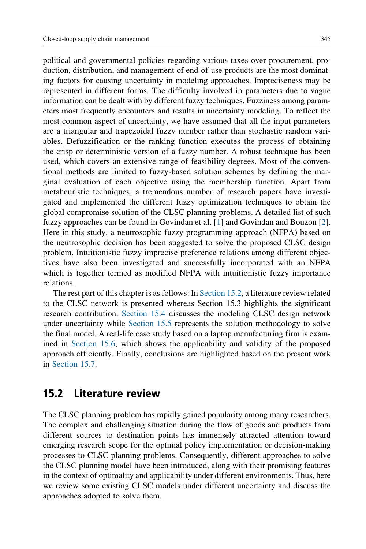political and governmental policies regarding various taxes over procurement, production, distribution, and management of end-of-use products are the most dominating factors for causing uncertainty in modeling approaches. Impreciseness may be represented in different forms. The difficulty involved in parameters due to vague information can be dealt with by different fuzzy techniques. Fuzziness among parameters most frequently encounters and results in uncertainty modeling. To reflect the most common aspect of uncertainty, we have assumed that all the input parameters are a triangular and trapezoidal fuzzy number rather than stochastic random variables. Defuzzification or the ranking function executes the process of obtaining the crisp or deterministic version of a fuzzy number. A robust technique has been used, which covers an extensive range of feasibility degrees. Most of the conventional methods are limited to fuzzy-based solution schemes by defining the marginal evaluation of each objective using the membership function. Apart from metaheuristic techniques, a tremendous number of research papers have investigated and implemented the different fuzzy optimization techniques to obtain the global compromise solution of the CLSC planning problems. A detailed list of such fuzzy approaches can be found in Govindan et al. [[1\]](#page-58-0) and Govindan and Bouzon [[2\]](#page-58-0). Here in this study, a neutrosophic fuzzy programming approach (NFPA) based on the neutrosophic decision has been suggested to solve the proposed CLSC design problem. Intuitionistic fuzzy imprecise preference relations among different objectives have also been investigated and successfully incorporated with an NFPA which is together termed as modified NFPA with intuitionistic fuzzy importance relations.

The rest part of this chapter is as follows: In Section 15.2, a literature review related to the CLSC network is presented whereas Section 15.3 highlights the significant research contribution. [Section 15.4](#page-6-0) discusses the modeling CLSC design network under uncertainty while [Section 15.5](#page-20-0) represents the solution methodology to solve the final model. A real-life case study based on a laptop manufacturing firm is examined in [Section 15.6](#page-35-0), which shows the applicability and validity of the proposed approach efficiently. Finally, conclusions are highlighted based on the present work in [Section 15.7](#page-57-0).

## 15.2 Literature review

The CLSC planning problem has rapidly gained popularity among many researchers. The complex and challenging situation during the flow of goods and products from different sources to destination points has immensely attracted attention toward emerging research scope for the optimal policy implementation or decision-making processes to CLSC planning problems. Consequently, different approaches to solve the CLSC planning model have been introduced, along with their promising features in the context of optimality and applicability under different environments. Thus, here we review some existing CLSC models under different uncertainty and discuss the approaches adopted to solve them.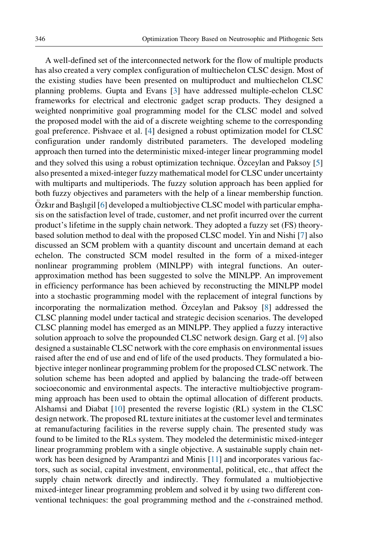A well-defined set of the interconnected network for the flow of multiple products has also created a very complex configuration of multiechelon CLSC design. Most of the existing studies have been presented on multiproduct and multiechelon CLSC planning problems. Gupta and Evans [\[3](#page-58-0)] have addressed multiple-echelon CLSC frameworks for electrical and electronic gadget scrap products. They designed a weighted nonprimitive goal programming model for the CLSC model and solved the proposed model with the aid of a discrete weighting scheme to the corresponding goal preference. Pishvaee et al. [[4](#page-58-0)] designed a robust optimization model for CLSC configuration under randomly distributed parameters. The developed modeling approach then turned into the deterministic mixed-integer linear programming model and they solved this using a robust optimization technique. Özceylan and Paksoy [[5\]](#page-58-0) also presented a mixed-integer fuzzy mathematical model for CLSC under uncertainty with multiparts and multiperiods. The fuzzy solution approach has been applied for both fuzzy objectives and parameters with the help of a linear membership function. Özkır and Başlıgil [\[6](#page-58-0)] developed a multiobjective CLSC model with particular emphasis on the satisfaction level of trade, customer, and net profit incurred over the current product's lifetime in the supply chain network. They adopted a fuzzy set (FS) theorybased solution method to deal with the proposed CLSC model. Yin and Nishi [\[7](#page-58-0)] also discussed an SCM problem with a quantity discount and uncertain demand at each echelon. The constructed SCM model resulted in the form of a mixed-integer nonlinear programming problem (MINLPP) with integral functions. An outerapproximation method has been suggested to solve the MINLPP. An improvement in efficiency performance has been achieved by reconstructing the MINLPP model into a stochastic programming model with the replacement of integral functions by incorporating the normalization method. Özceylan and Paksoy [[8](#page-58-0)] addressed the CLSC planning model under tactical and strategic decision scenarios. The developed CLSC planning model has emerged as an MINLPP. They applied a fuzzy interactive solution approach to solve the propounded CLSC network design. Garg et al. [\[9](#page-58-0)] also designed a sustainable CLSC network with the core emphasis on environmental issues raised after the end of use and end of life of the used products. They formulated a biobjective integer nonlinear programming problem for the proposed CLSC network. The solution scheme has been adopted and applied by balancing the trade-off between socioeconomic and environmental aspects. The interactive multiobjective programming approach has been used to obtain the optimal allocation of different products. Alshamsi and Diabat [\[10](#page-58-0)] presented the reverse logistic (RL) system in the CLSC design network. The proposed RL texture initiates at the customer level and terminates at remanufacturing facilities in the reverse supply chain. The presented study was found to be limited to the RLs system. They modeled the deterministic mixed-integer linear programming problem with a single objective. A sustainable supply chain network has been designed by Arampantzi and Minis [[11\]](#page-58-0) and incorporates various factors, such as social, capital investment, environmental, political, etc., that affect the supply chain network directly and indirectly. They formulated a multiobjective mixed-integer linear programming problem and solved it by using two different conventional techniques: the goal programming method and the  $\epsilon$ -constrained method.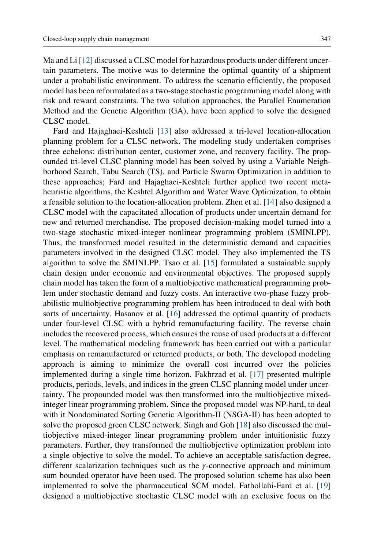Ma and Li [\[12](#page-58-0)] discussed a CLSC model for hazardous products under different uncertain parameters. The motive was to determine the optimal quantity of a shipment under a probabilistic environment. To address the scenario efficiently, the proposed model has been reformulated as a two-stage stochastic programming model along with risk and reward constraints. The two solution approaches, the Parallel Enumeration Method and the Genetic Algorithm (GA), have been applied to solve the designed CLSC model.

Fard and Hajaghaei-Keshteli [[13\]](#page-58-0) also addressed a tri-level location-allocation planning problem for a CLSC network. The modeling study undertaken comprises three echelons: distribution center, customer zone, and recovery facility. The propounded tri-level CLSC planning model has been solved by using a Variable Neighborhood Search, Tabu Search (TS), and Particle Swarm Optimization in addition to these approaches; Fard and Hajaghaei-Keshteli further applied two recent metaheuristic algorithms, the Keshtel Algorithm and Water Wave Optimization, to obtain a feasible solution to the location-allocation problem. Zhen et al. [\[14](#page-58-0)] also designed a CLSC model with the capacitated allocation of products under uncertain demand for new and returned merchandise. The proposed decision-making model turned into a two-stage stochastic mixed-integer nonlinear programming problem (SMINLPP). Thus, the transformed model resulted in the deterministic demand and capacities parameters involved in the designed CLSC model. They also implemented the TS algorithm to solve the SMINLPP. Tsao et al. [[15\]](#page-58-0) formulated a sustainable supply chain design under economic and environmental objectives. The proposed supply chain model has taken the form of a multiobjective mathematical programming problem under stochastic demand and fuzzy costs. An interactive two-phase fuzzy probabilistic multiobjective programming problem has been introduced to deal with both sorts of uncertainty. Hasanov et al. [\[16](#page-58-0)] addressed the optimal quantity of products under four-level CLSC with a hybrid remanufacturing facility. The reverse chain includes the recovered process, which ensures the reuse of used products at a different level. The mathematical modeling framework has been carried out with a particular emphasis on remanufactured or returned products, or both. The developed modeling approach is aiming to minimize the overall cost incurred over the policies implemented during a single time horizon. Fakhrzad et al. [\[17](#page-58-0)] presented multiple products, periods, levels, and indices in the green CLSC planning model under uncertainty. The propounded model was then transformed into the multiobjective mixedinteger linear programming problem. Since the proposed model was NP-hard, to deal with it Nondominated Sorting Genetic Algorithm-II (NSGA-II) has been adopted to solve the proposed green CLSC network. Singh and Goh [\[18](#page-58-0)] also discussed the multiobjective mixed-integer linear programming problem under intuitionistic fuzzy parameters. Further, they transformed the multiobjective optimization problem into a single objective to solve the model. To achieve an acceptable satisfaction degree, different scalarization techniques such as the γ-connective approach and minimum sum bounded operator have been used. The proposed solution scheme has also been implemented to solve the pharmaceutical SCM model. Fathollahi-Fard et al. [\[19](#page-58-0)] designed a multiobjective stochastic CLSC model with an exclusive focus on the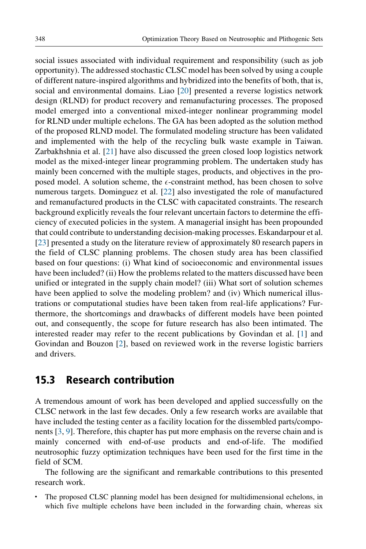social issues associated with individual requirement and responsibility (such as job opportunity). The addressed stochastic CLSC model has been solved by using a couple of different nature-inspired algorithms and hybridized into the benefits of both, that is, social and environmental domains. Liao [[20\]](#page-59-0) presented a reverse logistics network design (RLND) for product recovery and remanufacturing processes. The proposed model emerged into a conventional mixed-integer nonlinear programming model for RLND under multiple echelons. The GA has been adopted as the solution method of the proposed RLND model. The formulated modeling structure has been validated and implemented with the help of the recycling bulk waste example in Taiwan. Zarbakhshnia et al. [[21\]](#page-59-0) have also discussed the green closed loop logistics network model as the mixed-integer linear programming problem. The undertaken study has mainly been concerned with the multiple stages, products, and objectives in the proposed model. A solution scheme, the  $\epsilon$ -constraint method, has been chosen to solve numerous targets. Dominguez et al. [\[22\]](#page-59-0) also investigated the role of manufactured and remanufactured products in the CLSC with capacitated constraints. The research background explicitly reveals the four relevant uncertain factors to determine the efficiency of executed policies in the system. A managerial insight has been propounded that could contribute to understanding decision-making processes. Eskandarpour et al. [[23\]](#page-59-0) presented a study on the literature review of approximately 80 research papers in the field of CLSC planning problems. The chosen study area has been classified based on four questions: (i) What kind of socioeconomic and environmental issues have been included? (ii) How the problems related to the matters discussed have been unified or integrated in the supply chain model? (iii) What sort of solution schemes have been applied to solve the modeling problem? and (iv) Which numerical illustrations or computational studies have been taken from real-life applications? Furthermore, the shortcomings and drawbacks of different models have been pointed out, and consequently, the scope for future research has also been intimated. The interested reader may refer to the recent publications by Govindan et al. [\[1](#page-58-0)] and Govindan and Bouzon [\[2](#page-58-0)], based on reviewed work in the reverse logistic barriers and drivers.

# 15.3 Research contribution

A tremendous amount of work has been developed and applied successfully on the CLSC network in the last few decades. Only a few research works are available that have included the testing center as a facility location for the dissembled parts/components [\[3](#page-58-0), [9\]](#page-58-0). Therefore, this chapter has put more emphasis on the reverse chain and is mainly concerned with end-of-use products and end-of-life. The modified neutrosophic fuzzy optimization techniques have been used for the first time in the field of SCM.

The following are the significant and remarkable contributions to this presented research work.

The proposed CLSC planning model has been designed for multidimensional echelons, in which five multiple echelons have been included in the forwarding chain, whereas six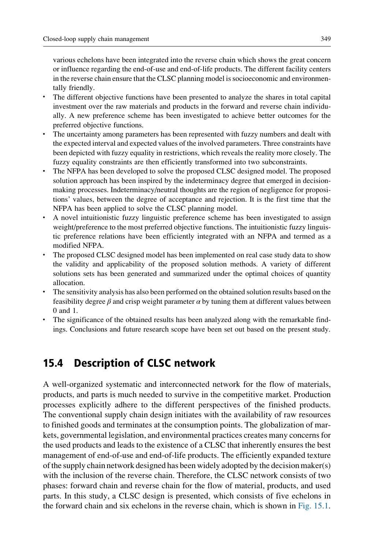<span id="page-6-0"></span>various echelons have been integrated into the reverse chain which shows the great concern or influence regarding the end-of-use and end-of-life products. The different facility centers in the reverse chain ensure that the CLSC planning model is socioeconomic and environmentally friendly.

- The different objective functions have been presented to analyze the shares in total capital investment over the raw materials and products in the forward and reverse chain individually. A new preference scheme has been investigated to achieve better outcomes for the preferred objective functions.
- The uncertainty among parameters has been represented with fuzzy numbers and dealt with the expected interval and expected values of the involved parameters. Three constraints have been depicted with fuzzy equality in restrictions, which reveals the reality more closely. The fuzzy equality constraints are then efficiently transformed into two subconstraints.
- <sup>l</sup> The NFPA has been developed to solve the proposed CLSC designed model. The proposed solution approach has been inspired by the indeterminacy degree that emerged in decisionmaking processes. Indeterminacy/neutral thoughts are the region of negligence for propositions' values, between the degree of acceptance and rejection. It is the first time that the NFPA has been applied to solve the CLSC planning model.
- A novel intuitionistic fuzzy linguistic preference scheme has been investigated to assign weight/preference to the most preferred objective functions. The intuitionistic fuzzy linguistic preference relations have been efficiently integrated with an NFPA and termed as a modified NFPA.
- The proposed CLSC designed model has been implemented on real case study data to show the validity and applicability of the proposed solution methods. A variety of different solutions sets has been generated and summarized under the optimal choices of quantity allocation.
- <sup>l</sup> The sensitivity analysis has also been performed on the obtained solution results based on the feasibility degree  $\beta$  and crisp weight parameter  $\alpha$  by tuning them at different values between 0 and 1.
- The significance of the obtained results has been analyzed along with the remarkable findings. Conclusions and future research scope have been set out based on the present study.

# 15.4 Description of CLSC network

A well-organized systematic and interconnected network for the flow of materials, products, and parts is much needed to survive in the competitive market. Production processes explicitly adhere to the different perspectives of the finished products. The conventional supply chain design initiates with the availability of raw resources to finished goods and terminates at the consumption points. The globalization of markets, governmental legislation, and environmental practices creates many concerns for the used products and leads to the existence of a CLSC that inherently ensures the best management of end-of-use and end-of-life products. The efficiently expanded texture of the supply chain network designed has been widely adopted by the decision maker(s) with the inclusion of the reverse chain. Therefore, the CLSC network consists of two phases: forward chain and reverse chain for the flow of material, products, and used parts. In this study, a CLSC design is presented, which consists of five echelons in the forward chain and six echelons in the reverse chain, which is shown in [Fig. 15.1.](#page-7-0)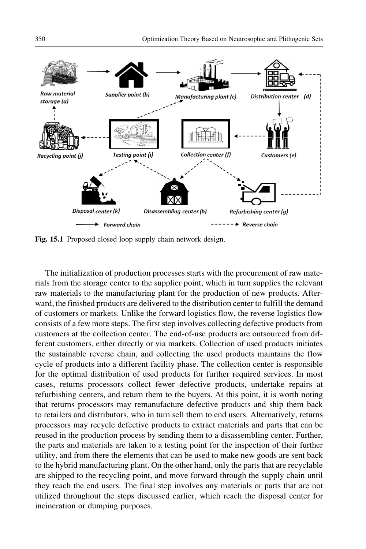<span id="page-7-0"></span>

Fig. 15.1 Proposed closed loop supply chain network design.

The initialization of production processes starts with the procurement of raw materials from the storage center to the supplier point, which in turn supplies the relevant raw materials to the manufacturing plant for the production of new products. Afterward, the finished products are delivered to the distribution center to fulfill the demand of customers or markets. Unlike the forward logistics flow, the reverse logistics flow consists of a few more steps. The first step involves collecting defective products from customers at the collection center. The end-of-use products are outsourced from different customers, either directly or via markets. Collection of used products initiates the sustainable reverse chain, and collecting the used products maintains the flow cycle of products into a different facility phase. The collection center is responsible for the optimal distribution of used products for further required services. In most cases, returns processors collect fewer defective products, undertake repairs at refurbishing centers, and return them to the buyers. At this point, it is worth noting that returns processors may remanufacture defective products and ship them back to retailers and distributors, who in turn sell them to end users. Alternatively, returns processors may recycle defective products to extract materials and parts that can be reused in the production process by sending them to a disassembling center. Further, the parts and materials are taken to a testing point for the inspection of their further utility, and from there the elements that can be used to make new goods are sent back to the hybrid manufacturing plant. On the other hand, only the parts that are recyclable are shipped to the recycling point, and move forward through the supply chain until they reach the end users. The final step involves any materials or parts that are not utilized throughout the steps discussed earlier, which reach the disposal center for incineration or dumping purposes.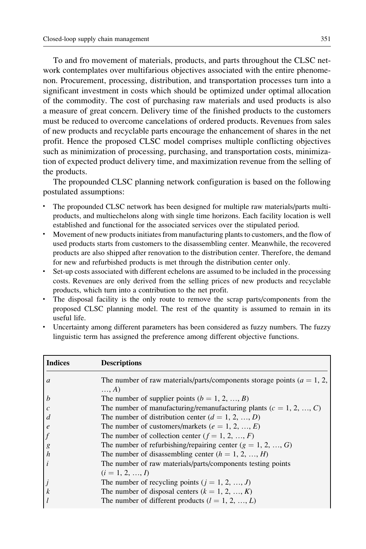To and fro movement of materials, products, and parts throughout the CLSC network contemplates over multifarious objectives associated with the entire phenomenon. Procurement, processing, distribution, and transportation processes turn into a significant investment in costs which should be optimized under optimal allocation of the commodity. The cost of purchasing raw materials and used products is also a measure of great concern. Delivery time of the finished products to the customers must be reduced to overcome cancelations of ordered products. Revenues from sales of new products and recyclable parts encourage the enhancement of shares in the net profit. Hence the proposed CLSC model comprises multiple conflicting objectives such as minimization of processing, purchasing, and transportation costs, minimization of expected product delivery time, and maximization revenue from the selling of the products.

The propounded CLSC planning network configuration is based on the following postulated assumptions:

- The propounded CLSC network has been designed for multiple raw materials/parts multiproducts, and multiechelons along with single time horizons. Each facility location is well established and functional for the associated services over the stipulated period.
- <sup>l</sup> Movement of new products initiates from manufacturing plants to customers, and the flow of used products starts from customers to the disassembling center. Meanwhile, the recovered products are also shipped after renovation to the distribution center. Therefore, the demand for new and refurbished products is met through the distribution center only.
- Set-up costs associated with different echelons are assumed to be included in the processing costs. Revenues are only derived from the selling prices of new products and recyclable products, which turn into a contribution to the net profit.
- The disposal facility is the only route to remove the scrap parts/components from the proposed CLSC planning model. The rest of the quantity is assumed to remain in its useful life.
- Uncertainty among different parameters has been considered as fuzzy numbers. The fuzzy linguistic term has assigned the preference among different objective functions.

| <b>Indices</b>      | <b>Descriptions</b>                                                                     |
|---------------------|-----------------------------------------------------------------------------------------|
| a                   | The number of raw materials/parts/components storage points ( $a = 1, 2,$<br>$\dots$ A) |
| $\boldsymbol{b}$    | The number of supplier points $(b = 1, 2, , B)$                                         |
| $\mathcal{C}$       | The number of manufacturing/remanufacturing plants ( $c = 1, 2, , C$ )                  |
| d                   | The number of distribution center $(d = 1, 2, , D)$                                     |
|                     | The number of customers/markets ( $e = 1, 2, , E$ )                                     |
| $\int f$            | The number of collection center $(f = 1, 2, , F)$                                       |
| $\boldsymbol{g}$    | The number of refurbishing/repairing center $(g = 1, 2, , G)$                           |
| $\lfloor h \rfloor$ | The number of disassembling center $(h = 1, 2, , H)$                                    |
| $\overline{i}$      | The number of raw materials/parts/components testing points                             |
|                     | $(i = 1, 2, , I)$                                                                       |
| $\int$              | The number of recycling points ( $i = 1, 2, , J$ )                                      |
| $\mathbf{k}$        | The number of disposal centers $(k = 1, 2, , K)$                                        |
|                     | The number of different products $(l = 1, 2, , L)$                                      |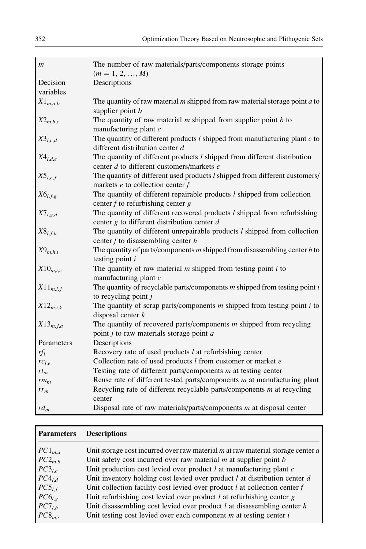| $\boldsymbol{m}$ | The number of raw materials/parts/components storage points<br>$(m = 1, 2, , M)$                                              |
|------------------|-------------------------------------------------------------------------------------------------------------------------------|
| Decision         | Descriptions                                                                                                                  |
| variables        |                                                                                                                               |
| $X1_{m,a,b}$     | The quantity of raw material $m$ shipped from raw material storage point $a$ to<br>supplier point $b$                         |
| $X2_{m,b,c}$     | The quantity of raw material $m$ shipped from supplier point $b$ to<br>manufacturing plant c                                  |
| $X3_{l,c,d}$     | The quantity of different products $l$ shipped from manufacturing plant $c$ to<br>different distribution center d             |
| $X4_{l,d,e}$     | The quantity of different products $l$ shipped from different distribution<br>center $d$ to different customers/markets $e$   |
| $X5_{l,e,f}$     | The quantity of different used products l shipped from different customers/<br>markets $e$ to collection center $f$           |
| $X6_{l,f,g}$     | The quantity of different repairable products $l$ shipped from collection<br>center $f$ to refurbishing center $g$            |
| $X7_{l,g,d}$     | The quantity of different recovered products $l$ shipped from refurbishing<br>center $g$ to different distribution center $d$ |
| $X8_{l,f,h}$     | The quantity of different unrepairable products $l$ shipped from collection<br>center $f$ to disassembling center $h$         |
| $X9_{m,h,i}$     | The quantity of parts/components $m$ shipped from disassembling center $h$ to<br>testing point $i$                            |
| $X10_{m,i,c}$    | The quantity of raw material $m$ shipped from testing point $i$ to<br>manufacturing plant c                                   |
| $X11_{m,i,j}$    | The quantity of recyclable parts/components $m$ shipped from testing point $i$<br>to recycling point $j$                      |
| $X12_{m,i,k}$    | The quantity of scrap parts/components $m$ shipped from testing point $i$ to<br>disposal center $k$                           |
| $X13_{m,j,a}$    | The quantity of recovered parts/components $m$ shipped from recycling<br>point $j$ to raw materials storage point $a$         |
| Parameters       | Descriptions                                                                                                                  |
| $rf_l$           | Recovery rate of used products $l$ at refurbishing center                                                                     |
| $rc_{l,e}$       | Collection rate of used products $l$ from customer or market $e$                                                              |
| $rt_m$           | Testing rate of different parts/components $m$ at testing center                                                              |
| $rm_m$           | Reuse rate of different tested parts/components $m$ at manufacturing plant                                                    |
| $rr_m$           | Recycling rate of different recyclable parts/components $m$ at recycling<br>center                                            |
| $rd_m$           | Disposal rate of raw materials/parts/components $m$ at disposal center                                                        |

| <b>Parameters</b> | <b>Descriptions</b>                                                                 |
|-------------------|-------------------------------------------------------------------------------------|
| $PC1_{m,a}$       | Unit storage cost incurred over raw material $m$ at raw material storage center $a$ |
| $PC2_{m,b}$       | Unit safety cost incurred over raw material $m$ at supplier point $b$               |
| $PC3_{l,c}$       | Unit production cost levied over product $l$ at manufacturing plant $c$             |
| $PC4_{l,d}$       | Unit inventory holding cost levied over product $l$ at distribution center $d$      |
| $PC5_{l,f}$       | Unit collection facility cost levied over product $l$ at collection center $f$      |
| $PC6_{l,q}$       | Unit refurbishing cost levied over product $l$ at refurbishing center $g$           |
| $PC7_{l,h}$       | Unit disassembling cost levied over product $l$ at disassembling center $h$         |
| $PC8_{m i}$       | Unit testing cost levied over each component $m$ at testing center $i$              |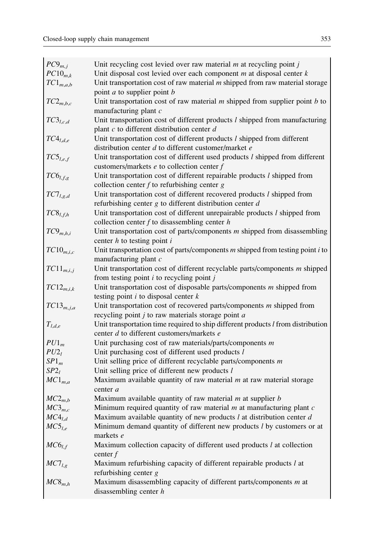| $PC9_{m,j}$      | Unit recycling cost levied over raw material $m$ at recycling point $j$                                                      |
|------------------|------------------------------------------------------------------------------------------------------------------------------|
| $PC10_{m,k}$     | Unit disposal cost levied over each component $m$ at disposal center $k$                                                     |
| $TC1_{m,a,b}$    | Unit transportation cost of raw material $m$ shipped from raw material storage                                               |
|                  | point <i>a</i> to supplier point <i>b</i>                                                                                    |
| $TC2_{m,b,c}$    | Unit transportation cost of raw material $m$ shipped from supplier point $b$ to                                              |
|                  | manufacturing plant c                                                                                                        |
| $TC3_{l,c,d}$    | Unit transportation cost of different products $l$ shipped from manufacturing                                                |
|                  | plant $c$ to different distribution center $d$                                                                               |
| $TC4_{l,d,e}$    | Unit transportation cost of different products l shipped from different                                                      |
|                  | distribution center $d$ to different customer/market $e$                                                                     |
| $TC5_{l,e,f}$    | Unit transportation cost of different used products $l$ shipped from different                                               |
|                  | customers/markets $e$ to collection center $f$<br>Unit transportation cost of different repairable products $l$ shipped from |
| $TC6_{l,f,g}$    | collection center $f$ to refurbishing center $g$                                                                             |
| $TC7_{l,g,d}$    | Unit transportation cost of different recovered products l shipped from                                                      |
|                  | refurbishing center $g$ to different distribution center $d$                                                                 |
| $TC8_{l,f,h}$    | Unit transportation cost of different unrepairable products l shipped from                                                   |
|                  | collection center $f$ to disassembling center $h$                                                                            |
| $TC9_{m,h,i}$    | Unit transportation cost of parts/components $m$ shipped from disassembling                                                  |
|                  | center $h$ to testing point $i$                                                                                              |
| $TC10_{m,i,c}$   | Unit transportation cost of parts/components $m$ shipped from testing point $i$ to                                           |
|                  | manufacturing plant c                                                                                                        |
| $TC11_{m,i,j}$   | Unit transportation cost of different recyclable parts/components m shipped                                                  |
|                  | from testing point $i$ to recycling point $j$                                                                                |
| $TC12_{m,i,k}$   | Unit transportation cost of disposable parts/components m shipped from                                                       |
|                  | testing point $i$ to disposal center $k$                                                                                     |
| $TC13_{m,j,a}$   | Unit transportation cost of recovered parts/components $m$ shipped from                                                      |
|                  | recycling point $j$ to raw materials storage point $a$                                                                       |
| $T_{l,d,e}$      | Unit transportation time required to ship different products $l$ from distribution                                           |
|                  | center $d$ to different customers/markets $e$                                                                                |
| PU1 <sub>m</sub> | Unit purchasing cost of raw materials/parts/components m                                                                     |
| PU2 <sub>l</sub> | Unit purchasing cost of different used products l                                                                            |
| SP1 <sub>m</sub> | Unit selling price of different recyclable parts/components $m$                                                              |
| SP2 <sub>l</sub> | Unit selling price of different new products l                                                                               |
| $MC1_{m,a}$      | Maximum available quantity of raw material $m$ at raw material storage                                                       |
|                  | center a                                                                                                                     |
| $MC2_{m,b}$      | Maximum available quantity of raw material $m$ at supplier $b$                                                               |
| $MC3_{m,c}$      | Minimum required quantity of raw material $m$ at manufacturing plant $c$                                                     |
| $MC4_{l,d}$      | Maximum available quantity of new products $l$ at distribution center $d$                                                    |
| $MC5_{l,e}$      | Minimum demand quantity of different new products $l$ by customers or at                                                     |
|                  | markets e                                                                                                                    |
| $MC6_{l,f}$      | Maximum collection capacity of different used products $l$ at collection                                                     |
|                  | center $f$                                                                                                                   |
| $MC7_{l,g}$      | Maximum refurbishing capacity of different repairable products l at                                                          |
|                  | refurbishing center g                                                                                                        |
| $MC8_{m,h}$      | Maximum disassembling capacity of different parts/components $m$ at                                                          |
|                  | disassembling center $h$                                                                                                     |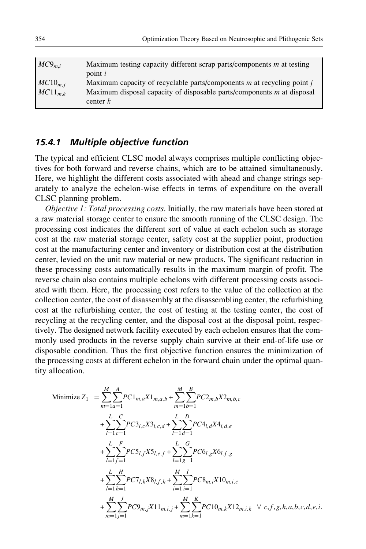| $MC9_{m,i}$  | Maximum testing capacity different scrap parts/components $m$ at testing             |
|--------------|--------------------------------------------------------------------------------------|
|              | point $i$                                                                            |
| $MC10_{m,j}$ | Maximum capacity of recyclable parts/components $m$ at recycling point $j$           |
| $MC11_{m,k}$ | Maximum disposal capacity of disposable parts/components m at disposal<br>center $k$ |

## 15.4.1 Multiple objective function

The typical and efficient CLSC model always comprises multiple conflicting objectives for both forward and reverse chains, which are to be attained simultaneously. Here, we highlight the different costs associated with ahead and change strings separately to analyze the echelon-wise effects in terms of expenditure on the overall CLSC planning problem.

*Objective 1: Total processing costs.* Initially, the raw materials have been stored at a raw material storage center to ensure the smooth running of the CLSC design. The processing cost indicates the different sort of value at each echelon such as storage cost at the raw material storage center, safety cost at the supplier point, production cost at the manufacturing center and inventory or distribution cost at the distribution center, levied on the unit raw material or new products. The significant reduction in these processing costs automatically results in the maximum margin of profit. The reverse chain also contains multiple echelons with different processing costs associated with them. Here, the processing cost refers to the value of the collection at the collection center, the cost of disassembly at the disassembling center, the refurbishing cost at the refurbishing center, the cost of testing at the testing center, the cost of recycling at the recycling center, and the disposal cost at the disposal point, respectively. The designed network facility executed by each echelon ensures that the commonly used products in the reverse supply chain survive at their end-of-life use or disposable condition. Thus the first objective function ensures the minimization of the processing costs at different echelon in the forward chain under the optimal quantity allocation.

Minimize 
$$
Z_1
$$
 =  $\sum_{m=1}^{M} \sum_{a=1}^{A} PC1_{m,a}X1_{m,a,b} + \sum_{m=1}^{M} \sum_{b=1}^{B} PC2_{m,b}X2_{m,b,c}$   
+  $\sum_{l=1}^{L} \sum_{c=1}^{C} PC3_{l,c}X3_{l,c,d} + \sum_{l=1}^{L} \sum_{d=1}^{D} PC4_{l,d}X4_{l,d,e}$   
+  $\sum_{l=1}^{L} \sum_{f=1}^{F} PC5_{l,f}X5_{l,e,f} + \sum_{l=1}^{L} \sum_{g=1}^{G} PC6_{l,g}X6_{l,f,g}$   
+  $\sum_{l=1}^{L} \sum_{h=1}^{H} PC7_{l,h}X8_{l,f,h} + \sum_{i=1}^{M} \sum_{i=1}^{L} PC8_{m,i}X10_{m,i,c}$   
+  $\sum_{m=1}^{M} \sum_{j=1}^{J} PC9_{m,j}X11_{m,i,j} + \sum_{m=1}^{M} \sum_{k=1}^{K} PC10_{m,k}X12_{m,i,k} \quad \forall c,f,g,h,a,b,c,d,e,i.$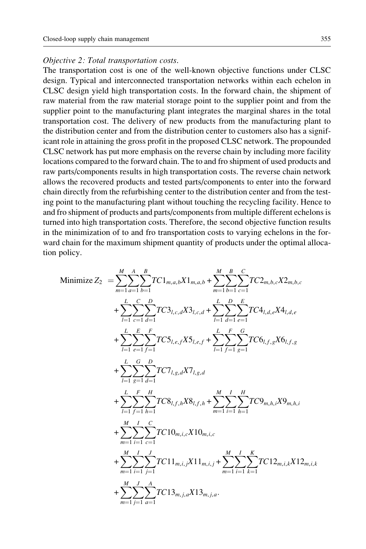#### Objective 2: Total transportation costs.

The transportation cost is one of the well-known objective functions under CLSC design. Typical and interconnected transportation networks within each echelon in CLSC design yield high transportation costs. In the forward chain, the shipment of raw material from the raw material storage point to the supplier point and from the supplier point to the manufacturing plant integrates the marginal shares in the total transportation cost. The delivery of new products from the manufacturing plant to the distribution center and from the distribution center to customers also has a significant role in attaining the gross profit in the proposed CLSC network. The propounded CLSC network has put more emphasis on the reverse chain by including more facility locations compared to the forward chain. The to and fro shipment of used products and raw parts/components results in high transportation costs. The reverse chain network allows the recovered products and tested parts/components to enter into the forward chain directly from the refurbishing center to the distribution center and from the testing point to the manufacturing plant without touching the recycling facility. Hence to and fro shipment of products and parts/components from multiple different echelons is turned into high transportation costs. Therefore, the second objective function results in the minimization of to and fro transportation costs to varying echelons in the forward chain for the maximum shipment quantity of products under the optimal allocation policy.

Minimize 
$$
Z_2 = \sum_{m=1}^{M} \sum_{a=1}^{A} \sum_{b=1}^{B} TC1_{m,a,b}X1_{m,a,b} + \sum_{m=1}^{M} \sum_{b=1}^{B} \sum_{c=1}^{C} TC2_{m,b,c}X2_{m,b,c}
$$
  
+  $\sum_{l=1}^{L} \sum_{c=1}^{C} \sum_{d=1}^{D} TC3_{l,c,d}X3_{l,c,d} + \sum_{l=1}^{L} \sum_{d=1}^{D} \sum_{e=1}^{E} TC4_{l,d,e}X4_{l,d,e}$   
+  $\sum_{l=1}^{L} \sum_{e=1}^{E} \sum_{f=1}^{F} TC5_{l,e,f}X5_{l,e,f} + \sum_{l=1}^{L} \sum_{f=1}^{F} \sum_{g=1}^{G} TC6_{l,f,g}X6_{l,f,g}$   
+  $\sum_{l=1}^{L} \sum_{g=1}^{G} \sum_{d=1}^{D} TC7_{l,g,d}X7_{l,g,d}$   
+  $\sum_{l=1}^{L} \sum_{f=1}^{F} \sum_{h=1}^{H} TC8_{l,f,h}X8_{l,f,h} + \sum_{m=1}^{M} \sum_{i=1}^{L} \sum_{h=1}^{H} TC9_{m,h,i}X9_{m,h,i}$   
+  $\sum_{m=1}^{M} \sum_{i=1}^{I} \sum_{c=1}^{C} TC10_{m,i,c}X10_{m,i,c}$   
+  $\sum_{m=1}^{M} \sum_{i=1}^{I} \sum_{j=1}^{J} TC11_{m,i,j}X11_{m,i,j} + \sum_{m=1}^{M} \sum_{i=1}^{I} \sum_{k=1}^{K} TC12_{m,i,k}X12_{m,i,k}$   
+  $\sum_{m=1}^{M} \sum_{j=1}^{J} \sum_{a=1}^{A} TC13_{m,j,a}X13_{m,j,a}.$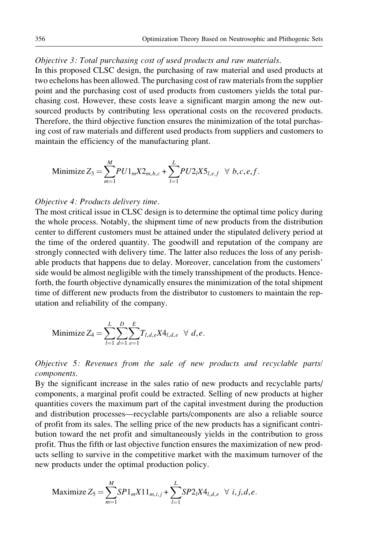Objective 3: Total purchasing cost of used products and raw materials.

In this proposed CLSC design, the purchasing of raw material and used products at two echelons has been allowed. The purchasing cost of raw materials from the supplier point and the purchasing cost of used products from customers yields the total purchasing cost. However, these costs leave a significant margin among the new outsourced products by contributing less operational costs on the recovered products. Therefore, the third objective function ensures the minimization of the total purchasing cost of raw materials and different used products from suppliers and customers to maintain the efficiency of the manufacturing plant.

Minimize 
$$
Z_3 = \sum_{m=1}^{M} PU1_mX2_{m,b,c} + \sum_{l=1}^{L} PU2_lX5_{l,e,f} \ \forall \ b,c,e,f.
$$

#### Objective 4: Products delivery time.

The most critical issue in CLSC design is to determine the optimal time policy during the whole process. Notably, the shipment time of new products from the distribution center to different customers must be attained under the stipulated delivery period at the time of the ordered quantity. The goodwill and reputation of the company are strongly connected with delivery time. The latter also reduces the loss of any perishable products that happens due to delay. Moreover, cancelation from the customers' side would be almost negligible with the timely transshipment of the products. Henceforth, the fourth objective dynamically ensures the minimization of the total shipment time of different new products from the distributor to customers to maintain the reputation and reliability of the company.

Minimize 
$$
Z_4 = \sum_{l=1}^{L} \sum_{d=1}^{D} \sum_{e=1}^{E} T_{l,d,e} X 4_{l,d,e} \quad \forall \ d,e.
$$

Objective 5: Revenues from the sale of new products and recyclable parts/ components.

By the significant increase in the sales ratio of new products and recyclable parts/ components, a marginal profit could be extracted. Selling of new products at higher quantities covers the maximum part of the capital investment during the production and distribution processes—recyclable parts/components are also a reliable source of profit from its sales. The selling price of the new products has a significant contribution toward the net profit and simultaneously yields in the contribution to gross profit. Thus the fifth or last objective function ensures the maximization of new products selling to survive in the competitive market with the maximum turnover of the new products under the optimal production policy.

Maximize 
$$
Z_5 = \sum_{m=1}^{M} SP1_m X 11_{m,i,j} + \sum_{l=1}^{L} SP2_l X 4_{l,d,e} \quad \forall i,j,d,e.
$$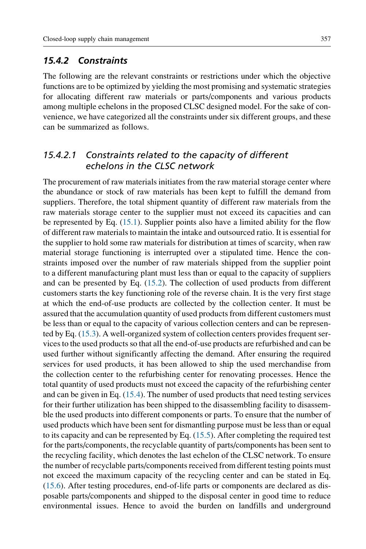#### 15.4.2 Constraints

The following are the relevant constraints or restrictions under which the objective functions are to be optimized by yielding the most promising and systematic strategies for allocating different raw materials or parts/components and various products among multiple echelons in the proposed CLSC designed model. For the sake of convenience, we have categorized all the constraints under six different groups, and these can be summarized as follows.

## 15.4.2.1 Constraints related to the capacity of different echelons in the CLSC network

The procurement of raw materials initiates from the raw material storage center where the abundance or stock of raw materials has been kept to fulfill the demand from suppliers. Therefore, the total shipment quantity of different raw materials from the raw materials storage center to the supplier must not exceed its capacities and can be represented by Eq. ([15.1](#page-15-0)). Supplier points also have a limited ability for the flow of different raw materials to maintain the intake and outsourced ratio. It is essential for the supplier to hold some raw materials for distribution at times of scarcity, when raw material storage functioning is interrupted over a stipulated time. Hence the constraints imposed over the number of raw materials shipped from the supplier point to a different manufacturing plant must less than or equal to the capacity of suppliers and can be presented by Eq. ([15.2](#page-15-0)). The collection of used products from different customers starts the key functioning role of the reverse chain. It is the very first stage at which the end-of-use products are collected by the collection center. It must be assured that the accumulation quantity of used products from different customers must be less than or equal to the capacity of various collection centers and can be represented by Eq. ([15.3](#page-15-0)). A well-organized system of collection centers provides frequent services to the used products so that all the end-of-use products are refurbished and can be used further without significantly affecting the demand. After ensuring the required services for used products, it has been allowed to ship the used merchandise from the collection center to the refurbishing center for renovating processes. Hence the total quantity of used products must not exceed the capacity of the refurbishing center and can be given in Eq. [\(15.4\)](#page-15-0). The number of used products that need testing services for their further utilization has been shipped to the disassembling facility to disassemble the used products into different components or parts. To ensure that the number of used products which have been sent for dismantling purpose must be less than or equal to its capacity and can be represented by Eq. [\(15.5\)](#page-15-0). After completing the required test for the parts/components, the recyclable quantity of parts/components has been sent to the recycling facility, which denotes the last echelon of the CLSC network. To ensure the number of recyclable parts/components received from different testing points must not exceed the maximum capacity of the recycling center and can be stated in Eq. [\(15.6\)](#page-15-0). After testing procedures, end-of-life parts or components are declared as disposable parts/components and shipped to the disposal center in good time to reduce environmental issues. Hence to avoid the burden on landfills and underground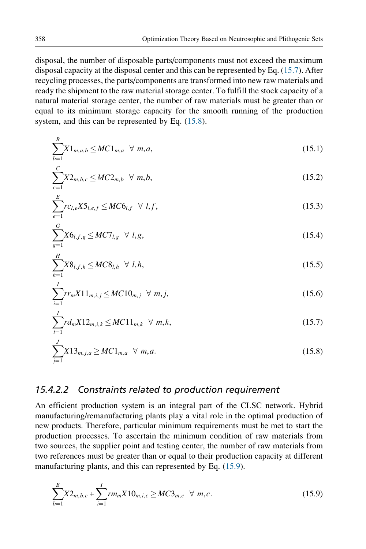<span id="page-15-0"></span>disposal, the number of disposable parts/components must not exceed the maximum disposal capacity at the disposal center and this can be represented by Eq. (15.7). After recycling processes, the parts/components are transformed into new raw materials and ready the shipment to the raw material storage center. To fulfill the stock capacity of a natural material storage center, the number of raw materials must be greater than or equal to its minimum storage capacity for the smooth running of the production system, and this can be represented by Eq. (15.8).

$$
\sum_{b=1}^{D} X1_{m,a,b} \leq MC1_{m,a} \quad \forall \ m,a,
$$
\n(15.1)

$$
\sum_{c=1}^{C} X2_{m,b,c} \leq MC2_{m,b} \ \ \forall \ m,b,
$$
\n(15.2)

$$
\sum_{e=1}^{E} rc_{l,e} X5_{l,e,f} \leq MC6_{l,f} \ \forall \ l,f,
$$
\n(15.3)

$$
\sum_{g=1}^{G} X6_{l,f,g} \le MC7_{l,g} \quad \forall \ l,g,
$$
\n(15.4)

$$
\sum_{h=1}^{N} X8_{l,f,h} \leq MC8_{l,h} \quad \forall \ l,h,
$$
\n(15.5)

$$
\sum_{i=1}^{I} r r_{m} X 11_{m,i,j} \leq MC 10_{m,j} \ \forall \ m, j,
$$
\n(15.6)

$$
\sum_{i=1}^{I} r d_m X 12_{m,i,k} \leq M C 11_{m,k} \quad \forall \ m, k,
$$
\n(15.7)

$$
\sum_{j=1}^{J} X13_{m,j,a} \ge MC1_{m,a} \quad \forall \ m,a.
$$
 (15.8)

## 15.4.2.2 Constraints related to production requirement

An efficient production system is an integral part of the CLSC network. Hybrid manufacturing/remanufacturing plants play a vital role in the optimal production of new products. Therefore, particular minimum requirements must be met to start the production processes. To ascertain the minimum condition of raw materials from two sources, the supplier point and testing center, the number of raw materials from two references must be greater than or equal to their production capacity at different manufacturing plants, and this can represented by Eq. (15.9).

$$
\sum_{b=1}^{B} X2_{m,b,c} + \sum_{i=1}^{I} r m_m X10_{m,i,c} \ge MC3_{m,c} \quad \forall \ m,c.
$$
 (15.9)

B

 $\boldsymbol{\mu}$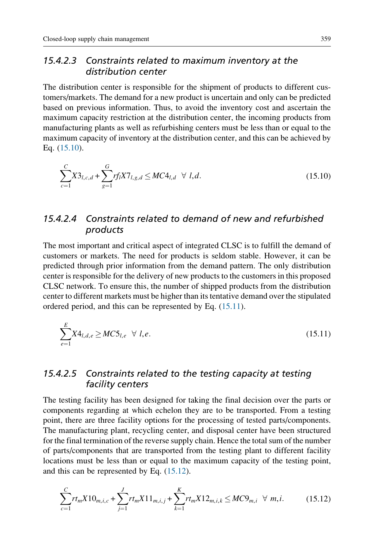## 15.4.2.3 Constraints related to maximum inventory at the distribution center

The distribution center is responsible for the shipment of products to different customers/markets. The demand for a new product is uncertain and only can be predicted based on previous information. Thus, to avoid the inventory cost and ascertain the maximum capacity restriction at the distribution center, the incoming products from manufacturing plants as well as refurbishing centers must be less than or equal to the maximum capacity of inventory at the distribution center, and this can be achieved by Eq. (15.10).

$$
\sum_{c=1}^{C} X3_{l,c,d} + \sum_{g=1}^{G} rf_l X7_{l,g,d} \le MC4_{l,d} \quad \forall \ l,d.
$$
\n(15.10)

## 15.4.2.4 Constraints related to demand of new and refurbished products

The most important and critical aspect of integrated CLSC is to fulfill the demand of customers or markets. The need for products is seldom stable. However, it can be predicted through prior information from the demand pattern. The only distribution center is responsible for the delivery of new products to the customers in this proposed CLSC network. To ensure this, the number of shipped products from the distribution center to different markets must be higher than its tentative demand over the stipulated ordered period, and this can be represented by Eq. (15.11).

$$
\sum_{e=1}^{E} X4_{l,d,e} \ge MC5_{l,e} \quad \forall \ l,e. \tag{15.11}
$$

## 15.4.2.5 Constraints related to the testing capacity at testing facility centers

The testing facility has been designed for taking the final decision over the parts or components regarding at which echelon they are to be transported. From a testing point, there are three facility options for the processing of tested parts/components. The manufacturing plant, recycling center, and disposal center have been structured for the final termination of the reverse supply chain. Hence the total sum of the number of parts/components that are transported from the testing plant to different facility locations must be less than or equal to the maximum capacity of the testing point, and this can be represented by Eq. (15.12).

$$
\sum_{c=1}^{C} rt_m X 10_{m,i,c} + \sum_{j=1}^{J} rt_m X 11_{m,i,j} + \sum_{k=1}^{K} rt_m X 12_{m,i,k} \leq MC9_{m,i} \quad \forall \ m,i. \tag{15.12}
$$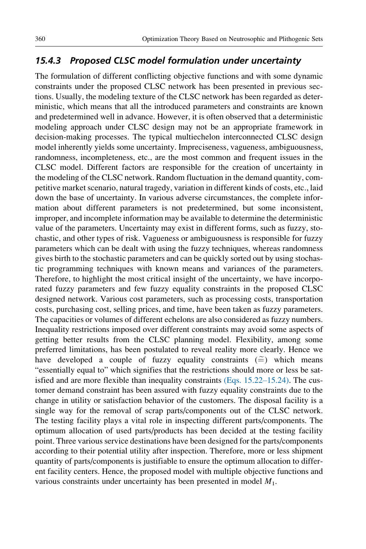## 15.4.3 Proposed CLSC model formulation under uncertainty

The formulation of different conflicting objective functions and with some dynamic constraints under the proposed CLSC network has been presented in previous sections. Usually, the modeling texture of the CLSC network has been regarded as deterministic, which means that all the introduced parameters and constraints are known and predetermined well in advance. However, it is often observed that a deterministic modeling approach under CLSC design may not be an appropriate framework in decision-making processes. The typical multiechelon interconnected CLSC design model inherently yields some uncertainty. Impreciseness, vagueness, ambiguousness, randomness, incompleteness, etc., are the most common and frequent issues in the CLSC model. Different factors are responsible for the creation of uncertainty in the modeling of the CLSC network. Random fluctuation in the demand quantity, competitive market scenario, natural tragedy, variation in different kinds of costs, etc., laid down the base of uncertainty. In various adverse circumstances, the complete information about different parameters is not predetermined, but some inconsistent, improper, and incomplete information may be available to determine the deterministic value of the parameters. Uncertainty may exist in different forms, such as fuzzy, stochastic, and other types of risk. Vagueness or ambiguousness is responsible for fuzzy parameters which can be dealt with using the fuzzy techniques, whereas randomness gives birth to the stochastic parameters and can be quickly sorted out by using stochastic programming techniques with known means and variances of the parameters. Therefore, to highlight the most critical insight of the uncertainty, we have incorporated fuzzy parameters and few fuzzy equality constraints in the proposed CLSC designed network. Various cost parameters, such as processing costs, transportation costs, purchasing cost, selling prices, and time, have been taken as fuzzy parameters. The capacities or volumes of different echelons are also considered as fuzzy numbers. Inequality restrictions imposed over different constraints may avoid some aspects of getting better results from the CLSC planning model. Flexibility, among some preferred limitations, has been postulated to reveal reality more clearly. Hence we have developed a couple of fuzzy equality constraints  $(\tilde{\equiv})$  which means "essentially equal to" which signifies that the restrictions should more or less be satisfied and are more flexible than inequality constraints [\(Eqs. 15.22](#page-19-0)–15.24). The customer demand constraint has been assured with fuzzy equality constraints due to the change in utility or satisfaction behavior of the customers. The disposal facility is a single way for the removal of scrap parts/components out of the CLSC network. The testing facility plays a vital role in inspecting different parts/components. The optimum allocation of used parts/products has been decided at the testing facility point. Three various service destinations have been designed for the parts/components according to their potential utility after inspection. Therefore, more or less shipment quantity of parts/components is justifiable to ensure the optimum allocation to different facility centers. Hence, the proposed model with multiple objective functions and various constraints under uncertainty has been presented in model  $M_1$ .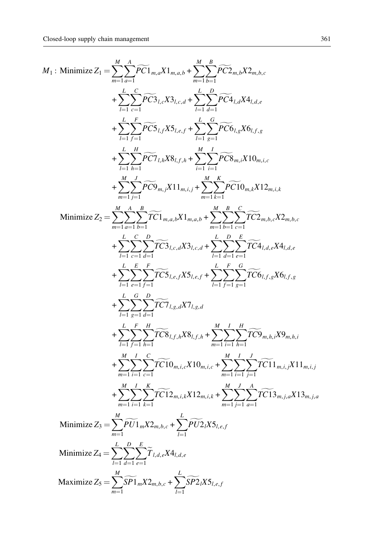$$
M_{1}: \text{Minimize } Z_{1} = \sum_{m=1}^{M} \sum_{a=1}^{A} \widetilde{PC1}_{m,a} X1_{m,a,b} + \sum_{m=1}^{M} \sum_{b=1}^{B} \widetilde{PC2}_{m,b} X2_{m,b,c}
$$
\n
$$
+ \sum_{l=1}^{L} \sum_{c=1}^{C} \widetilde{PC3}_{l,c} X3_{l,c,d} + \sum_{l=1}^{L} \sum_{a=1}^{D} \widetilde{PC4}_{l,d} X4_{l,d,e}
$$
\n
$$
+ \sum_{l=1}^{L} \sum_{j=1}^{B} \widetilde{PC5}_{l,f} X5_{l,e,f} + \sum_{l=1}^{L} \sum_{s=1}^{D} \widetilde{PC6}_{l,g} X6_{l,f,s}
$$
\n
$$
+ \sum_{l=1}^{L} \sum_{h=1}^{H} \widetilde{PC7}_{l,h} X8_{l,f,h} + \sum_{l=1}^{M} \sum_{i=1}^{L} \widetilde{PC6}_{m,i} X10_{m,i,c}
$$
\n
$$
+ \sum_{m=1}^{M} \sum_{j=1}^{D} \widetilde{C9}_{m,j} X11_{m,i,j} + \sum_{m=1}^{M} \sum_{k=1}^{K} \widetilde{PC1}_{0,m,k} X1_{2m,i,k}
$$
\n
$$
\text{Minimize } Z_{2} = \sum_{m=1}^{M} \sum_{a=1}^{A} \sum_{b=1}^{B} \widetilde{TC1}_{m,a,b} X1_{m,a,b} + \sum_{m=1}^{M} \sum_{b=1}^{B} \widetilde{CC2}_{m,b,c} X2_{m,b,c}
$$
\n
$$
+ \sum_{l=1}^{L} \sum_{c=1}^{C} \sum_{j=1}^{D} \widetilde{TC3}_{l,c,d} X3_{l,c,d} + \sum_{l=1}^{L} \sum_{d=1}^{B} \widetilde{CC4}_{l,d,e} X4_{l,d,e}
$$
\n
$$
+ \sum_{l=1}^{L} \sum_{e=1}^{C} \sum_{j=1}^{D} \widetilde{TC7}_{l,g,d} X7_{l,g,d}
$$
\n
$$
+ \sum_{l=1}^{L} \sum_{s=1}^{C} \sum_{l=1}^{D} \widetilde{TC7}_{l
$$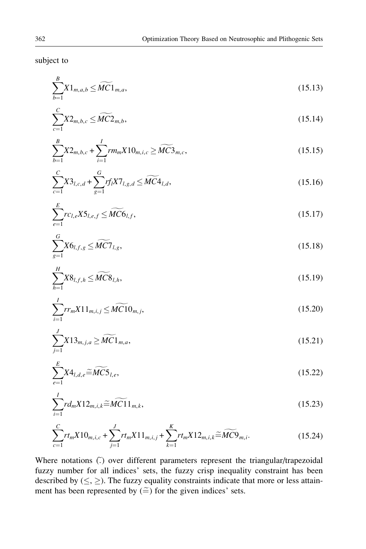<span id="page-19-0"></span>subject to

$$
\sum_{b=1}^{B} X1_{m,a,b} \leq \widetilde{MC}1_{m,a},\tag{15.13}
$$

$$
\sum_{c=1}^{C} X2_{m,b,c} \leq \widetilde{MC2}_{m,b},\tag{15.14}
$$

$$
\sum_{b=1}^{B} X2_{m,b,c} + \sum_{i=1}^{I} r m_m X10_{m,i,c} \ge \widetilde{MC3}_{m,c},
$$
\n(15.15)

$$
\sum_{c=1}^{C} X3_{l,c,d} + \sum_{g=1}^{G} rf_l X7_{l,g,d} \leq \widetilde{MC4}_{l,d},\tag{15.16}
$$

$$
\sum_{e=1}^{E} rc_{l,e} X5_{l,e,f} \leq \widetilde{M C6}_{l,f},\tag{15.17}
$$

$$
\sum_{g=1}^{G} X6_{l,f,g} \leq \widetilde{MC7}_{l,g},\tag{15.18}
$$

$$
\sum_{h=1}^{H} X8_{l,f,h} \leq \widetilde{MC}8_{l,h},\tag{15.19}
$$

$$
\sum_{i=1}^{I} r r_m X 11_{m,i,j} \leq \widetilde{MC10}_{m,j},\tag{15.20}
$$

$$
\sum_{j=1}^{J} X13_{m,j,a} \ge \widetilde{MC1}_{m,a},\tag{15.21}
$$

$$
\sum_{e=1}^{E} X4_{l,d,e} \widetilde{=} \widetilde{MCS}_{l,e},\tag{15.22}
$$

$$
\sum_{i=1}^{I} r d_m X 12_{m,i,k} \widetilde{=} \widetilde{M C 11}_{m,k},
$$
\n(15.23)

$$
\sum_{c=1}^{C} rt_m X 10_{m,i,c} + \sum_{j=1}^{J} rt_m X 11_{m,i,j} + \sum_{k=1}^{K} rt_m X 12_{m,i,k} \widetilde{=} \widetilde{M C9}_{m,i}.
$$
\n(15.24)

Where notations (.) over different parameters represent the triangular/trapezoidal fuzzy number for all indices' sets, the fuzzy crisp inequality constraint has been described by  $(\leq, \geq)$ . The fuzzy equality constraints indicate that more or less attain-<br>ment has been represented by  $(\leq)$  for the given indices' sets ment has been represented by  $(\tilde{=} )$  for the given indices' sets.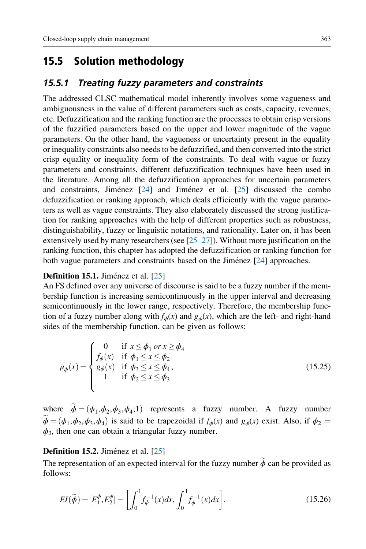# <span id="page-20-0"></span>15.5 Solution methodology

#### 15.5.1 Treating fuzzy parameters and constraints

The addressed CLSC mathematical model inherently involves some vagueness and ambiguousness in the value of different parameters such as costs, capacity, revenues, etc. Defuzzification and the ranking function are the processes to obtain crisp versions of the fuzzified parameters based on the upper and lower magnitude of the vague parameters. On the other hand, the vagueness or uncertainty present in the equality or inequality constraints also needs to be defuzzified, and then converted into the strict crisp equality or inequality form of the constraints. To deal with vague or fuzzy parameters and constraints, different defuzzification techniques have been used in the literature. Among all the defuzzification approaches for uncertain parameters and constraints, Jiménez [[24\]](#page-59-0) and Jiménez et al. [\[25](#page-59-0)] discussed the combo defuzzification or ranking approach, which deals efficiently with the vague parameters as well as vague constraints. They also elaborately discussed the strong justification for ranking approaches with the help of different properties such as robustness, distinguishability, fuzzy or linguistic notations, and rationality. Later on, it has been extensively used by many researchers (see [\[25](#page-59-0)–27]). Without more justification on the ranking function, this chapter has adopted the defuzzification or ranking function for both vague parameters and constraints based on the Jiménez [\[24](#page-59-0)] approaches.

#### Definition 15.1. Jiménez et al. [[25\]](#page-59-0)

An FS defined over any universe of discourse is said to be a fuzzy number if the membership function is increasing semicontinuously in the upper interval and decreasing semicontinuously in the lower range, respectively. Therefore, the membership function of a fuzzy number along with  $f_{\phi}(x)$  and  $g_{\phi}(x)$ , which are the left- and right-hand sides of the membership function, can be given as follows:

$$
\mu_{\phi}(x) = \begin{cases}\n0 & \text{if } x \le \phi_1 \text{ or } x \ge \phi_4 \\
f_{\phi}(x) & \text{if } \phi_1 \le x \le \phi_2 \\
g_{\phi}(x) & \text{if } \phi_3 \le x \le \phi_4, \\
1 & \text{if } \phi_2 \le x \le \phi_3\n\end{cases}
$$
\n(15.25)

where  $\widetilde{\phi} = (\phi_1, \phi_2, \phi_3, \phi_4; 1)$  represents a fuzzy number. A fuzzy number  $\widetilde{\phi} = (\phi_1, \phi_2, \phi_3, \phi_4)$  is said to be trapezoidal if  $f_{\phi}(x)$  and  $g_{\phi}(x)$  exist. Also, if  $\phi_2 =$  $\phi_3$ , then one can obtain a triangular fuzzy number.

#### Definition 15.2. Jiménez et al. [[25\]](#page-59-0)

The representation of an expected interval for the fuzzy number  $\phi$  can be provided as follows:

$$
EI(\widetilde{\phi}) = [E_1^{\phi}, E_2^{\phi}] = \left[ \int_0^1 f_{\phi}^{-1}(x) dx, \int_0^1 f_{\phi}^{-1}(x) dx \right].
$$
 (15.26)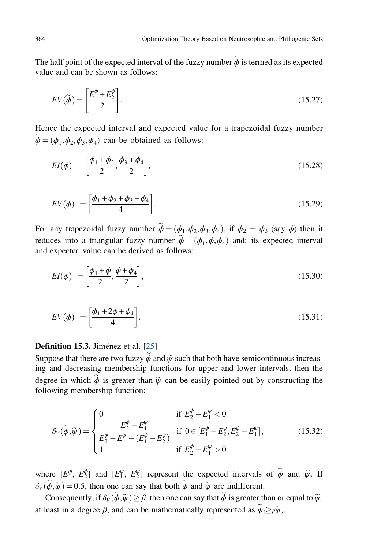<span id="page-21-0"></span>The half point of the expected interval of the fuzzy number  $\widetilde{\phi}$  is termed as its expected value and can be shown as follows:

$$
EV(\widetilde{\phi}) = \left[\frac{E_1^{\phi} + E_2^{\phi}}{2}\right].
$$
\n(15.27)

Hence the expected interval and expected value for a trapezoidal fuzzy number  $\widetilde{\phi} = (\phi_1, \phi_2, \phi_3, \phi_4)$  can be obtained as follows:

$$
EI(\phi) = \left[\frac{\phi_1 + \phi_2}{2}, \frac{\phi_3 + \phi_4}{2}\right],
$$
\n(15.28)

$$
EV(\phi) = \left[\frac{\phi_1 + \phi_2 + \phi_3 + \phi_4}{4}\right].
$$
\n(15.29)

For any trapezoidal fuzzy number  $\tilde{\phi} = (\phi_1, \phi_2, \phi_3, \phi_4)$ , if  $\phi_2 = \phi_3$  (say  $\phi$ ) then it reduces into a triangular fuzzy number  $\widetilde{\phi} = (\phi_1, \phi, \phi_4)$  and; its expected interval and expected value can be derived as follows:

$$
EI(\phi) = \left[\frac{\phi_1 + \phi}{2}, \frac{\phi + \phi_4}{2}\right],\tag{15.30}
$$

$$
EV(\phi) = \left[\frac{\phi_1 + 2\phi + \phi_4}{4}\right].\tag{15.31}
$$

#### Definition 15.3. Jiménez et al. [\[25](#page-59-0)]

Suppose that there are two fuzzy  $\widetilde{\phi}$  and  $\widetilde{\psi}$  such that both have semicontinuous increasing and decreasing membership functions for upper and lower intervals, then the degree in which  $\widetilde{\phi}$  is greater than  $\widetilde{\psi}$  can be easily pointed out by constructing the following membership function:

$$
\delta_V(\widetilde{\phi}, \widetilde{\psi}) = \begin{cases}\n0 & \text{if } E_2^{\phi} - E_1^{\psi} < 0 \\
\frac{E_2^{\phi} - E_1^{\psi}}{E_2^{\phi} - E_1^{\psi} - (E_1^{\phi} - E_2^{\psi})} & \text{if } 0 \in [E_1^{\phi} - E_2^{\psi}, E_2^{\phi} - E_1^{\psi}], \\
1 & \text{if } E_2^{\phi} - E_1^{\psi} > 0\n\end{cases}
$$
\n(15.32)

where  $[E_1^{\phi}, E_2^{\phi}]$  and  $[E_1^{\psi}, E_2^{\psi}]$  represent the expected intervals of  $\phi$  and  $\tilde{\psi}$ . If  $\delta_V(\tilde{\phi}, \tilde{\psi}) = 0.5$ , then one can say that both  $\tilde{\phi}$  and  $\tilde{\psi}$  are indifferent.

Consequently, if  $\delta_V(\tilde{\phi}, \tilde{\psi}) \geq \beta$ , then one can say that  $\tilde{\phi}$  is greater than or equal to  $\tilde{\psi}$ , at least in a degree  $\beta$ , and can be mathematically represented as  $\tilde{\phi}_i \geq \beta \tilde{\psi}_i$ .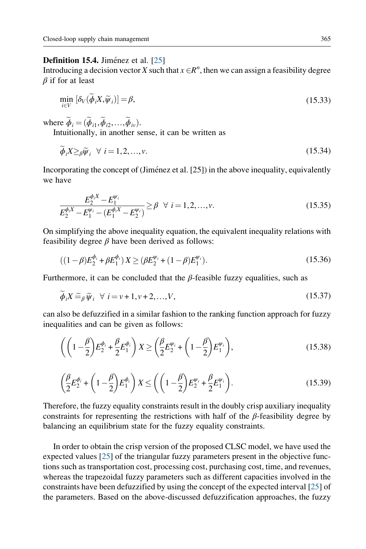#### <span id="page-22-0"></span>Definition 15.4. Jiménez et al. [[25\]](#page-59-0)

Introducing a decision vector X such that  $x \in \mathbb{R}^n$ , then we can assign a feasibility degree  $\beta$  if for at least  $\beta$  if for at least

$$
\min_{i \in V} \left[ \delta_V(\widetilde{\phi}_i X, \widetilde{\psi}_i) \right] = \beta,\tag{15.33}
$$

where  $\widetilde{\phi}_i = (\widetilde{\phi}_{i1}, \widetilde{\phi}_{i2}, \ldots, \widetilde{\phi}_{iv}).$ 

Intuitionally, in another sense, it can be written as

$$
\tilde{\phi}_i X \geq \beta \tilde{\psi}_i \quad \forall \ i = 1, 2, \dots, \nu. \tag{15.34}
$$

Incorporating the concept of (Jiménez et al. [25]) in the above inequality, equivalently we have

$$
\frac{E_2^{\phi_i X} - E_1^{\psi_i}}{E_2^{\phi_i X} - E_1^{\psi_i} - (E_1^{\phi_i X} - E_2^{\psi_i})} \ge \beta \quad \forall \ i = 1, 2, ..., \nu.
$$
\n(15.35)

On simplifying the above inequality equation, the equivalent inequality relations with feasibility degree  $\beta$  have been derived as follows:

$$
((1 - \beta)E_2^{\phi_i} + \beta E_1^{\phi_i})X \ge (\beta E_2^{\psi_i} + (1 - \beta)E_1^{\psi_i}).
$$
\n(15.36)

Furthermore, it can be concluded that the  $\beta$ -feasible fuzzy equalities, such as

$$
\widetilde{\phi}_i X \widetilde{=} \widetilde{\phi}_i \quad \forall \ i = v + 1, v + 2, ..., V,
$$
\n(15.37)

can also be defuzzified in a similar fashion to the ranking function approach for fuzzy inequalities and can be given as follows:

$$
\left( \left( 1 - \frac{\beta}{2} \right) E_2^{\phi_i} + \frac{\beta}{2} E_1^{\phi_i} \right) X \ge \left( \frac{\beta}{2} E_2^{\psi_i} + \left( 1 - \frac{\beta}{2} \right) E_1^{\psi_i} \right),\tag{15.38}
$$

$$
\left(\frac{\beta}{2}E_2^{\phi_i} + \left(1 - \frac{\beta}{2}\right)E_1^{\phi_i}\right)X \le \left(\left(1 - \frac{\beta}{2}\right)E_2^{\psi_i} + \frac{\beta}{2}E_1^{\psi_i}\right). \tag{15.39}
$$

Therefore, the fuzzy equality constraints result in the doubly crisp auxiliary inequality constraints for representing the restrictions with half of the  $\beta$ -feasibility degree by balancing an equilibrium state for the fuzzy equality constraints.

In order to obtain the crisp version of the proposed CLSC model, we have used the expected values [\[25](#page-59-0)] of the triangular fuzzy parameters present in the objective functions such as transportation cost, processing cost, purchasing cost, time, and revenues, whereas the trapezoidal fuzzy parameters such as different capacities involved in the constraints have been defuzzified by using the concept of the expected interval [[25\]](#page-59-0) of the parameters. Based on the above-discussed defuzzification approaches, the fuzzy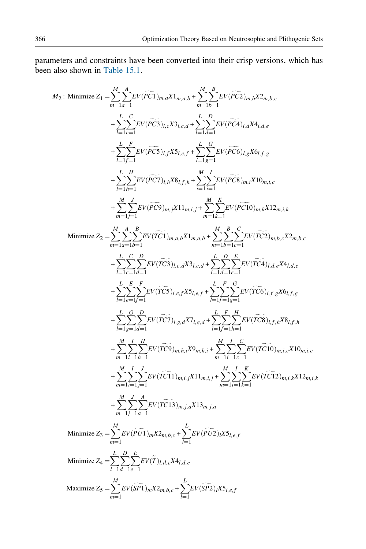parameters and constraints have been converted into their crisp versions, which has been also shown in [Table 15.1.](#page-24-0)

$$
M_{2}: \text{ Minimize } Z_{1} = \sum_{m=1}^{M} \sum_{a=1}^{A} EV(\widetilde{PC1})_{m,a} X1_{m,a,b} + \sum_{m=1}^{M} \sum_{b=1}^{B} EV(\widetilde{PC2})_{m,b} X2_{m,b,c}
$$
\n
$$
+ \sum_{l=1}^{L} \sum_{c=1}^{C} EV(\widetilde{PC3})_{l,c} X3_{l,c,d} + \sum_{l=1}^{L} \sum_{d=1}^{D} EV(\widetilde{PC4})_{l,d} X4_{l,d,e}
$$
\n
$$
+ \sum_{l=1}^{L} \sum_{p=1}^{F} EV(\widetilde{PC3})_{l,f} X5_{l,e,f} + \sum_{l=1}^{L} \sum_{g=1}^{G} EV(\widetilde{PC6})_{l,g} X6_{l,f,g}
$$
\n
$$
+ \sum_{l=1}^{L} \sum_{h=1}^{H} EV(\widetilde{PC7})_{l,h} X8_{l,f,h} + \sum_{l=1}^{M} \sum_{l=1}^{I} EV(\widetilde{PC6})_{m,i} X10_{m,i,c}
$$
\n
$$
+ \sum_{m=1}^{M} \sum_{j=1}^{I} EV(\widetilde{PC7})_{l,m} X11_{m,i,j} + \sum_{m=1}^{M} \sum_{k=1}^{L} EV(\widetilde{PC10})_{m,k} X12_{m,i,k}
$$
\nMinimize 
$$
Z_{2} = \sum_{m=1}^{M} \sum_{a=1}^{A} \sum_{b=1}^{B} EV(\widetilde{TC7})_{l,a,d} X1_{l,a,d} + \sum_{m=1}^{L} \sum_{b=1}^{D} \sum_{c=1}^{C} EV(\widetilde{TC2})_{l,a,d} X4_{l,d,e}
$$
\n
$$
+ \sum_{l=1}^{L} \sum_{e=1}^{C} \sum_{l=1}^{D} EV(\widetilde{TC3})_{l,e,d} X1_{l,e,f} + \sum_{l=1}^{L} \sum_{d=1}^{F} \sum_{e=1}^{C} EV(\widetilde{TC6})_{l,f,g} X6_{l,f,g}
$$
\n
$$
+ \sum_{l=1}^{L} \sum_{e=1}^{C} \sum_{l=1}^{D} EV(\widetilde{TC7})_{l,a,d} X1_{l,a,d} + \
$$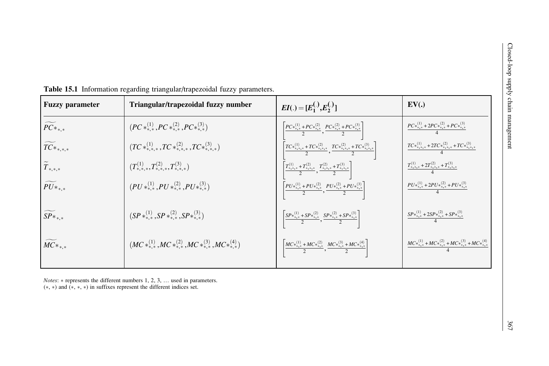| <b>Fuzzy parameter</b>    | Triangular/trapezoidal fuzzy number                                | $EI(.) = [E_1^{(.)}, E_2^{(.)}]$                                                                                        | EV(.)                                                             |
|---------------------------|--------------------------------------------------------------------|-------------------------------------------------------------------------------------------------------------------------|-------------------------------------------------------------------|
| $PC_{*,*}$                | $(PC *_{*,*}^{(1)}, PC *_{*,*}^{(2)}, PC *_{*,*}^{(3)})$           | $\left  \frac{PC*_{*,*}^{(1)}+PC*_{*,*}^{(2)}}{2}, \frac{PC*_{*,*}^{(2)}+PC*_{*,*}^{(3)}}{2} \right $                   | $\frac{PC_{*,*}^{(1)} + 2PC_{*,*}^{(2)} + PC_{*,*}^{(3)}}{4}$     |
| $\widetilde{TC*}_{*,*,*}$ | $(TC *_{*,*,*,*}^{(1)}, TC *_{*,*,*,*}^{(2)}, TC *_{*,*,*}^{(3)})$ | $\left[ \frac{TC*^{(1)}_{*,*,*} + TC*^{(2)}_{*,*,*,*}}{2}, \frac{TC*^{(2)}_{*,*,*,*} + TC*^{(3)}_{*,*,*,*}}{2} \right]$ | $TC*^{(1)}_{*,*,*} + 2TC*^{(2)}_{*,*,*} + TC*^{(3)}_{*,*,*}$      |
| $\widetilde{T}_{*,*,*}$   | $(T_{***}^{(1)}, T_{***}^{(2)}, T_{***}^{(3)}, T_{***}^{(3)})$     | $\left\lceil \frac{T_{*,*,*}^{(1)}+T_{*,*,*}^{(2)}}{2}, \frac{T_{*,*,*}^{(2)}+T_{*,*,*}^{(3)}}{2} \right\rceil$         | $T_{*,*,*}^{(1)}$ + $2T_{*,*,*}^{(2)}$ + $T_{*,*,*}^{(3)}$        |
| $\widetilde{PU*}_{*,*}$   | $(PU*^{(1)}_{*,*}, PU*^{(2)}_{*,*}, PU*^{(3)}_{*,*})$              | $\left\lceil \frac{PU*_{*,*}^{(1)}+PU*_{*,*}^{(2)}}{2}, \frac{PU*_{*,*}^{(2)}+PU*_{*,*}^{(3)}}{2} \right\rceil$         | $\underbrace{PU*^{(1)}_{*,*}+2PU*^{(2)}_{*,*}+PU*^{(3)}_{*,*}}$   |
| $\overline{SP*}_{*,*}$    | $(SP *^{(1)}_{*,*}, SP *^{(2)}_{*,*}, SP *^{(3)}_{*,*})$           | $\left  \frac{SP*_{*,*}^{(1)} + SP*_{*,*}^{(2)}}{2}, \frac{SP*_{*,*}^{(2)} + SP*_{*,*}^{(3)}}{2} \right $               | $\frac{SP*_{*,*}^{(1)} + 2SP*_{*,*}^{(2)} + SP*_{*,*}^{(3)}}{4}$  |
| $\widetilde{MC*}_{**}$    | $(MC*,^{(1)}_*,MC*,^{(2)}_*,MC*,^{(3)}_*,MC*,^{(4)}_*)$            | $\left  \frac{MC*^{(1)}_{*,*} + MC*^{(2)}_{*,*}}{2}, \frac{MC*^{(3)}_{*,*} + MC*^{(4)}_{*,*}}{2} \right $               | $MC*^{(1)}_{*,*}+MC*^{(2)}_{*,*}+MC*^{(3)}_{*,*}+MC*^{(4)}_{*,*}$ |

<span id="page-24-0"></span>Table 15.1 Information regarding triangular/trapezoidal fuzzy parameters.

Notes:  $*$  represents the different numbers 1, 2, 3, ... used in parameters. (\*, \*) and (\*, \*, \*) in suffixes represent the different indices set.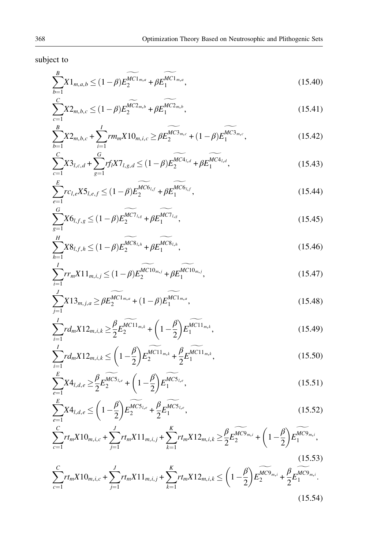<span id="page-25-0"></span>subject to

$$
\sum_{b=1}^{B} X1_{m,a,b} \le (1 - \beta) \widetilde{E_2^{MC1_{m,a}}} + \beta \widetilde{E_1^{MC1_{m,a}}},
$$
\n(15.40)

$$
\sum_{c=1}^{C} X2_{m,b,c} \le (1-\beta)E_2^{\widetilde{M C2}_{m,b}} + \beta E_1^{\widetilde{M C2}_{m,b}}, \tag{15.41}
$$

$$
\sum_{b=1}^{B} X2_{m,b,c} + \sum_{i=1}^{I} r m_m X10_{m,i,c} \ge \beta E_2^{\widetilde{MCS}_{m,c}} + (1-\beta) E_1^{\widetilde{MCS}_{m,c}}, \tag{15.42}
$$

$$
\sum_{c=1}^{C} X3_{l,c,d} + \sum_{g=1}^{G} rf_l X7_{l,g,d} \le (1 - \beta) E_2^{\widetilde{MCA}_{l,d}} + \beta E_1^{\widetilde{MCA}_{l,d}}, \tag{15.43}
$$

$$
\sum_{e=1}^{E} rc_{l,e} X5_{l,e,f} \leq (1-\beta) E_2^{\widetilde{MCG}_{l,f}} + \beta E_1^{\widetilde{MCG}_{l,f}}, \tag{15.44}
$$

$$
\sum_{g=1}^{G} X6_{l,f,g} \le (1-\beta) E_2^{\widetilde{MCT}_{l,g}} + \beta E_1^{\widetilde{MCT}_{l,g}}, \tag{15.45}
$$

$$
\sum_{h=1}^{H} X8_{l,f,h} \le (1 - \beta) E_2^{\widetilde{MCS}_{l,h}} + \beta E_1^{\widetilde{MCS}_{l,h}}, \tag{15.46}
$$

$$
\sum_{i=1}^{I} r r_{m} X 1 1_{m,i,j} \le (1 - \beta) E_{2}^{\widetilde{M C 10}_{m,j}} + \beta E_{1}^{\widetilde{M C 10}_{m,j}}, \tag{15.47}
$$

$$
\sum_{j=1}^{j} X13_{m,j,a} \ge \beta E_2^{\widetilde{MC1}_{m,a}} + (1-\beta) \widetilde{E_1^{MC1}_{n,a}},
$$
\n(15.48)

$$
\sum_{i=1}^{I} r d_m X 12_{m,i,k} \ge \frac{\beta}{2} E_2^{\widetilde{M C 11}_{m,k}} + \left( 1 - \frac{\beta}{2} \right) E_1^{\widetilde{M C 11}_{m,k}}, \tag{15.49}
$$

$$
\sum_{i=1}^{I} r d_m X 12_{m,i,k} \leq \left(1 - \frac{\beta}{2}\right) E_2^{\widetilde{M C 11}_{m,k}} + \frac{\beta}{2} E_1^{\widetilde{M C 11}_{m,k}},\tag{15.50}
$$

$$
\sum_{e=1}^{E} X4_{l,d,e} \ge \frac{\beta}{2} E_2^{\widetilde{MCS}_{l,e}} + \left(1 - \frac{\beta}{2}\right) E_1^{\widetilde{MCS}_{l,e}},\tag{15.51}
$$

$$
\sum_{e=1}^{E} X4_{l,d,e} \le \left(1 - \frac{\beta}{2}\right) E_2^{\widetilde{MCS}_{l,e}} + \frac{\beta}{2} E_1^{\widetilde{MCS}_{l,e}},\tag{15.52}
$$

$$
\sum_{c=1}^{C} rt_m X 10_{m,i,c} + \sum_{j=1}^{J} rt_m X 11_{m,i,j} + \sum_{k=1}^{K} rt_m X 12_{m,i,k} \geq \frac{\beta}{2} E_2^{\widetilde{MCO}_{m,i}} + \left(1 - \frac{\beta}{2}\right) E_1^{\widetilde{MCO}_{m,i}},\tag{15.53}
$$

$$
\sum_{c=1}^{C} rt_m X 10_{m,i,c} + \sum_{j=1}^{J} rt_m X 11_{m,i,j} + \sum_{k=1}^{K} rt_m X 12_{m,i,k} \leq \left(1 - \frac{\beta}{2}\right) E_2^{\widetilde{MCS}_{m,i}} + \frac{\beta}{2} E_1^{\widetilde{MCS}_{m,i}}.
$$
\n(15.54)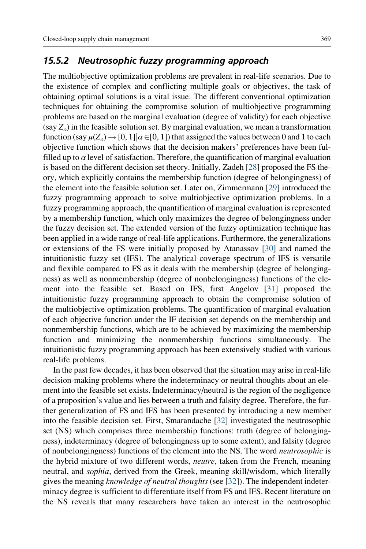The multiobjective optimization problems are prevalent in real-life scenarios. Due to the existence of complex and conflicting multiple goals or objectives, the task of obtaining optimal solutions is a vital issue. The different conventional optimization techniques for obtaining the compromise solution of multiobjective programming problems are based on the marginal evaluation (degree of validity) for each objective  $(say Z<sub>o</sub>)$  in the feasible solution set. By marginal evaluation, we mean a transformation function (say  $\mu(Z_o) \rightarrow [0, 1] | \alpha \in [0, 1]$ ) that assigned the values between 0 and 1 to each objective function which shows that the decision makers' preferences have been fulfilled up to  $\alpha$  level of satisfaction. Therefore, the quantification of marginal evaluation is based on the different decision set theory. Initially, Zadeh [\[28](#page-59-0)] proposed the FS theory, which explicitly contains the membership function (degree of belongingness) of the element into the feasible solution set. Later on, Zimmermann [[29](#page-59-0)] introduced the fuzzy programming approach to solve multiobjective optimization problems. In a fuzzy programming approach, the quantification of marginal evaluation is represented by a membership function, which only maximizes the degree of belongingness under the fuzzy decision set. The extended version of the fuzzy optimization technique has been applied in a wide range of real-life applications. Furthermore, the generalizations or extensions of the FS were initially proposed by Atanassov [[30\]](#page-59-0) and named the intuitionistic fuzzy set (IFS). The analytical coverage spectrum of IFS is versatile and flexible compared to FS as it deals with the membership (degree of belongingness) as well as nonmembership (degree of nonbelongingness) functions of the element into the feasible set. Based on IFS, first Angelov [\[31](#page-59-0)] proposed the intuitionistic fuzzy programming approach to obtain the compromise solution of the multiobjective optimization problems. The quantification of marginal evaluation of each objective function under the IF decision set depends on the membership and nonmembership functions, which are to be achieved by maximizing the membership function and minimizing the nonmembership functions simultaneously. The intuitionistic fuzzy programming approach has been extensively studied with various real-life problems.

In the past few decades, it has been observed that the situation may arise in real-life decision-making problems where the indeterminacy or neutral thoughts about an element into the feasible set exists. Indeterminacy/neutral is the region of the negligence of a proposition's value and lies between a truth and falsity degree. Therefore, the further generalization of FS and IFS has been presented by introducing a new member into the feasible decision set. First, Smarandache [[32\]](#page-59-0) investigated the neutrosophic set (NS) which comprises three membership functions: truth (degree of belongingness), indeterminacy (degree of belongingness up to some extent), and falsity (degree of nonbelongingness) functions of the element into the NS. The word neutrosophic is the hybrid mixture of two different words, neutre, taken from the French, meaning neutral, and sophia, derived from the Greek, meaning skill/wisdom, which literally gives the meaning knowledge of neutral thoughts (see [\[32](#page-59-0)]). The independent indeterminacy degree is sufficient to differentiate itself from FS and IFS. Recent literature on the NS reveals that many researchers have taken an interest in the neutrosophic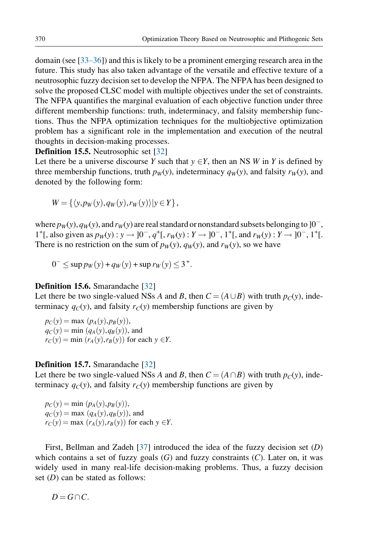domain (see [33–[36\]](#page-59-0)) and this is likely to be a prominent emerging research area in the future. This study has also taken advantage of the versatile and effective texture of a neutrosophic fuzzy decision set to develop the NFPA. The NFPA has been designed to solve the proposed CLSC model with multiple objectives under the set of constraints. The NFPA quantifies the marginal evaluation of each objective function under three different membership functions: truth, indeterminacy, and falsity membership functions. Thus the NFPA optimization techniques for the multiobjective optimization problem has a significant role in the implementation and execution of the neutral thoughts in decision-making processes.

Definition 15.5. Neutrosophic set [\[32](#page-59-0)]

Let there be a universe discourse Y such that  $y \in Y$ , then an NS W in Y is defined by three membership functions, truth  $p_W(y)$ , indeterminacy  $q_W(y)$ , and falsity  $r_W(y)$ , and denoted by the following form:

 $W = \{ \langle y, p_W(y), q_W(y), r_W(y) \rangle | y \in Y \},\$ 

where  $p_W(y)$ ,  $q_W(y)$ , and  $r_W(y)$  are real standard or nonstandard subsets belonging to  $]0^-,$ 1<sup>+</sup>[, also given as  $p_W(y)$  :  $y \to 0^-$ ,  $q^+$ [,  $r_W(y)$  :  $Y \to 0^-$ , 1<sup>+</sup>[, and  $r_W(y)$  :  $Y \to 0^-$ , 1<sup>+</sup>[.<br>There is no restriction on the sum of  $p_W(y)$ ,  $q_W(y)$  and  $r_W(y)$ , so we have There is no restriction on the sum of  $p_W(y)$ ,  $q_W(y)$ , and  $r_W(y)$ , so we have

 $0^- \leq \sup p_W(y) + q_W(y) + \sup r_W(y) \leq 3^+$ .

#### Definition 15.6. Smarandache [\[32](#page-59-0)]

Let there be two single-valued NSs A and B, then  $C = (A \cup B)$  with truth  $p_C(y)$ , indeterminacy  $q_C(y)$ , and falsity  $r_C(y)$  membership functions are given by

 $p_C(y) = \max (p_A(y), p_B(y)),$  $q_C(y) = \min (q_A(y), q_B(y))$ , and  $r_C(y) = \min(r_A(y), r_B(y))$  for each  $y \in Y$ .

#### Definition 15.7. Smarandache [\[32](#page-59-0)]

Let there be two single-valued NSs A and B, then  $C = (A \cap B)$  with truth  $p_C(y)$ , indeterminacy  $q_C(y)$ , and falsity  $r_C(y)$  membership functions are given by

 $p_C(y) = \min (p_A(y), p_B(y)),$  $q_C(y) = \max (q_A(y), q_B(y))$ , and  $r_C(y) = \max (r_A(y), r_B(y))$  for each  $y \in Y$ .

First, Bellman and Zadeh [[37\]](#page-59-0) introduced the idea of the fuzzy decision set (D) which contains a set of fuzzy goals  $(G)$  and fuzzy constraints  $(C)$ . Later on, it was widely used in many real-life decision-making problems. Thus, a fuzzy decision set  $(D)$  can be stated as follows:

$$
D = G \cap C.
$$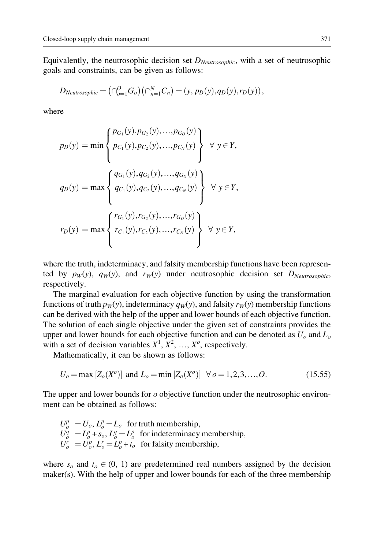<span id="page-28-0"></span>Equivalently, the neutrosophic decision set  $D_{Neutronophic}$ , with a set of neutrosophic goals and constraints, can be given as follows:

$$
D_{Neutrosophic} = (\bigcap_{o=1}^{O} G_o) (\bigcap_{n=1}^{N} C_n) = (y, p_D(y), q_D(y), r_D(y)),
$$

where

$$
p_D(y) = \min \left\{ \begin{aligned} p_{G_1}(y), p_{G_2}(y), \dots, p_{G_O}(y) \\ p_{C_1}(y), p_{C_2}(y), \dots, p_{C_N}(y) \end{aligned} \right\} \forall y \in Y,
$$
  

$$
q_D(y) = \max \left\{ \begin{aligned} q_{G_1}(y), q_{G_2}(y), \dots, q_{G_O}(y) \\ q_{C_1}(y), q_{C_2}(y), \dots, q_{C_N}(y) \end{aligned} \right\} \forall y \in Y,
$$
  

$$
r_D(y) = \max \left\{ \begin{aligned} r_{G_1}(y), r_{G_2}(y), \dots, r_{G_O}(y) \\ r_{C_1}(y), r_{C_2}(y), \dots, r_{C_N}(y) \end{aligned} \right\} \forall y \in Y,
$$

where the truth, indeterminacy, and falsity membership functions have been represented by  $p_W(y)$ ,  $q_W(y)$ , and  $r_W(y)$  under neutrosophic decision set  $D_{Neutronophic}$ , respectively.

The marginal evaluation for each objective function by using the transformation functions of truth  $p_W(y)$ , indeterminacy  $q_W(y)$ , and falsity  $r_W(y)$  membership functions can be derived with the help of the upper and lower bounds of each objective function. The solution of each single objective under the given set of constraints provides the upper and lower bounds for each objective function and can be denoted as  $U_o$  and  $L_o$ with a set of decision variables  $X^1$ ,  $X^2$ , ...,  $X^0$ , respectively.

Mathematically, it can be shown as follows:

$$
U_o = \max [Z_o(X^o)] \text{ and } L_o = \min [Z_o(X^o)] \quad \forall o = 1, 2, 3, ..., O. \tag{15.55}
$$

The upper and lower bounds for  $\sigma$  objective function under the neutrosophic environment can be obtained as follows:

$$
U_o^p = U_o, L_o^p = L_o
$$
 for truth membership,  
\n
$$
U_o^q = L_o^p + s_o, L_o^q = L_o^p
$$
 for indeterminacy membership,  
\n
$$
U_o^r = U_o^p, L_o^r = L_o^p + t_o
$$
 for falsity membership,

where  $s_o$  and  $t_o \in (0, 1)$  are predetermined real numbers assigned by the decision maker(s). With the help of upper and lower bounds for each of the three membership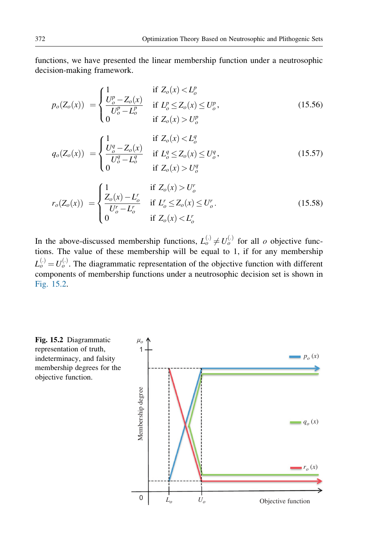<span id="page-29-0"></span>functions, we have presented the linear membership function under a neutrosophic decision-making framework.

$$
p_o(Z_o(x)) = \begin{cases} \frac{1}{U_o^p - Z_o(x)} & \text{if } Z_o(x) < L_o^p \\ \frac{U_o^p - L_o^p}{U_o^p - L_o^p} & \text{if } L_o^p \le Z_o(x) \le U_o^p, \\ 0 & \text{if } Z_o(x) > U_o^p \end{cases}
$$
(15.56)

$$
q_o(Z_o(x)) = \begin{cases} \n\frac{1}{U_o^q - Z_o(x)} & \text{if } Z_o(x) < L_o^q \\ \n\frac{U_o^q - Z_o(x)}{U_o^q - L_o^q} & \text{if } L_o^q \le Z_o(x) \le U_o^q, \\ \n0 & \text{if } Z_o(x) > U_o^q \n\end{cases} \tag{15.57}
$$

$$
r_o(Z_o(x)) = \begin{cases} \frac{1}{Z_o(x) - L_o'} & \text{if } Z_o(x) > U_o' \\ \frac{U_o^r - L_o'}{U_o^r - L_o'} & \text{if } L_o' \le Z_o(x) \le U_o' \\ 0 & \text{if } Z_o(x) < L_o' \end{cases}
$$
(15.58)

In the above-discussed membership functions,  $L_o^{(1)} \neq U_o^{(1)}$  for all  $o$  objective functions. The value of these membership will be equal to 1 if for any membership tions. The value of these membership will be equal to 1, if for any membership  $L_{\rm o}^{(.)} = U_{\rm o}^{(.)}$ . The diagrammatic representation of the objective function with different components of membership functions under a neutrosophic decision set is shown in components of membership functions under a neutrosophic decision set is shown in Fig. 15.2.

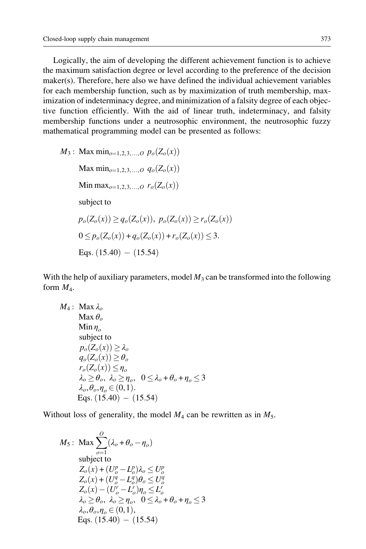Logically, the aim of developing the different achievement function is to achieve the maximum satisfaction degree or level according to the preference of the decision maker(s). Therefore, here also we have defined the individual achievement variables for each membership function, such as by maximization of truth membership, maximization of indeterminacy degree, and minimization of a falsity degree of each objective function efficiently. With the aid of linear truth, indeterminacy, and falsity membership functions under a neutrosophic environment, the neutrosophic fuzzy mathematical programming model can be presented as follows:

 $M_3$ : Max min<sub>o=1,2,3,...,O</sub>  $p_o(Z_o(x))$ Max min<sub>o=1,2,3,…,O</sub>  $q_o(Z_o(x))$ Min max<sub>0=1,2,3,…,O</sub>  $r_o(Z_o(x))$ subject to  $p_o(Z_o(x)) > q_o(Z_o(x)), p_o(Z_o(x)) > r_o(Z_o(x))$  $0 \leq p_o(Z_o(x)) + q_o(Z_o(x)) + r_o(Z_o(x)) \leq 3.$ Eqs.  $(15.40) - (15.54)$ 

With the help of auxiliary parameters, model  $M_3$  can be transformed into the following form  $M_4$ .

$$
M_4: \text{Max } \lambda_o
$$
  
\n
$$
\text{Max } \theta_o
$$
  
\n
$$
\text{Min } \eta_o
$$
  
\n
$$
\text{subject to}
$$
  
\n
$$
p_o(Z_o(x)) \ge \lambda_o
$$
  
\n
$$
q_o(Z_o(x)) \ge \theta_o
$$
  
\n
$$
r_o(Z_o(x)) \le \eta_o
$$
  
\n
$$
\lambda_o \ge \theta_o, \ \lambda_o \ge \eta_o, \ 0 \le \lambda_o + \theta_o + \eta_o \le 3
$$
  
\n
$$
\lambda_o, \theta_o, \eta_o \in (0, 1).
$$
  
\nEqs. (15.40) - (15.54)

Without loss of generality, the model  $M_4$  can be rewritten as in  $M_5$ .

$$
M_5: \text{ Max } \sum_{o=1}^{O} (\lambda_o + \theta_o - \eta_o)
$$
  
\nsubject to  
\n
$$
Z_o(x) + (U_o^p - L_o^p)\lambda_o \le U_o^p
$$
  
\n
$$
Z_o(x) + (U_o^q - L_o^q)\theta_o \le U_o^q
$$
  
\n
$$
Z_o(x) - (U_o^r - L_o^r)\eta_o \le L_o^r
$$
  
\n
$$
\lambda_o \ge \theta_o, \ \lambda_o \ge \eta_o, \ \ 0 \le \lambda_o + \theta_o + \eta_o \le 3
$$
  
\n
$$
\lambda_o, \theta_o, \eta_o \in (0, 1),
$$
  
\nEqs. (15.40) - (15.54)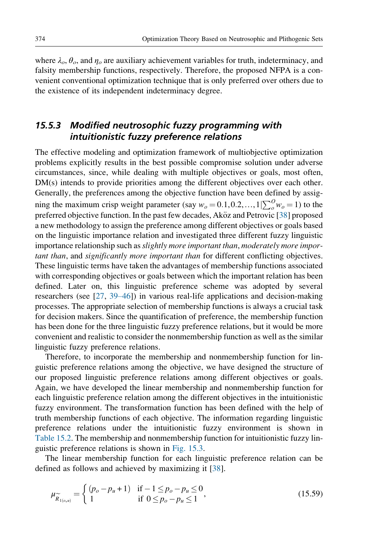<span id="page-31-0"></span>where  $\lambda_o$ ,  $\theta_o$ , and  $\eta_o$  are auxiliary achievement variables for truth, indeterminacy, and falsity membership functions, respectively. Therefore, the proposed NFPA is a convenient conventional optimization technique that is only preferred over others due to the existence of its independent indeterminacy degree.

## 15.5.3 Modified neutrosophic fuzzy programming with intuitionistic fuzzy preference relations

The effective modeling and optimization framework of multiobjective optimization problems explicitly results in the best possible compromise solution under adverse circumstances, since, while dealing with multiple objectives or goals, most often, DM(s) intends to provide priorities among the different objectives over each other. Generally, the preferences among the objective function have been defined by assigning the maximum crisp weight parameter (say  $w_o = 0.1, 0.2, ..., 1 | \sum_{o}^O w_o = 1$ ) to the preferred objective function. In the past few decades, Aköz and Petrovic [38] proposed preferred objective function. In the past few decades, Aköz and Petrovic [\[38](#page-59-0)] proposed a new methodology to assign the preference among different objectives or goals based on the linguistic importance relation and investigated three different fuzzy linguistic importance relationship such as slightly more important than, moderately more important than, and significantly more important than for different conflicting objectives. These linguistic terms have taken the advantages of membership functions associated with corresponding objectives or goals between which the important relation has been defined. Later on, this linguistic preference scheme was adopted by several researchers (see [\[27](#page-59-0), [39](#page-59-0)–46]) in various real-life applications and decision-making processes. The appropriate selection of membership functions is always a crucial task for decision makers. Since the quantification of preference, the membership function has been done for the three linguistic fuzzy preference relations, but it would be more convenient and realistic to consider the nonmembership function as well as the similar linguistic fuzzy preference relations.

Therefore, to incorporate the membership and nonmembership function for linguistic preference relations among the objective, we have designed the structure of our proposed linguistic preference relations among different objectives or goals. Again, we have developed the linear membership and nonmembership function for each linguistic preference relation among the different objectives in the intuitionistic fuzzy environment. The transformation function has been defined with the help of truth membership functions of each objective. The information regarding linguistic preference relations under the intuitionistic fuzzy environment is shown in [Table 15.2.](#page-32-0) The membership and nonmembership function for intuitionistic fuzzy linguistic preference relations is shown in [Fig. 15.3.](#page-33-0)

The linear membership function for each linguistic preference relation can be defined as follows and achieved by maximizing it [[38\]](#page-59-0).

$$
\mu_{\widetilde{R}_{1(o,u)}} = \begin{cases} (p_o - p_u + 1) & \text{if } -1 \le p_o - p_u \le 0 \\ 1 & \text{if } 0 \le p_o - p_u \le 1 \end{cases}
$$
\n(15.59)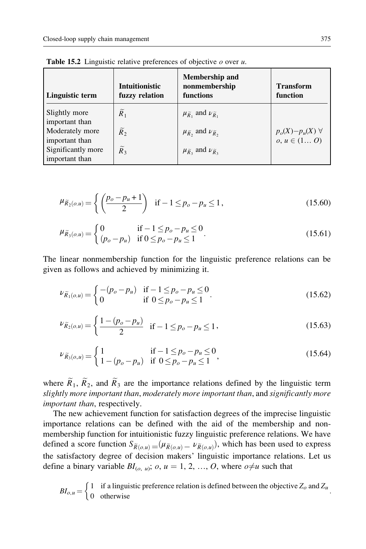| Linguistic term                                                                                              | <b>Intuitionistic</b><br>fuzzy relation                     | <b>Membership and</b><br>nonmembership<br>functions                                                                                                               | <b>Transform</b><br>function                    |
|--------------------------------------------------------------------------------------------------------------|-------------------------------------------------------------|-------------------------------------------------------------------------------------------------------------------------------------------------------------------|-------------------------------------------------|
| Slightly more<br>important than<br>Moderately more<br>important than<br>Significantly more<br>important than | $\widetilde{R}_1$<br>$\widetilde{R}_2$<br>$\widetilde{R}_3$ | $\mu_{\widetilde{R}_1}$ and $\nu_{\widetilde{R}_1}$<br>$\mu_{\widetilde{R}_2}$ and $\nu_{\widetilde{R}_2}$<br>$\mu_{\widetilde{R}_3}$ and $\nu_{\widetilde{R}_3}$ | $p_o(X) - p_u(X) \ \forall$<br>$o, u \in (1 O)$ |

<span id="page-32-0"></span>**Table 15.2** Linguistic relative preferences of objective  $o$  over u.

$$
\mu_{\widetilde{R}_2(o,u)} = \left\{ \left( \frac{p_o - p_u + 1}{2} \right) \text{ if } -1 \le p_o - p_u \le 1, \right\} \tag{15.60}
$$

$$
\mu_{\widetilde{R}_{3}(o,u)} = \begin{cases} 0 & \text{if } -1 \le p_o - p_u \le 0 \\ (p_o - p_u) & \text{if } 0 \le p_o - p_u \le 1 \end{cases} \tag{15.61}
$$

The linear nonmembership function for the linguistic preference relations can be given as follows and achieved by minimizing it.

$$
\nu_{\widetilde{R}_1(o,u)} = \begin{cases}\n-(p_o - p_u) & \text{if } -1 \le p_o - p_u \le 0 \\
0 & \text{if } 0 \le p_o - p_u \le 1\n\end{cases} (15.62)
$$

$$
\nu_{\widetilde{R}_2(o,u)} = \left\{ \frac{1 - (p_o - p_u)}{2} \quad \text{if } -1 \le p_o - p_u \le 1, \right. \tag{15.63}
$$

$$
\nu_{\widetilde{R}_{3}(o,u)} = \begin{cases} 1 & \text{if } -1 \le p_o - p_u \le 0 \\ 1 - (p_o - p_u) & \text{if } 0 \le p_o - p_u \le 1 \end{cases}
$$
\n(15.64)

where  $\widetilde{R}_1$ ,  $\widetilde{R}_2$ , and  $\widetilde{R}_3$  are the importance relations defined by the linguistic term slightly more important than, moderately more important than, and significantly more important than, respectively.

The new achievement function for satisfaction degrees of the imprecise linguistic importance relations can be defined with the aid of the membership and nonmembership function for intuitionistic fuzzy linguistic preference relations. We have defined a score function  $S_{\tilde{R}(o,u)} = (\mu_{\tilde{R}(o,u)} - \nu_{\tilde{R}(o,u)})$ , which has been used to express<br>the satisfactory degree of decision makers' linguistic importance relations. Let us the satisfactory degree of decision makers' linguistic importance relations. Let us define a binary variable  $BI_{(o, u)}$ ; o,  $u = 1, 2, ..., O$ , where  $o \neq u$  such that

$$
BI_{o,u} = \begin{cases} 1 & \text{if a linguistic preference relation is defined between the objective } Z_o \text{ and } Z_u \\ 0 & \text{otherwise} \end{cases}.
$$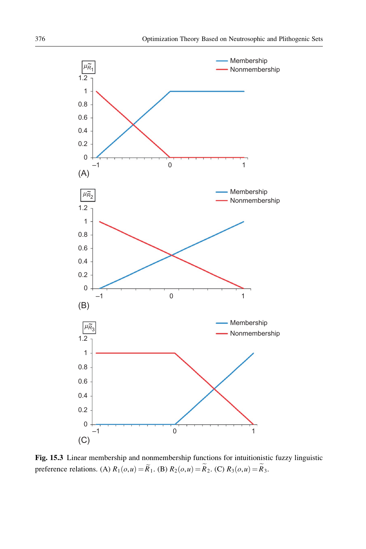<span id="page-33-0"></span>

Fig. 15.3 Linear membership and nonmembership functions for intuitionistic fuzzy linguistic preference relations. (A)  $R_1(o, u) = R_1$ . (B)  $R_2(o, u) = R_2$ . (C)  $R_3(o, u) = R_3$ .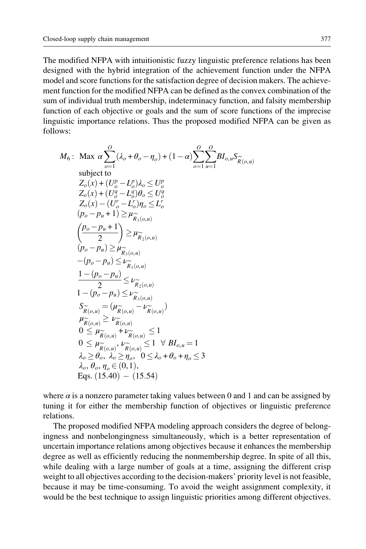The modified NFPA with intuitionistic fuzzy linguistic preference relations has been designed with the hybrid integration of the achievement function under the NFPA model and score functions for the satisfaction degree of decision makers. The achievement function for the modified NFPA can be defined as the convex combination of the sum of individual truth membership, indeterminacy function, and falsity membership function of each objective or goals and the sum of score functions of the imprecise linguistic importance relations. Thus the proposed modified NFPA can be given as follows:

$$
M_6: \text{Max } \alpha \sum_{o=1}^{O} (\lambda_o + \theta_o - \eta_o) + (1 - \alpha) \sum_{o=1}^{O} \sum_{u=1}^{O} B I_{o,u} S_{\widetilde{R}(o,u)}
$$
\nsubject to\n
$$
Z_o(x) + (U_o^p - L_o^p)\lambda_o \leq U_o^p
$$
\n
$$
Z_o(x) + (U_o^q - L_o^q)\theta_o \leq U_o^q
$$
\n
$$
Z_o(x) - (U_o^r - L_o^r)\eta_o \leq L_o^r
$$
\n
$$
(p_o - p_u + 1) \geq \mu_{\widetilde{R}_1(o,u)}
$$
\n
$$
(\frac{p_o - p_u + 1}{2}) \geq \mu_{\widetilde{R}_2(o,u)}
$$
\n
$$
(p_o - p_u) \leq \mu_{\widetilde{R}_3(o,u)}
$$
\n
$$
-(p_o - p_u) \leq \nu_{\widetilde{R}_1(o,u)}
$$
\n
$$
\frac{1 - (p_o - p_u)}{2} \leq \nu_{\widetilde{R}_2(o,u)}
$$
\n
$$
S_{\widetilde{R}(o,u)} = (\mu_{\widetilde{R}(o,u)} - \nu_{\widetilde{R}(o,u)})
$$
\n
$$
\mu_{\widetilde{R}(o,u)} \geq \nu_{\widetilde{R}(o,u)}
$$
\n
$$
0 \leq \mu_{\widetilde{R}(o,u)} + \nu_{\widetilde{R}(o,u)} \leq 1
$$
\n
$$
0 \leq \mu_{\widetilde{R}(o,u)} + \nu_{\widetilde{R}(o,u)} \leq 1 \quad \forall \ B I_{o,u} = 1
$$
\n
$$
\lambda_o \geq \theta_o, \ \lambda_o \geq \eta_o, \ 0 \leq \lambda_o + \theta_o + \eta_o \leq 3
$$
\n
$$
\lambda_o, \theta_o, \eta_o \in (0, 1),
$$
\nEqs. (15.40) - (15.54)

where  $\alpha$  is a nonzero parameter taking values between 0 and 1 and can be assigned by tuning it for either the membership function of objectives or linguistic preference relations.

The proposed modified NFPA modeling approach considers the degree of belongingness and nonbelongingness simultaneously, which is a better representation of uncertain importance relations among objectives because it enhances the membership degree as well as efficiently reducing the nonmembership degree. In spite of all this, while dealing with a large number of goals at a time, assigning the different crisp weight to all objectives according to the decision-makers' priority level is not feasible, because it may be time-consuming. To avoid the weight assignment complexity, it would be the best technique to assign linguistic priorities among different objectives.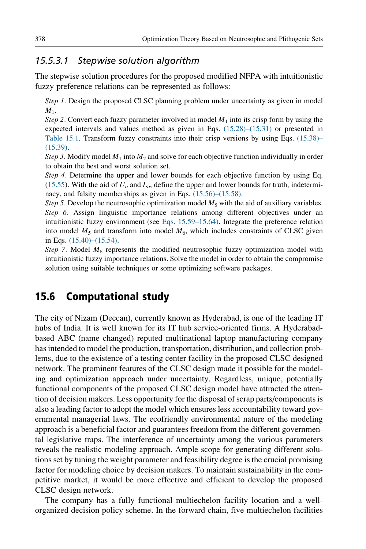#### <span id="page-35-0"></span>15.5.3.1 Stepwise solution algorithm

The stepwise solution procedures for the proposed modified NFPA with intuitionistic fuzzy preference relations can be represented as follows:

Step 1. Design the proposed CLSC planning problem under uncertainty as given in model  $M_1$ .

Step 2. Convert each fuzzy parameter involved in model  $M_1$  into its crisp form by using the expected intervals and values method as given in Eqs. (15.28)–[\(15.31\)](#page-21-0) or presented in [Table 15.1.](#page-24-0) Transform fuzzy constraints into their crisp versions by using Eqs. [\(15.38\)](#page-22-0)– [\(15.39\).](#page-22-0)

Step 3. Modify model  $M_1$  into  $M_2$  and solve for each objective function individually in order to obtain the best and worst solution set.

Step 4. Determine the upper and lower bounds for each objective function by using Eq. [\(15.55\)](#page-28-0). With the aid of  $U<sub>o</sub>$  and  $L<sub>o</sub>$ , define the upper and lower bounds for truth, indeterminacy, and falsity memberships as given in Eqs. [\(15.56\)](#page-29-0)–(15.58).

Step 5. Develop the neutrosophic optimization model  $M_5$  with the aid of auxiliary variables. Step 6. Assign linguistic importance relations among different objectives under an intuitionistic fuzzy environment (see [Eqs. 15.59](#page-31-0)–15.64). Integrate the preference relation into model  $M_5$  and transform into model  $M_6$ , which includes constraints of CLSC given in Eqs. [\(15.40\)](#page-25-0)–(15.54).

Step 7. Model  $M_6$  represents the modified neutrosophic fuzzy optimization model with intuitionistic fuzzy importance relations. Solve the model in order to obtain the compromise solution using suitable techniques or some optimizing software packages.

# 15.6 Computational study

The city of Nizam (Deccan), currently known as Hyderabad, is one of the leading IT hubs of India. It is well known for its IT hub service-oriented firms. A Hyderabadbased ABC (name changed) reputed multinational laptop manufacturing company has intended to model the production, transportation, distribution, and collection problems, due to the existence of a testing center facility in the proposed CLSC designed network. The prominent features of the CLSC design made it possible for the modeling and optimization approach under uncertainty. Regardless, unique, potentially functional components of the proposed CLSC design model have attracted the attention of decision makers. Less opportunity for the disposal of scrap parts/components is also a leading factor to adopt the model which ensures less accountability toward governmental managerial laws. The ecofriendly environmental nature of the modeling approach is a beneficial factor and guarantees freedom from the different governmental legislative traps. The interference of uncertainty among the various parameters reveals the realistic modeling approach. Ample scope for generating different solutions set by tuning the weight parameter and feasibility degree is the crucial promising factor for modeling choice by decision makers. To maintain sustainability in the competitive market, it would be more effective and efficient to develop the proposed CLSC design network.

The company has a fully functional multiechelon facility location and a wellorganized decision policy scheme. In the forward chain, five multiechelon facilities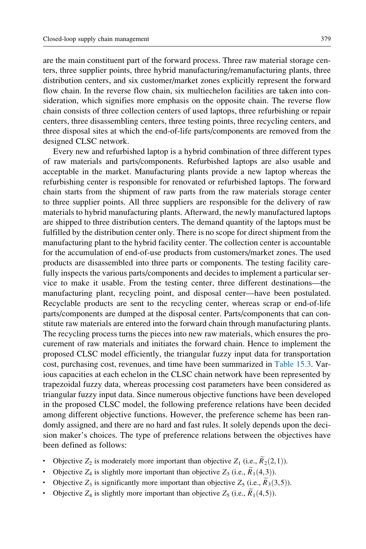are the main constituent part of the forward process. Three raw material storage centers, three supplier points, three hybrid manufacturing/remanufacturing plants, three distribution centers, and six customer/market zones explicitly represent the forward flow chain. In the reverse flow chain, six multiechelon facilities are taken into consideration, which signifies more emphasis on the opposite chain. The reverse flow chain consists of three collection centers of used laptops, three refurbishing or repair centers, three disassembling centers, three testing points, three recycling centers, and three disposal sites at which the end-of-life parts/components are removed from the designed CLSC network.

Every new and refurbished laptop is a hybrid combination of three different types of raw materials and parts/components. Refurbished laptops are also usable and acceptable in the market. Manufacturing plants provide a new laptop whereas the refurbishing center is responsible for renovated or refurbished laptops. The forward chain starts from the shipment of raw parts from the raw materials storage center to three supplier points. All three suppliers are responsible for the delivery of raw materials to hybrid manufacturing plants. Afterward, the newly manufactured laptops are shipped to three distribution centers. The demand quantity of the laptops must be fulfilled by the distribution center only. There is no scope for direct shipment from the manufacturing plant to the hybrid facility center. The collection center is accountable for the accumulation of end-of-use products from customers/market zones. The used products are disassembled into three parts or components. The testing facility carefully inspects the various parts/components and decides to implement a particular service to make it usable. From the testing center, three different destinations—the manufacturing plant, recycling point, and disposal center—have been postulated. Recyclable products are sent to the recycling center, whereas scrap or end-of-life parts/components are dumped at the disposal center. Parts/components that can constitute raw materials are entered into the forward chain through manufacturing plants. The recycling process turns the pieces into new raw materials, which ensures the procurement of raw materials and initiates the forward chain. Hence to implement the proposed CLSC model efficiently, the triangular fuzzy input data for transportation cost, purchasing cost, revenues, and time have been summarized in [Table 15.3](#page-37-0). Various capacities at each echelon in the CLSC chain network have been represented by trapezoidal fuzzy data, whereas processing cost parameters have been considered as triangular fuzzy input data. Since numerous objective functions have been developed in the proposed CLSC model, the following preference relations have been decided among different objective functions. However, the preference scheme has been randomly assigned, and there are no hard and fast rules. It solely depends upon the decision maker's choices. The type of preference relations between the objectives have been defined as follows:

- Objective  $Z_2$  is moderately more important than objective  $Z_1$  (i.e.,  $\widetilde{R}_2(2,1)$ ).
- Objective  $Z_4$  is slightly more important than objective  $Z_3$  (i.e.,  $\tilde{R_1}(4,3)$ ).
- Objective  $Z_3$  is significantly more important than objective  $Z_5$  (i.e.,  $\widetilde{R}_3(3,5)$ ).
- Objective  $Z_4$  is slightly more important than objective  $Z_5$  (i.e.,  $\widetilde{R}_1(4,5)$ ).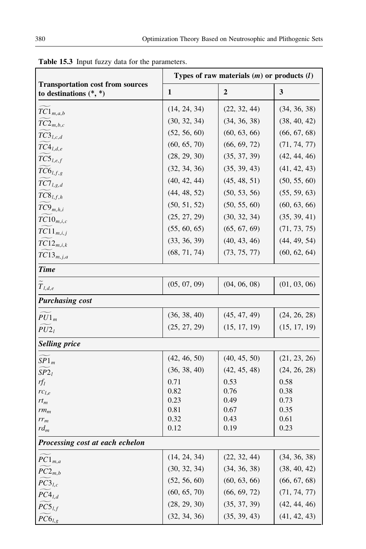|                                                                     | Types of raw materials $(m)$ or products $(l)$ |                  |              |  |
|---------------------------------------------------------------------|------------------------------------------------|------------------|--------------|--|
| <b>Transportation cost from sources</b><br>to destinations $(*, *)$ | 1                                              | $\boldsymbol{2}$ | 3            |  |
| $TC1_{m,a,b}$                                                       | (14, 24, 34)                                   | (22, 32, 44)     | (34, 36, 38) |  |
| $TC2_{m,b,c}$                                                       | (30, 32, 34)                                   | (34, 36, 38)     | (38, 40, 42) |  |
| $TC3_{l,c,d}$                                                       | (52, 56, 60)                                   | (60, 63, 66)     | (66, 67, 68) |  |
| $TC4_{l,d,e}$                                                       | (60, 65, 70)                                   | (66, 69, 72)     | (71, 74, 77) |  |
| $TC5_{l,e,f}$                                                       | (28, 29, 30)                                   | (35, 37, 39)     | (42, 44, 46) |  |
| $TC6_{l,f,g}$                                                       | (32, 34, 36)                                   | (35, 39, 43)     | (41, 42, 43) |  |
| $TC7_{l,g,d}$                                                       | (40, 42, 44)                                   | (45, 48, 51)     | (50, 55, 60) |  |
| $TC8_{l,f,h}$                                                       | (44, 48, 52)                                   | (50, 53, 56)     | (55, 59, 63) |  |
| $TC9_{m,h,i}$                                                       | (50, 51, 52)                                   | (50, 55, 60)     | (60, 63, 66) |  |
| $TC10_{m,i,c}$                                                      | (25, 27, 29)                                   | (30, 32, 34)     | (35, 39, 41) |  |
| $TC11_{m,i,j}$                                                      | (55, 60, 65)                                   | (65, 67, 69)     | (71, 73, 75) |  |
| $TC12_{m,i,k}$                                                      | (33, 36, 39)                                   | (40, 43, 46)     | (44, 49, 54) |  |
| $TC13_{m,j,a}$                                                      | (68, 71, 74)                                   | (73, 75, 77)     | (60, 62, 64) |  |
| <b>Time</b>                                                         |                                                |                  |              |  |
| $T_{l,d,e}$                                                         | (05, 07, 09)                                   | (04, 06, 08)     | (01, 03, 06) |  |
| <b>Purchasing cost</b>                                              |                                                |                  |              |  |
| PU1 <sub>m</sub>                                                    | (36, 38, 40)                                   | (45, 47, 49)     | (24, 26, 28) |  |
| PU2 <sub>l</sub>                                                    | (25, 27, 29)                                   | (15, 17, 19)     | (15, 17, 19) |  |
| <b>Selling price</b>                                                |                                                |                  |              |  |
| SP1 <sub>m</sub>                                                    | (42, 46, 50)                                   | (40, 45, 50)     | (21, 23, 26) |  |
| SP2 <sub>l</sub>                                                    | (36, 38, 40)                                   | (42, 45, 48)     | (24, 26, 28) |  |
| $rf_l$                                                              | 0.71                                           | 0.53             | 0.58         |  |
| $rc_{l,e}$                                                          | 0.82                                           | 0.76             | 0.38         |  |
| $r t_m$                                                             | 0.23                                           | 0.49             | 0.73         |  |
| $rm_m$                                                              | 0.81<br>0.32                                   | 0.67<br>0.43     | 0.35<br>0.61 |  |
| $rr_m$<br>$rd_m$                                                    | 0.12                                           | 0.19             | 0.23         |  |
| Processing cost at each echelon                                     |                                                |                  |              |  |
|                                                                     | (14, 24, 34)                                   | (22, 32, 44)     | (34, 36, 38) |  |
| $PC1_{m,a}$                                                         | (30, 32, 34)                                   | (34, 36, 38)     | (38, 40, 42) |  |
| $PC2_{m,b}$<br>$PC3_{l,c}$                                          | (52, 56, 60)                                   | (60, 63, 66)     | (66, 67, 68) |  |
| $PC4_{l,d}$                                                         | (60, 65, 70)                                   | (66, 69, 72)     | (71, 74, 77) |  |
| $PC5_{l,f}$                                                         | (28, 29, 30)                                   | (35, 37, 39)     | (42, 44, 46) |  |
| $PC6_{l,g}$                                                         | (32, 34, 36)                                   | (35, 39, 43)     | (41, 42, 43) |  |

<span id="page-37-0"></span>Table 15.3 Input fuzzy data for the parameters.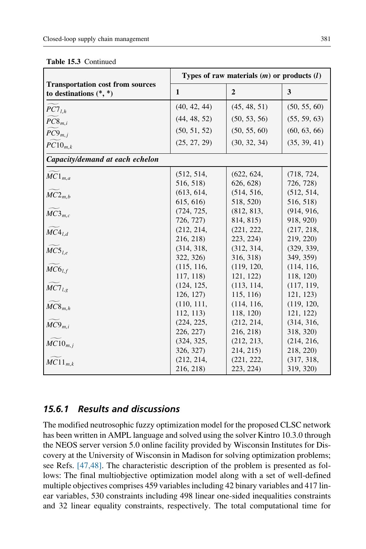|                                                                     | Types of raw materials $(m)$ or products $(l)$ |                                      |                                      |  |
|---------------------------------------------------------------------|------------------------------------------------|--------------------------------------|--------------------------------------|--|
| <b>Transportation cost from sources</b><br>to destinations $(*, *)$ | 1                                              | $\overline{2}$                       | 3                                    |  |
| $PC7_{l,h}$                                                         | (40, 42, 44)                                   | (45, 48, 51)                         | (50, 55, 60)                         |  |
| PC8 <sub>m,i</sub>                                                  | (44, 48, 52)                                   | (50, 53, 56)                         | (55, 59, 63)                         |  |
| $PC9_{m,j}$                                                         | (50, 51, 52)                                   | (50, 55, 60)                         | (60, 63, 66)                         |  |
| $PC10_{m,k}$                                                        | (25, 27, 29)                                   | (30, 32, 34)                         | (35, 39, 41)                         |  |
| Capacity/demand at each echelon                                     |                                                |                                      |                                      |  |
| $MC1_{m,a}$                                                         | (512, 514,                                     | (622, 624,                           | (718, 724,                           |  |
|                                                                     | 516, 518)                                      | 626, 628                             | 726, 728)                            |  |
| $MC2_{m,b}$                                                         | (613, 614,<br>615, 616)                        | (514, 516,                           | (512, 514,                           |  |
| $MC3_{m,c}$                                                         | (724, 725,<br>726, 727)                        | 518, 520)<br>(812, 813,<br>814, 815) | 516, 518)<br>(914, 916,<br>918, 920) |  |
| $MC4_{l,d}$                                                         | (212, 214,                                     | (221, 222,                           | (217, 218,                           |  |
|                                                                     | 216, 218)                                      | 223, 224)                            | 219, 220)                            |  |
| $\widetilde{MC5}_{l,e}$                                             | (314, 318,                                     | (312, 314,                           | (329, 339,                           |  |
|                                                                     | 322, 326)                                      | 316, 318)                            | 349, 359)                            |  |
| $MC6$ <sub>l,f</sub>                                                | (115, 116,                                     | (119, 120,                           | (114, 116,                           |  |
|                                                                     | 117, 118)                                      | 121, 122)                            | 118, 120)                            |  |
| $MC7_{l,g}$                                                         | (124, 125,                                     | (113, 114,                           | (117, 119,                           |  |
|                                                                     | 126, 127)                                      | 115, 116)                            | 121, 123)                            |  |
| $MC8_{m,h}$                                                         | (110, 111,                                     | (114, 116,                           | (119, 120,                           |  |
|                                                                     | 112, 113)                                      | 118, 120)                            | 121, 122)                            |  |
| $MC9_{m,i}$                                                         | (224, 225,                                     | (212, 214,                           | (314, 316,                           |  |
|                                                                     | 226, 227)                                      | 216, 218)                            | 318, 320)                            |  |
| $\widetilde{MC10}_{m,j}$                                            | (324, 325,                                     | (212, 213,                           | (214, 216,                           |  |
|                                                                     | 326, 327)                                      | 214, 215)                            | 218, 220)                            |  |
| $MC11_{m,k}$                                                        | (212, 214,                                     | (221, 222,                           | (317, 318,                           |  |
|                                                                     | 216, 218)                                      | 223, 224)                            | 319, 320)                            |  |

|  |  |  | Table 15.3 Continued |
|--|--|--|----------------------|
|--|--|--|----------------------|

#### 15.6.1 Results and discussions

The modified neutrosophic fuzzy optimization model for the proposed CLSC network has been written in AMPL language and solved using the solver Kintro 10.3.0 through the NEOS server version 5.0 online facility provided by Wisconsin Institutes for Discovery at the University of Wisconsin in Madison for solving optimization problems; see Refs. [\[47,48\]](#page-60-0). The characteristic description of the problem is presented as follows: The final multiobjective optimization model along with a set of well-defined multiple objectives comprises 459 variables including 42 binary variables and 417 linear variables, 530 constraints including 498 linear one-sided inequalities constraints and 32 linear equality constraints, respectively. The total computational time for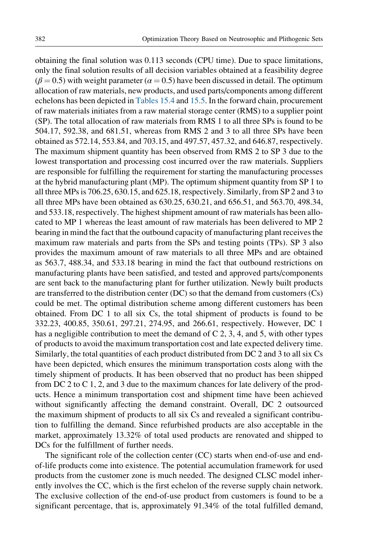obtaining the final solution was 0.113 seconds (CPU time). Due to space limitations, only the final solution results of all decision variables obtained at a feasibility degree  $(\beta = 0.5)$  with weight parameter ( $\alpha = 0.5$ ) have been discussed in detail. The optimum allocation of raw materials, new products, and used parts/components among different echelons has been depicted in [Tables 15.4](#page-40-0) and [15.5](#page-42-0). In the forward chain, procurement of raw materials initiates from a raw material storage center (RMS) to a supplier point (SP). The total allocation of raw materials from RMS 1 to all three SPs is found to be 504.17, 592.38, and 681.51, whereas from RMS 2 and 3 to all three SPs have been obtained as 572.14, 553.84, and 703.15, and 497.57, 457.32, and 646.87, respectively. The maximum shipment quantity has been observed from RMS 2 to SP 3 due to the lowest transportation and processing cost incurred over the raw materials. Suppliers are responsible for fulfilling the requirement for starting the manufacturing processes at the hybrid manufacturing plant (MP). The optimum shipment quantity from SP 1 to all three MPs is 706.25, 630.15, and 625.18, respectively. Similarly, from SP 2 and 3 to all three MPs have been obtained as 630.25, 630.21, and 656.51, and 563.70, 498.34, and 533.18, respectively. The highest shipment amount of raw materials has been allocated to MP 1 whereas the least amount of raw materials has been delivered to MP 2 bearing in mind the fact that the outbound capacity of manufacturing plant receives the maximum raw materials and parts from the SPs and testing points (TPs). SP 3 also provides the maximum amount of raw materials to all three MPs and are obtained as 563.7, 488.34, and 533.18 bearing in mind the fact that outbound restrictions on manufacturing plants have been satisfied, and tested and approved parts/components are sent back to the manufacturing plant for further utilization. Newly built products are transferred to the distribution center (DC) so that the demand from customers (Cs) could be met. The optimal distribution scheme among different customers has been obtained. From DC 1 to all six Cs, the total shipment of products is found to be 332.23, 400.85, 350.61, 297.21, 274.95, and 266.61, respectively. However, DC 1 has a negligible contribution to meet the demand of C 2, 3, 4, and 5, with other types of products to avoid the maximum transportation cost and late expected delivery time. Similarly, the total quantities of each product distributed from DC 2 and 3 to all six Cs have been depicted, which ensures the minimum transportation costs along with the timely shipment of products. It has been observed that no product has been shipped from DC 2 to C 1, 2, and 3 due to the maximum chances for late delivery of the products. Hence a minimum transportation cost and shipment time have been achieved without significantly affecting the demand constraint. Overall, DC 2 outsourced the maximum shipment of products to all six Cs and revealed a significant contribution to fulfilling the demand. Since refurbished products are also acceptable in the market, approximately 13.32% of total used products are renovated and shipped to DCs for the fulfillment of further needs.

The significant role of the collection center (CC) starts when end-of-use and endof-life products come into existence. The potential accumulation framework for used products from the customer zone is much needed. The designed CLSC model inherently involves the CC, which is the first echelon of the reverse supply chain network. The exclusive collection of the end-of-use product from customers is found to be a significant percentage, that is, approximately 91.34% of the total fulfilled demand,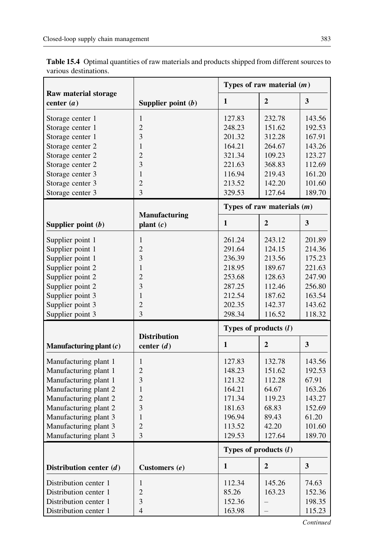|                                      |                                     |                         | Types of raw material $(m)$  |                  |
|--------------------------------------|-------------------------------------|-------------------------|------------------------------|------------------|
| Raw material storage<br>center (a)   | Supplier point $(b)$                | $\mathbf{1}$            | $\mathbf{2}$                 | 3                |
| Storage center 1                     | $\mathbf{1}$                        | 127.83                  | 232.78                       | 143.56           |
| Storage center 1                     | $\overline{2}$                      | 248.23                  | 151.62                       | 192.53           |
| Storage center 1                     | 3                                   | 201.32                  | 312.28                       | 167.91           |
| Storage center 2                     | $\mathbf{1}$                        | 164.21                  | 264.67                       | 143.26           |
| Storage center 2                     | $\overline{2}$                      | 321.34                  | 109.23                       | 123.27           |
| Storage center 2                     | 3                                   | 221.63                  | 368.83                       | 112.69           |
| Storage center 3                     | $\mathbf{1}$                        | 116.94                  | 219.43                       | 161.20           |
| Storage center 3                     | $\overline{c}$                      | 213.52                  | 142.20                       | 101.60           |
| Storage center 3                     | 3                                   | 329.53                  | 127.64                       | 189.70           |
|                                      |                                     |                         | Types of raw materials $(m)$ |                  |
| Supplier point $(b)$                 | <b>Manufacturing</b><br>plant $(c)$ | $\mathbf{1}$            | $\overline{2}$               | 3                |
|                                      |                                     |                         |                              |                  |
| Supplier point 1                     | 1<br>$\overline{2}$                 | 261.24                  | 243.12                       | 201.89           |
| Supplier point 1<br>Supplier point 1 | 3                                   | 291.64<br>236.39        | 124.15<br>213.56             | 214.36<br>175.23 |
|                                      | $\mathbf{1}$                        |                         |                              | 221.63           |
| Supplier point 2                     | $\overline{2}$                      | 218.95                  | 189.67<br>128.63             | 247.90           |
| Supplier point 2                     | 3                                   | 253.68<br>287.25        | 112.46                       | 256.80           |
| Supplier point 2                     | $\mathbf{1}$                        | 212.54                  |                              |                  |
| Supplier point 3<br>Supplier point 3 | $\overline{2}$                      | 202.35                  | 187.62<br>142.37             | 163.54           |
|                                      | 3                                   | 298.34                  | 116.52                       | 143.62<br>118.32 |
| Supplier point 3                     |                                     |                         |                              |                  |
|                                      | <b>Distribution</b>                 | Types of products $(l)$ |                              |                  |
| Manufacturing plant $(c)$            | center $(d)$                        | $\mathbf{1}$            | $\overline{2}$               | 3                |
| Manufacturing plant 1                | 1                                   | 127.83                  | 132.78                       | 143.56           |
| Manufacturing plant 1                | $\overline{c}$                      | 148.23                  | 151.62                       | 192.53           |
| Manufacturing plant 1                | 3                                   | 121.32                  | 112.28                       | 67.91            |
| Manufacturing plant 2                | 1                                   | 164.21                  | 64.67                        | 163.26           |
| Manufacturing plant 2                | $\overline{2}$                      | 171.34                  | 119.23                       | 143.27           |
| Manufacturing plant 2                | 3                                   | 181.63                  | 68.83                        | 152.69           |
| Manufacturing plant 3                | $\mathbf{1}$                        | 196.94                  | 89.43                        | 61.20            |
| Manufacturing plant 3                | $\overline{2}$                      | 113.52                  | 42.20                        | 101.60           |
| Manufacturing plant 3                | 3                                   | 129.53                  | 127.64                       | 189.70           |
|                                      |                                     | Types of products $(l)$ |                              |                  |
| Distribution center $(d)$            | Customers $(e)$                     | $\mathbf{1}$            | $\overline{2}$               | 3                |
| Distribution center 1                | $\mathbf{1}$                        | 112.34                  | 145.26                       | 74.63            |
| Distribution center 1                | $\overline{c}$                      | 85.26                   | 163.23                       | 152.36           |
| Distribution center 1                | 3                                   | 152.36                  |                              | 198.35           |
| Distribution center 1                | $\overline{4}$                      | 163.98                  | $\overline{\phantom{0}}$     | 115.23           |
|                                      |                                     |                         |                              |                  |

<span id="page-40-0"></span>Table 15.4 Optimal quantities of raw materials and products shipped from different sources to various destinations.

**Continued**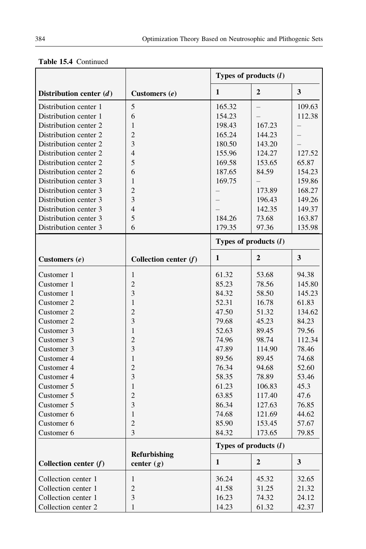| 109.63                |
|-----------------------|
| 112.38                |
|                       |
|                       |
|                       |
| 127.52                |
| 65.87                 |
| 154.23                |
| 159.86                |
| 168.27                |
| 149.26                |
| 149.37                |
|                       |
| 163.87                |
| 135.98                |
|                       |
|                       |
| 94.38                 |
| 145.80                |
| 145.23                |
| 61.83                 |
| 134.62                |
| 84.23                 |
| 79.56                 |
| 112.34                |
| 78.46                 |
| 74.68                 |
| 52.60                 |
|                       |
|                       |
|                       |
|                       |
| 76.85                 |
| 44.62                 |
| 57.67                 |
| 79.85                 |
|                       |
|                       |
| 32.65                 |
| 21.32                 |
| 24.12                 |
| 42.37                 |
| 53.46<br>45.3<br>47.6 |

#### Table 15.4 Continued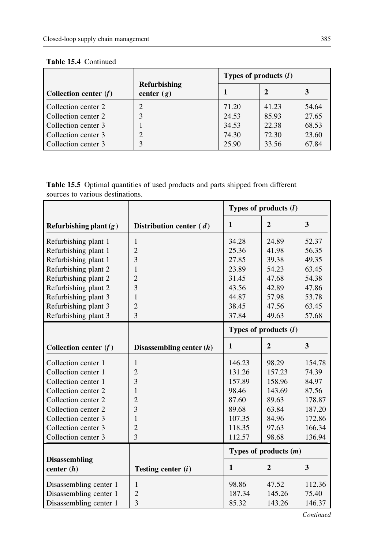#### <span id="page-42-0"></span>Table 15.4 Continued

|                         |                                     | Types of products $(l)$ |       |       |  |  |
|-------------------------|-------------------------------------|-------------------------|-------|-------|--|--|
| Collection center $(f)$ | <b>Refurbishing</b><br>center $(g)$ |                         |       |       |  |  |
| Collection center 2     | C                                   | 71.20                   | 41.23 | 54.64 |  |  |
| Collection center 2     |                                     | 24.53                   | 85.93 | 27.65 |  |  |
| Collection center 3     |                                     | 34.53                   | 22.38 | 68.53 |  |  |
| Collection center 3     |                                     | 74.30                   | 72.30 | 23.60 |  |  |
| Collection center 3     |                                     | 25.90                   | 33.56 | 67.84 |  |  |

Table 15.5 Optimal quantities of used products and parts shipped from different sources to various destinations.

|                                      |                            | Types of products $(l)$ |                         |        |  |  |
|--------------------------------------|----------------------------|-------------------------|-------------------------|--------|--|--|
| Refurbishing plant $(g)$             | Distribution center $(d)$  | 1                       | $\overline{2}$          | 3      |  |  |
| Refurbishing plant 1                 | 1                          | 34.28                   | 24.89                   | 52.37  |  |  |
| Refurbishing plant 1                 | $\overline{c}$             | 25.36                   | 41.98                   | 56.35  |  |  |
| Refurbishing plant 1                 | 3                          | 27.85                   | 39.38                   | 49.35  |  |  |
| Refurbishing plant 2                 | 1                          | 23.89                   | 54.23                   | 63.45  |  |  |
| Refurbishing plant 2                 | $\overline{2}$             | 31.45                   | 47.68                   | 54.38  |  |  |
| Refurbishing plant 2                 | 3                          | 43.56                   | 42.89                   | 47.86  |  |  |
| Refurbishing plant 3                 | 1                          | 44.87                   | 57.98                   | 53.78  |  |  |
| Refurbishing plant 3                 | $\overline{c}$             | 38.45                   | 47.56                   | 63.45  |  |  |
| Refurbishing plant 3                 | 3                          | 37.84                   | 49.63                   | 57.68  |  |  |
|                                      |                            |                         | Types of products $(l)$ |        |  |  |
| Collection center $(f)$              | Disassembling center $(h)$ | $\mathbf{1}$            | $\mathbf{2}$            | 3      |  |  |
| Collection center 1                  | 1                          | 146.23                  | 98.29                   | 154.78 |  |  |
| Collection center 1                  | $\overline{2}$             | 131.26                  | 157.23                  | 74.39  |  |  |
| Collection center 1                  | 3                          | 157.89                  | 158.96                  | 84.97  |  |  |
| Collection center 2                  | 1                          | 98.46                   | 143.69                  | 87.56  |  |  |
| Collection center 2                  | $\overline{2}$             | 87.60                   | 89.63                   | 178.87 |  |  |
| Collection center 2                  | 3                          | 89.68                   | 63.84                   | 187.20 |  |  |
| Collection center 3                  | 1                          | 107.35                  | 84.96                   | 172.86 |  |  |
| Collection center 3                  | $\overline{2}$             | 118.35                  | 97.63                   | 166.34 |  |  |
| Collection center 3                  | 3                          | 112.57                  | 98.68                   | 136.94 |  |  |
|                                      |                            |                         | Types of products $(m)$ |        |  |  |
| <b>Disassembling</b><br>center $(h)$ | Testing center $(i)$       | $\mathbf{1}$            | $\mathbf{2}$            | 3      |  |  |
| Disassembling center 1               | $\mathbf{1}$               | 98.86                   | 47.52                   | 112.36 |  |  |
| Disassembling center 1               | $\overline{2}$             | 187.34                  | 145.26                  | 75.40  |  |  |
|                                      |                            |                         |                         |        |  |  |

**Continued**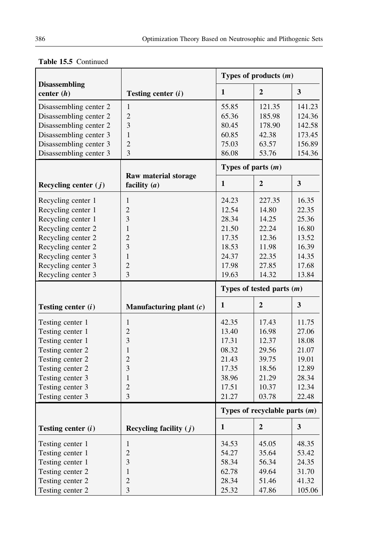|                                      |                                        |                             | Types of products $(m)$         |                |  |
|--------------------------------------|----------------------------------------|-----------------------------|---------------------------------|----------------|--|
| <b>Disassembling</b><br>center $(h)$ | Testing center $(i)$                   | 1                           | $\overline{2}$                  | 3              |  |
| Disassembling center 2               | $\mathbf{1}$                           | 55.85                       | 121.35                          | 141.23         |  |
| Disassembling center 2               | $\overline{2}$                         | 65.36                       | 185.98                          | 124.36         |  |
| Disassembling center 2               | 3                                      | 80.45                       | 178.90                          | 142.58         |  |
| Disassembling center 3               | 1                                      | 60.85                       | 42.38                           | 173.45         |  |
| Disassembling center 3               | $\overline{c}$                         | 75.03                       | 63.57                           | 156.89         |  |
| Disassembling center 3               | 3                                      | 86.08                       | 53.76                           | 154.36         |  |
|                                      |                                        | Types of parts $(m)$        |                                 |                |  |
| Recycling center $(j)$               | Raw material storage<br>facility $(a)$ | 1                           | $\overline{2}$                  | 3              |  |
| Recycling center 1                   | 1                                      | 24.23                       | 227.35                          | 16.35          |  |
| Recycling center 1                   | $\overline{2}$                         | 12.54                       | 14.80                           | 22.35          |  |
| Recycling center 1                   | 3                                      | 28.34                       | 14.25                           | 25.36          |  |
| Recycling center 2                   | 1                                      | 21.50                       | 22.24                           | 16.80          |  |
| Recycling center 2                   | $\overline{2}$                         | 17.35                       | 12.36                           | 13.52          |  |
| Recycling center 2                   | 3                                      | 18.53                       | 11.98                           | 16.39          |  |
| Recycling center 3                   | $\mathbf{1}$                           | 24.37                       | 22.35                           | 14.35          |  |
| Recycling center 3                   | $\overline{2}$                         | 17.98                       | 27.85                           | 17.68          |  |
| Recycling center 3                   | 3                                      | 19.63                       | 14.32                           | 13.84          |  |
|                                      |                                        | Types of tested parts $(m)$ |                                 |                |  |
|                                      |                                        |                             |                                 |                |  |
| Testing center $(i)$                 | Manufacturing plant $(c)$              | $\mathbf{1}$                | $\overline{2}$                  | 3              |  |
|                                      |                                        |                             |                                 |                |  |
| Testing center 1                     | $\mathbf{1}$                           | 42.35                       | 17.43                           | 11.75          |  |
| Testing center 1                     | $\overline{2}$<br>3                    | 13.40                       | 16.98<br>12.37                  | 27.06          |  |
| Testing center 1                     | $\mathbf{1}$                           | 17.31<br>08.32              | 29.56                           | 18.08          |  |
| Testing center 2                     |                                        |                             |                                 | 21.07          |  |
| Testing center 2                     | $\overline{c}$                         | 21.43                       | 39.75<br>18.56                  | 19.01<br>12.89 |  |
| Testing center 2                     | 3<br>$\mathbf{1}$                      | 17.35<br>38.96              |                                 |                |  |
| Testing center 3                     | $\overline{2}$                         | 17.51                       | 21.29<br>10.37                  | 28.34<br>12.34 |  |
| Testing center 3<br>Testing center 3 | $\overline{3}$                         | 21.27                       | 03.78                           | 22.48          |  |
|                                      |                                        |                             | Types of recyclable parts $(m)$ |                |  |
| Testing center $(i)$                 | Recycling facility $(j)$               | 1                           | $\mathbf{2}$                    | 3              |  |
|                                      |                                        |                             |                                 |                |  |
| Testing center 1                     | $\mathbf{1}$                           | 34.53                       | 45.05                           | 48.35          |  |
| Testing center 1                     | $\overline{2}$                         | 54.27                       | 35.64                           | 53.42          |  |
| Testing center 1                     | 3                                      | 58.34                       | 56.34                           | 24.35          |  |
| Testing center 2<br>Testing center 2 | $\mathbf{1}$<br>$\overline{c}$         | 62.78<br>28.34              | 49.64<br>51.46                  | 31.70<br>41.32 |  |

#### Table 15.5 Continued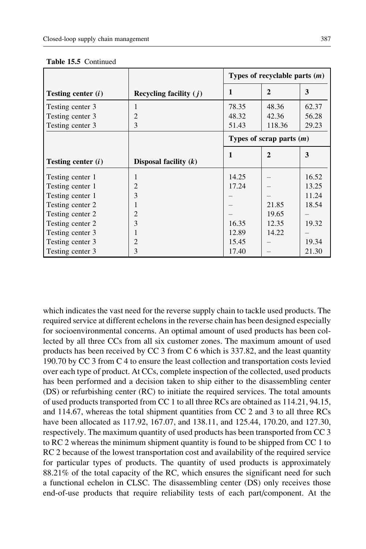|                      |                          | Types of recyclable parts $(m)$ |                |       |  |  |
|----------------------|--------------------------|---------------------------------|----------------|-------|--|--|
| Testing center $(i)$ | Recycling facility $(i)$ | 1                               | $\mathbf{2}$   | 3     |  |  |
| Testing center 3     | 1                        | 78.35                           | 48.36          | 62.37 |  |  |
| Testing center 3     | $\overline{2}$           | 48.32                           | 42.36          | 56.28 |  |  |
| Testing center 3     | 3                        | 51.43                           | 118.36         | 29.23 |  |  |
|                      |                          | Types of scrap parts $(m)$      |                |       |  |  |
| Testing center $(i)$ | Disposal facility $(k)$  | $\mathbf{1}$                    | $\overline{2}$ | 3     |  |  |
| Testing center 1     | 1                        | 14.25                           |                | 16.52 |  |  |
| Testing center 1     | $\overline{2}$           | 17.24                           |                | 13.25 |  |  |
| Testing center 1     | 3                        |                                 |                | 11.24 |  |  |
| Testing center 2     | 1                        |                                 | 21.85          | 18.54 |  |  |
| Testing center 2     | $\overline{2}$           |                                 | 19.65          |       |  |  |
| Testing center 2     | 3                        | 16.35                           | 12.35          | 19.32 |  |  |
| Testing center 3     |                          | 12.89                           | 14.22          |       |  |  |
| Testing center 3     | 2                        | 15.45                           |                | 19.34 |  |  |
| Testing center 3     | 3                        | 17.40                           |                | 21.30 |  |  |

Table 15.5 Continued

which indicates the vast need for the reverse supply chain to tackle used products. The required service at different echelons in the reverse chain has been designed especially for socioenvironmental concerns. An optimal amount of used products has been collected by all three CCs from all six customer zones. The maximum amount of used products has been received by CC 3 from C 6 which is 337.82, and the least quantity 190.70 by CC 3 from C 4 to ensure the least collection and transportation costs levied over each type of product. At CCs, complete inspection of the collected, used products has been performed and a decision taken to ship either to the disassembling center (DS) or refurbishing center (RC) to initiate the required services. The total amounts of used products transported from CC 1 to all three RCs are obtained as 114.21, 94.15, and 114.67, whereas the total shipment quantities from CC 2 and 3 to all three RCs have been allocated as 117.92, 167.07, and 138.11, and 125.44, 170.20, and 127.30, respectively. The maximum quantity of used products has been transported from CC 3 to RC 2 whereas the minimum shipment quantity is found to be shipped from CC 1 to RC 2 because of the lowest transportation cost and availability of the required service for particular types of products. The quantity of used products is approximately 88.21% of the total capacity of the RC, which ensures the significant need for such a functional echelon in CLSC. The disassembling center (DS) only receives those end-of-use products that require reliability tests of each part/component. At the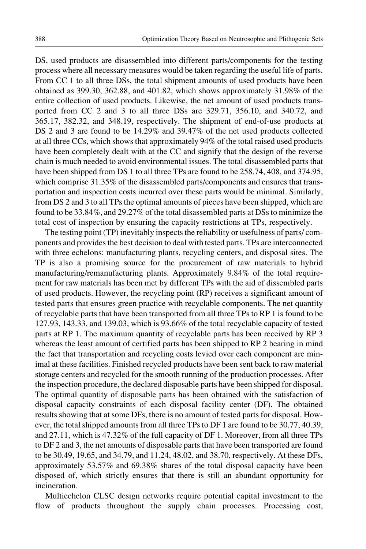DS, used products are disassembled into different parts/components for the testing process where all necessary measures would be taken regarding the useful life of parts. From CC 1 to all three DSs, the total shipment amounts of used products have been obtained as 399.30, 362.88, and 401.82, which shows approximately 31.98% of the entire collection of used products. Likewise, the net amount of used products transported from CC 2 and 3 to all three DSs are 329.71, 356.10, and 340.72, and 365.17, 382.32, and 348.19, respectively. The shipment of end-of-use products at DS 2 and 3 are found to be 14.29% and 39.47% of the net used products collected at all three CCs, which shows that approximately 94% of the total raised used products have been completely dealt with at the CC and signify that the design of the reverse chain is much needed to avoid environmental issues. The total disassembled parts that have been shipped from DS 1 to all three TPs are found to be 258.74, 408, and 374.95, which comprise 31.35% of the disassembled parts/components and ensures that transportation and inspection costs incurred over these parts would be minimal. Similarly, from DS 2 and 3 to all TPs the optimal amounts of pieces have been shipped, which are found to be 33.84%, and 29.27% of the total disassembled parts at DSs to minimize the total cost of inspection by ensuring the capacity restrictions at TPs, respectively.

The testing point (TP) inevitably inspects the reliability or usefulness of parts/ components and provides the best decision to deal with tested parts. TPs are interconnected with three echelons: manufacturing plants, recycling centers, and disposal sites. The TP is also a promising source for the procurement of raw materials to hybrid manufacturing/remanufacturing plants. Approximately 9.84% of the total requirement for raw materials has been met by different TPs with the aid of dissembled parts of used products. However, the recycling point (RP) receives a significant amount of tested parts that ensures green practice with recyclable components. The net quantity of recyclable parts that have been transported from all three TPs to RP 1 is found to be 127.93, 143.33, and 139.03, which is 93.66% of the total recyclable capacity of tested parts at RP 1. The maximum quantity of recyclable parts has been received by RP 3 whereas the least amount of certified parts has been shipped to RP 2 bearing in mind the fact that transportation and recycling costs levied over each component are minimal at these facilities. Finished recycled products have been sent back to raw material storage centers and recycled for the smooth running of the production processes. After the inspection procedure, the declared disposable parts have been shipped for disposal. The optimal quantity of disposable parts has been obtained with the satisfaction of disposal capacity constraints of each disposal facility center (DF). The obtained results showing that at some DFs, there is no amount of tested parts for disposal. However, the total shipped amounts from all three TPs to DF 1 are found to be 30.77, 40.39, and 27.11, which is 47.32% of the full capacity of DF 1. Moreover, from all three TPs to DF 2 and 3, the net amounts of disposable parts that have been transported are found to be 30.49, 19.65, and 34.79, and 11.24, 48.02, and 38.70, respectively. At these DFs, approximately 53.57% and 69.38% shares of the total disposal capacity have been disposed of, which strictly ensures that there is still an abundant opportunity for incineration.

Multiechelon CLSC design networks require potential capital investment to the flow of products throughout the supply chain processes. Processing cost,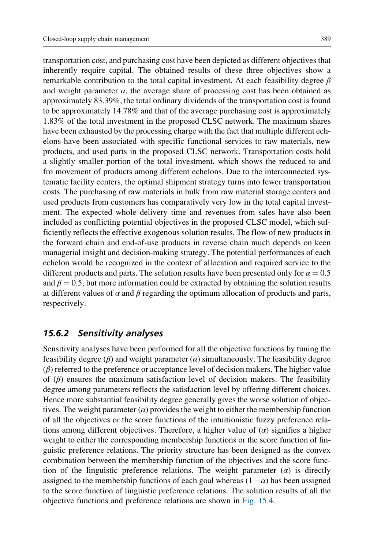transportation cost, and purchasing cost have been depicted as different objectives that inherently require capital. The obtained results of these three objectives show a remarkable contribution to the total capital investment. At each feasibility degree  $\beta$ and weight parameter  $\alpha$ , the average share of processing cost has been obtained as approximately 83.39%, the total ordinary dividends of the transportation cost is found to be approximately 14.78% and that of the average purchasing cost is approximately 1.83% of the total investment in the proposed CLSC network. The maximum shares have been exhausted by the processing charge with the fact that multiple different echelons have been associated with specific functional services to raw materials, new products, and used parts in the proposed CLSC network. Transportation costs hold a slightly smaller portion of the total investment, which shows the reduced to and fro movement of products among different echelons. Due to the interconnected systematic facility centers, the optimal shipment strategy turns into fewer transportation costs. The purchasing of raw materials in bulk from raw material storage centers and used products from customers has comparatively very low in the total capital investment. The expected whole delivery time and revenues from sales have also been included as conflicting potential objectives in the proposed CLSC model, which sufficiently reflects the effective exogenous solution results. The flow of new products in the forward chain and end-of-use products in reverse chain much depends on keen managerial insight and decision-making strategy. The potential performances of each echelon would be recognized in the context of allocation and required service to the different products and parts. The solution results have been presented only for  $\alpha = 0.5$ and  $\beta = 0.5$ , but more information could be extracted by obtaining the solution results at different values of  $\alpha$  and  $\beta$  regarding the optimum allocation of products and parts, respectively.

### 15.6.2 Sensitivity analyses

Sensitivity analyses have been performed for all the objective functions by tuning the feasibility degree ( $\beta$ ) and weight parameter ( $\alpha$ ) simultaneously. The feasibility degree  $(\beta)$  referred to the preference or acceptance level of decision makers. The higher value of  $(\beta)$  ensures the maximum satisfaction level of decision makers. The feasibility degree among parameters reflects the satisfaction level by offering different choices. Hence more substantial feasibility degree generally gives the worse solution of objectives. The weight parameter  $\alpha$ ) provides the weight to either the membership function of all the objectives or the score functions of the intuitionistic fuzzy preference relations among different objectives. Therefore, a higher value of  $(\alpha)$  signifies a higher weight to either the corresponding membership functions or the score function of linguistic preference relations. The priority structure has been designed as the convex combination between the membership function of the objectives and the score function of the linguistic preference relations. The weight parameter  $(\alpha)$  is directly assigned to the membership functions of each goal whereas  $(1 - \alpha)$  has been assigned to the score function of linguistic preference relations. The solution results of all the objective functions and preference relations are shown in [Fig. 15.4](#page-47-0).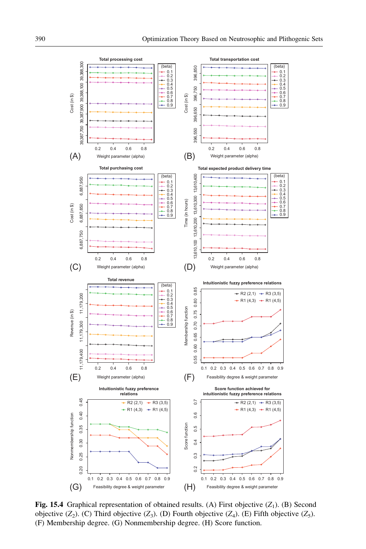<span id="page-47-0"></span>

Fig. 15.4 Graphical representation of obtained results. (A) First objective  $(Z_1)$ . (B) Second objective  $(Z_2)$ . (C) Third objective  $(Z_3)$ . (D) Fourth objective  $(Z_4)$ . (E) Fifth objective  $(Z_5)$ . (F) Membership degree. (G) Nonmembership degree. (H) Score function.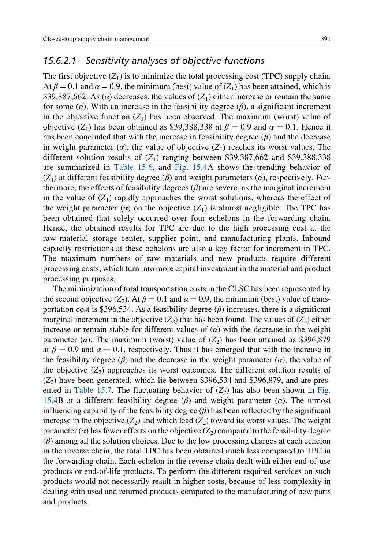#### 15.6.2.1 Sensitivity analyses of objective functions

The first objective  $(Z_1)$  is to minimize the total processing cost (TPC) supply chain. At  $\beta = 0.1$  and  $\alpha = 0.9$ , the minimum (best) value of (Z<sub>1</sub>) has been attained, which is \$39,387,662. As ( $\alpha$ ) decreases, the values of ( $Z_1$ ) either increase or remain the same for some  $(\alpha)$ . With an increase in the feasibility degree  $(\beta)$ , a significant increment in the objective function  $(Z_1)$  has been observed. The maximum (worst) value of objective (Z<sub>1</sub>) has been obtained as \$39,388,338 at  $\beta = 0.9$  and  $\alpha = 0.1$ . Hence it has been concluded that with the increase in feasibility degree  $(\beta)$  and the decrease in weight parameter  $(\alpha)$ , the value of objective  $(Z_1)$  reaches its worst values. The different solution results of  $(Z_1)$  ranging between \$39,387,662 and \$39,388,338 are summarized in [Table 15.6](#page-49-0), and [Fig. 15.4A](#page-47-0) shows the trending behavior of  $(Z_1)$  at different feasibility degree ( $\beta$ ) and weight parameters ( $\alpha$ ), respectively. Furthermore, the effects of feasibility degrees  $(\beta)$  are severe, as the marginal increment in the value of  $(Z_1)$  rapidly approaches the worst solutions, whereas the effect of the weight parameter  $(\alpha)$  on the objective  $(Z_1)$  is almost negligible. The TPC has been obtained that solely occurred over four echelons in the forwarding chain. Hence, the obtained results for TPC are due to the high processing cost at the raw material storage center, supplier point, and manufacturing plants. Inbound capacity restrictions at these echelons are also a key factor for increment in TPC. The maximum numbers of raw materials and new products require different processing costs, which turn into more capital investment in the material and product processing purposes.

The minimization of total transportation costs in the CLSC has been represented by the second objective (Z<sub>2</sub>). At  $\beta = 0.1$  and  $\alpha = 0.9$ , the minimum (best) value of transportation cost is \$396,534. As a feasibility degree  $(\beta)$  increases, there is a significant marginal increment in the objective  $(Z_2)$  that has been found. The values of  $(Z_2)$  either increase or remain stable for different values of  $(\alpha)$  with the decrease in the weight parameter ( $\alpha$ ). The maximum (worst) value of ( $Z_2$ ) has been attained as \$396,879 at  $\beta = 0.9$  and  $\alpha = 0.1$ , respectively. Thus it has emerged that with the increase in the feasibility degree ( $\beta$ ) and the decrease in the weight parameter ( $\alpha$ ), the value of the objective  $(Z_2)$  approaches its worst outcomes. The different solution results of  $(Z_2)$  have been generated, which lie between \$396,534 and \$396,879, and are pres-ented in [Table 15.7.](#page-50-0) The fluctuating behavior of  $(Z_2)$  has also been shown in [Fig.](#page-47-0) [15.4](#page-47-0)B at a different feasibility degree  $(\beta)$  and weight parameter  $(\alpha)$ . The utmost influencing capability of the feasibility degree  $(\beta)$  has been reflected by the significant increase in the objective  $(Z_2)$  and which lead  $(Z_2)$  toward its worst values. The weight parameter ( $\alpha$ ) has fewer effects on the objective ( $Z_2$ ) compared to the feasibility degree  $(\beta)$  among all the solution choices. Due to the low processing charges at each echelon in the reverse chain, the total TPC has been obtained much less compared to TPC in the forwarding chain. Each echelon in the reverse chain dealt with either end-of-use products or end-of-life products. To perform the different required services on such products would not necessarily result in higher costs, because of less complexity in dealing with used and returned products compared to the manufacturing of new parts and products.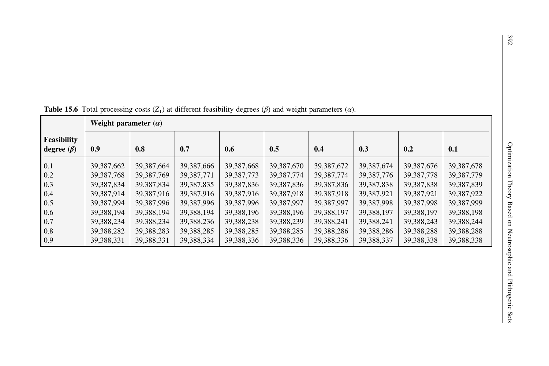|                                 |              | Weight parameter $(\alpha)$ |              |              |              |              |              |              |              |  |  |  |
|---------------------------------|--------------|-----------------------------|--------------|--------------|--------------|--------------|--------------|--------------|--------------|--|--|--|
| Feasibility<br>degree $(\beta)$ | 0.9          | 0.8                         | 0.7          | 0.6          | 0.5          | 0.4          | 0.3          | 0.2          | 0.1          |  |  |  |
| 0.1                             | 39, 387, 662 | 39, 387, 664                | 39,387,666   | 39, 387, 668 | 39, 387, 670 | 39, 387, 672 | 39, 387, 674 | 39, 387, 676 | 39, 387, 678 |  |  |  |
| 0.2                             | 39, 387, 768 | 39, 387, 769                | 39, 387, 771 | 39, 387, 773 | 39, 387, 774 | 39, 387, 774 | 39, 387, 776 | 39, 387, 778 | 39, 387, 779 |  |  |  |
| 0.3                             | 39, 387, 834 | 39.387.834                  | 39, 387, 835 | 39, 387, 836 | 39, 387, 836 | 39, 387, 836 | 39, 387, 838 | 39.387.838   | 39, 387, 839 |  |  |  |
| 0.4                             | 39,387,914   | 39.387.916                  | 39,387,916   | 39,387,916   | 39,387,918   | 39, 387, 918 | 39,387,921   | 39, 387, 921 | 39, 387, 922 |  |  |  |
| 0.5                             | 39,387,994   | 39.387.996                  | 39,387,996   | 39,387,996   | 39,387,997   | 39,387,997   | 39,387,998   | 39, 387, 998 | 39,387,999   |  |  |  |
| 0.6                             | 39.388.194   | 39.388.194                  | 39,388,194   | 39,388,196   | 39,388,196   | 39,388,197   | 39,388,197   | 39, 388, 197 | 39,388,198   |  |  |  |
| 0.7                             | 39,388,234   | 39,388,234                  | 39, 388, 236 | 39,388,238   | 39, 388, 239 | 39, 388, 241 | 39, 388, 241 | 39,388,243   | 39,388,244   |  |  |  |
| 0.8                             | 39, 388, 282 | 39,388,283                  | 39,388,285   | 39, 388, 285 | 39, 388, 285 | 39,388,286   | 39,388,286   | 39,388,288   | 39,388,288   |  |  |  |
| 0.9                             | 39.388.331   | 39,388,331                  | 39,388,334   | 39,388,336   | 39,388,336   | 39,388,336   | 39,388,337   | 39,388,338   | 39, 388, 338 |  |  |  |

<span id="page-49-0"></span>**Table 15.6** Total processing costs  $(Z_1)$  at different feasibility degrees  $(\beta)$  and weight parameters  $(\alpha)$ .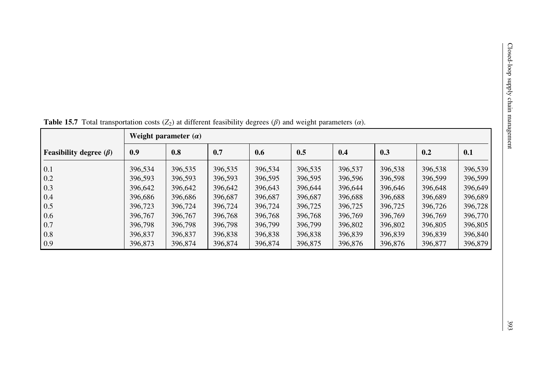|                                     |         | Weight parameter $(\alpha)$ |         |         |         |         |         |         |         |  |  |  |  |  |
|-------------------------------------|---------|-----------------------------|---------|---------|---------|---------|---------|---------|---------|--|--|--|--|--|
| <b>Feasibility degree</b> $(\beta)$ | 0.9     | 0.8                         | 0.7     | 0.6     | 0.5     | 0.4     | 0.3     | 0.2     | 0.1     |  |  |  |  |  |
| 0.1                                 | 396.534 | 396,535                     | 396,535 | 396.534 | 396,535 | 396.537 | 396,538 | 396,538 | 396,539 |  |  |  |  |  |
| 0.2                                 | 396.593 | 396.593                     | 396.593 | 396.595 | 396.595 | 396.596 | 396,598 | 396.599 | 396.599 |  |  |  |  |  |
| 0.3                                 | 396.642 | 396,642                     | 396,642 | 396,643 | 396,644 | 396,644 | 396,646 | 396,648 | 396,649 |  |  |  |  |  |
| 0.4                                 | 396.686 | 396,686                     | 396,687 | 396,687 | 396,687 | 396,688 | 396,688 | 396,689 | 396,689 |  |  |  |  |  |
| 0.5                                 | 396,723 | 396,724                     | 396,724 | 396,724 | 396,725 | 396,725 | 396,725 | 396,726 | 396,728 |  |  |  |  |  |
| 0.6                                 | 396,767 | 396,767                     | 396,768 | 396,768 | 396,768 | 396,769 | 396,769 | 396,769 | 396,770 |  |  |  |  |  |
| 0.7                                 | 396,798 | 396,798                     | 396,798 | 396,799 | 396,799 | 396,802 | 396,802 | 396,805 | 396,805 |  |  |  |  |  |
| 0.8                                 | 396,837 | 396,837                     | 396,838 | 396,838 | 396,838 | 396.839 | 396,839 | 396,839 | 396,840 |  |  |  |  |  |
| 0.9                                 | 396,873 | 396,874                     | 396,874 | 396,874 | 396,875 | 396,876 | 396,876 | 396,877 | 396,879 |  |  |  |  |  |

<span id="page-50-0"></span>**Table 15.7** Total transportation costs ( $Z_2$ ) at different feasibility degrees ( $\beta$ ) and weight parameters ( $\alpha$ ).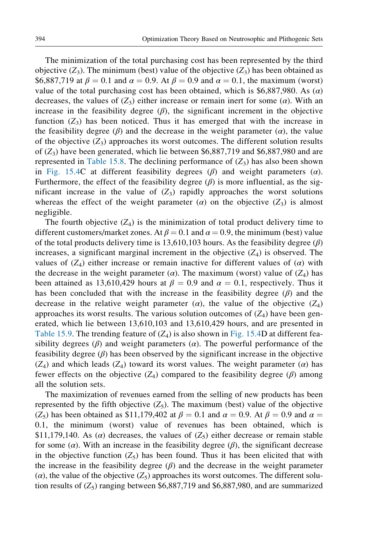The minimization of the total purchasing cost has been represented by the third objective  $(Z_3)$ . The minimum (best) value of the objective  $(Z_3)$  has been obtained as \$6,887,719 at  $\beta = 0.1$  and  $\alpha = 0.9$ . At  $\beta = 0.9$  and  $\alpha = 0.1$ , the maximum (worst) value of the total purchasing cost has been obtained, which is \$6,887,980. As  $(\alpha)$ decreases, the values of  $(Z_3)$  either increase or remain inert for some  $(\alpha)$ . With an increase in the feasibility degree  $(\beta)$ , the significant increment in the objective function  $(Z_3)$  has been noticed. Thus it has emerged that with the increase in the feasibility degree ( $\beta$ ) and the decrease in the weight parameter ( $\alpha$ ), the value of the objective  $(Z_3)$  approaches its worst outcomes. The different solution results of  $(Z_3)$  have been generated, which lie between \$6,887,719 and \$6,887,980 and are represented in [Table 15.8](#page-52-0). The declining performance of  $(Z_3)$  has also been shown in [Fig. 15.4C](#page-47-0) at different feasibility degrees  $(\beta)$  and weight parameters  $(\alpha)$ . Furthermore, the effect of the feasibility degree  $(\beta)$  is more influential, as the significant increase in the value of  $(Z_3)$  rapidly approaches the worst solutions whereas the effect of the weight parameter  $(\alpha)$  on the objective  $(Z_3)$  is almost negligible.

The fourth objective  $(Z_4)$  is the minimization of total product delivery time to different customers/market zones. At  $\beta = 0.1$  and  $\alpha = 0.9$ , the minimum (best) value of the total products delivery time is 13,610,103 hours. As the feasibility degree  $(\beta)$ increases, a significant marginal increment in the objective  $(Z_4)$  is observed. The values of  $(Z_4)$  either increase or remain inactive for different values of  $(\alpha)$  with the decrease in the weight parameter ( $\alpha$ ). The maximum (worst) value of ( $Z_4$ ) has been attained as 13,610,429 hours at  $\beta = 0.9$  and  $\alpha = 0.1$ , respectively. Thus it has been concluded that with the increase in the feasibility degree  $(\beta)$  and the decrease in the relative weight parameter  $(\alpha)$ , the value of the objective  $(Z_4)$ approaches its worst results. The various solution outcomes of  $(Z_4)$  have been generated, which lie between 13,610,103 and 13,610,429 hours, and are presented in [Table 15.9.](#page-53-0) The trending feature of  $(Z_4)$  is also shown in [Fig. 15.4](#page-47-0)D at different feasibility degrees ( $\beta$ ) and weight parameters ( $\alpha$ ). The powerful performance of the feasibility degree  $(\beta)$  has been observed by the significant increase in the objective ( $Z_4$ ) and which leads ( $Z_4$ ) toward its worst values. The weight parameter ( $\alpha$ ) has fewer effects on the objective  $(Z_4)$  compared to the feasibility degree ( $\beta$ ) among all the solution sets.

The maximization of revenues earned from the selling of new products has been represented by the fifth objective  $(Z_5)$ . The maximum (best) value of the objective (Z<sub>5</sub>) has been obtained as \$11,179,402 at  $\beta = 0.1$  and  $\alpha = 0.9$ . At  $\beta = 0.9$  and  $\alpha = 0.9$ . 0.1, the minimum (worst) value of revenues has been obtained, which is \$11,179,140. As ( $\alpha$ ) decreases, the values of ( $Z_5$ ) either decrease or remain stable for some  $(\alpha)$ . With an increase in the feasibility degree  $(\beta)$ , the significant decrease in the objective function  $(Z_5)$  has been found. Thus it has been elicited that with the increase in the feasibility degree  $(\beta)$  and the decrease in the weight parameter ( $\alpha$ ), the value of the objective ( $Z_5$ ) approaches its worst outcomes. The different solution results of  $(Z_5)$  ranging between \$6,887,719 and \$6,887,980, and are summarized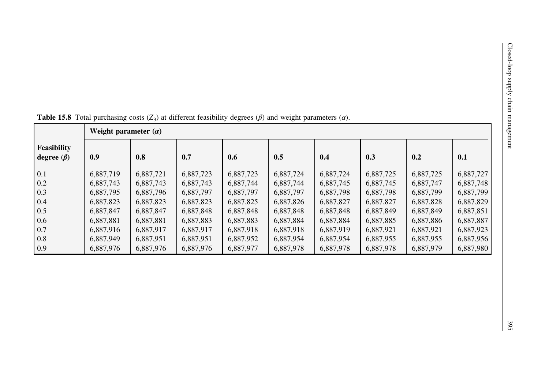|                                 |           | Weight parameter $(\alpha)$ |           |           |           |           |           |           |           |  |  |  |  |  |
|---------------------------------|-----------|-----------------------------|-----------|-----------|-----------|-----------|-----------|-----------|-----------|--|--|--|--|--|
| Feasibility<br>degree $(\beta)$ | 0.9       | 0.8                         | 0.7       | 0.6       | 0.5       | 0.4       | 0.3       | 0.2       | 0.1       |  |  |  |  |  |
| 0.1                             | 6,887,719 | 6,887,721                   | 6,887,723 | 6,887,723 | 6,887,724 | 6,887,724 | 6,887,725 | 6,887,725 | 6,887,727 |  |  |  |  |  |
| 0.2                             | 6,887,743 | 6,887,743                   | 6.887.743 | 6,887,744 | 6,887,744 | 6,887,745 | 6,887,745 | 6,887,747 | 6,887,748 |  |  |  |  |  |
| 0.3                             | 6,887,795 | 6,887,796                   | 6,887,797 | 6,887,797 | 6,887,797 | 6,887,798 | 6,887,798 | 6,887,799 | 6,887,799 |  |  |  |  |  |
| 0.4                             | 6,887,823 | 6,887,823                   | 6,887,823 | 6,887,825 | 6,887,826 | 6,887,827 | 6,887,827 | 6,887,828 | 6,887,829 |  |  |  |  |  |
| 0.5                             | 6,887,847 | 6,887,847                   | 6,887,848 | 6,887,848 | 6,887,848 | 6,887,848 | 6,887,849 | 6,887,849 | 6,887,851 |  |  |  |  |  |
| 0.6                             | 6,887,881 | 6,887,881                   | 6.887.883 | 6,887,883 | 6,887,884 | 6,887,884 | 6,887,885 | 6.887.886 | 6,887,887 |  |  |  |  |  |
| 0.7                             | 6,887,916 | 6,887,917                   | 6,887,917 | 6,887,918 | 6,887,918 | 6,887,919 | 6,887,921 | 6,887,921 | 6,887,923 |  |  |  |  |  |
| 0.8                             | 6,887,949 | 6,887,951                   | 6,887,951 | 6,887,952 | 6,887,954 | 6,887,954 | 6,887,955 | 6,887,955 | 6,887,956 |  |  |  |  |  |
| 0.9                             | 6,887,976 | 6,887,976                   | 6,887,976 | 6,887,977 | 6,887,978 | 6,887,978 | 6,887,978 | 6,887,979 | 6,887,980 |  |  |  |  |  |

<span id="page-52-0"></span>**Table 15.8** Total purchasing costs ( $Z_3$ ) at different feasibility degrees ( $\beta$ ) and weight parameters ( $\alpha$ ).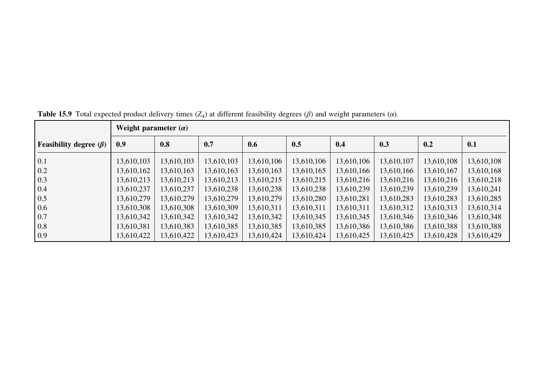|                                     |            | Weight parameter $(\alpha)$ |            |            |            |            |            |            |            |  |  |  |
|-------------------------------------|------------|-----------------------------|------------|------------|------------|------------|------------|------------|------------|--|--|--|
| <b>Feasibility degree</b> $(\beta)$ | 0.9        | 0.8                         | 0.7        | 0.6        | 0.5        | 0.4        | 0.3        | 0.2        | 0.1        |  |  |  |
| 0.1                                 | 13,610,103 | 13,610,103                  | 13,610,103 | 13,610,106 | 13,610,106 | 13,610,106 | 13,610,107 | 13,610,108 | 13,610,108 |  |  |  |
| 0.2                                 | 13,610,162 | 13.610.163                  | 13,610,163 | 13,610,163 | 13,610,165 | 13,610,166 | 13,610,166 | 13,610,167 | 13,610,168 |  |  |  |
| 0.3                                 | 13,610,213 | 13,610,213                  | 13,610,213 | 13,610,215 | 13,610,215 | 13,610,216 | 13,610,216 | 13,610,216 | 13,610,218 |  |  |  |
| 0.4                                 | 13,610,237 | 13,610,237                  | 13,610,238 | 13,610,238 | 13,610,238 | 13,610,239 | 13,610,239 | 13,610,239 | 13,610,241 |  |  |  |
| 0.5                                 | 13,610,279 | 13,610,279                  | 13,610,279 | 13,610,279 | 13,610,280 | 13,610,281 | 13,610,283 | 13,610,283 | 13,610,285 |  |  |  |
| 0.6                                 | 13,610,308 | 13,610,308                  | 13,610,309 | 13,610,311 | 13,610,311 | 13,610,311 | 13,610,312 | 13,610,313 | 13,610,314 |  |  |  |
| 0.7                                 | 13,610,342 | 13,610,342                  | 13,610,342 | 13,610,342 | 13,610,345 | 13,610,345 | 13,610,346 | 13,610,346 | 13,610,348 |  |  |  |
| 0.8                                 | 13,610,381 | 13,610,383                  | 13,610,385 | 13,610,385 | 13,610,385 | 13,610,386 | 13,610,386 | 13,610,388 | 13,610,388 |  |  |  |
| 0.9                                 | 13,610,422 | 13,610,422                  | 13,610,423 | 13,610,424 | 13,610,424 | 13,610,425 | 13,610,425 | 13,610,428 | 13,610,429 |  |  |  |

<span id="page-53-0"></span>**Table 15.9** Total expected product delivery times ( $Z_4$ ) at different feasibility degrees ( $\beta$ ) and weight parameters ( $\alpha$ ).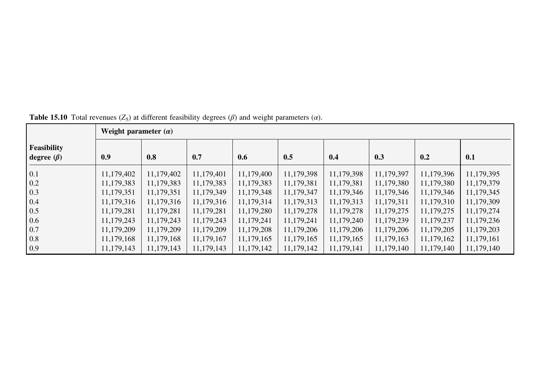|                                 | Weight parameter $(\alpha)$ |              |            |            |            |            |              |            |              |  |  |  |
|---------------------------------|-----------------------------|--------------|------------|------------|------------|------------|--------------|------------|--------------|--|--|--|
| Feasibility<br>degree $(\beta)$ | 0.9                         | 0.8          | 0.7        | 0.6        | 0.5        | 0.4        | 0.3          | 0.2        | 0.1          |  |  |  |
| 0.1                             | 11,179,402                  | 11,179,402   | 11,179,401 | 11,179,400 | 11,179,398 | 11,179,398 | 11,179,397   | 11,179,396 | 11,179,395   |  |  |  |
| 0.2                             | 11,179,383                  | 11,179,383   | 11,179,383 | 11,179,383 | 11,179,381 | 11,179,381 | 11,179,380   | 11,179,380 | 11,179,379   |  |  |  |
| 0.3                             | 11,179,351                  | 11,179,351   | 11,179,349 | 11,179,348 | 11,179,347 | 11,179,346 | 11,179,346   | 11,179,346 | 11,179,345   |  |  |  |
| 0.4                             | 11,179,316                  | 11,179,316   | 11,179,316 | 11,179,314 | 11,179,313 | 11,179,313 | 11,179,311   | 11,179,310 | 11,179,309   |  |  |  |
| 0.5                             | 11,179,281                  | 11,179,281   | 11,179,281 | 11,179,280 | 11,179,278 | 11,179,278 | 11, 179, 275 | 11,179,275 | 11, 179, 274 |  |  |  |
| 0.6                             | 11,179,243                  | 11, 179, 243 | 11,179,243 | 11,179,241 | 11,179,241 | 11,179,240 | 11,179,239   | 11,179,237 | 11,179,236   |  |  |  |
| 0.7                             | 11,179,209                  | 11,179,209   | 11,179,209 | 11,179,208 | 11,179,206 | 11,179,206 | 11,179,206   | 11,179,205 | 11,179,203   |  |  |  |
| 0.8                             | 11,179,168                  | 11,179,168   | 11,179,167 | 11,179,165 | 11,179,165 | 11,179,165 | 11,179,163   | 11,179,162 | 11,179,161   |  |  |  |
| 0.9                             | 11, 179, 143                | 11,179,143   | 11,179,143 | 11,179,142 | 11,179,142 | 11,179,141 | 11.179.140   | 11,179,140 | 11,179,140   |  |  |  |

<span id="page-54-0"></span>**Table 15.10** Total revenues ( $Z_5$ ) at different feasibility degrees ( $\beta$ ) and weight parameters ( $\alpha$ ).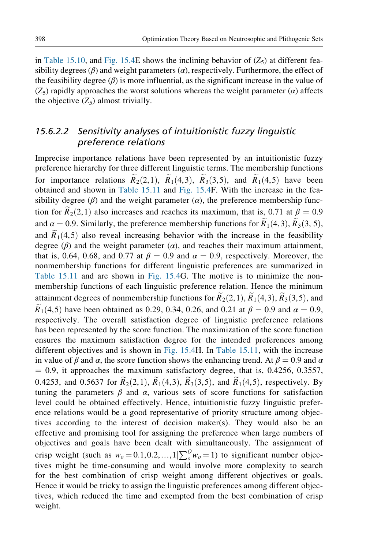in [Table 15.10](#page-54-0), and [Fig. 15.4](#page-47-0)E shows the inclining behavior of  $(Z_5)$  at different feasibility degrees ( $\beta$ ) and weight parameters ( $\alpha$ ), respectively. Furthermore, the effect of the feasibility degree  $(\beta)$  is more influential, as the significant increase in the value of  $(Z_5)$  rapidly approaches the worst solutions whereas the weight parameter  $(\alpha)$  affects the objective  $(Z_5)$  almost trivially.

## 15.6.2.2 Sensitivity analyses of intuitionistic fuzzy linguistic preference relations

Imprecise importance relations have been represented by an intuitionistic fuzzy preference hierarchy for three different linguistic terms. The membership functions for importance relations  $\tilde{R}_2(2,1)$ ,  $\tilde{R}_1(4,3)$ ,  $\tilde{R}_3(3,5)$ , and  $\tilde{R}_1(4,5)$  have been obtained and shown in [Table 15.11](#page-56-0) and [Fig. 15.4F](#page-47-0). With the increase in the feasibility degree ( $\beta$ ) and the weight parameter ( $\alpha$ ), the preference membership function for  $\widetilde{R}_2(2,1)$  also increases and reaches its maximum, that is, 0.71 at  $\beta = 0.9$ and  $\alpha = 0.9$ . Similarly, the preference membership functions for  $\widetilde{R}_1(4,3), \widetilde{R}_3(3,5)$ , and  $\widetilde{R}_1(4,5)$  also reveal increasing behavior with the increase in the feasibility degree ( $\beta$ ) and the weight parameter ( $\alpha$ ), and reaches their maximum attainment, that is, 0.64, 0.68, and 0.77 at  $\beta = 0.9$  and  $\alpha = 0.9$ , respectively. Moreover, the nonmembership functions for different linguistic preferences are summarized in [Table 15.11](#page-56-0) and are shown in [Fig. 15.4G](#page-47-0). The motive is to minimize the nonmembership functions of each linguistic preference relation. Hence the minimum attainment degrees of nonmembership functions for  $\widetilde{R}_2(2,1), \widetilde{R}_1(4,3), \widetilde{R}_3(3,5)$ , and  $\widetilde{R}_1(4,5)$  have been obtained as 0.29, 0.34, 0.26, and 0.21 at  $\beta = 0.9$  and  $\alpha = 0.9$ , respectively. The overall satisfaction degree of linguistic preference relations has been represented by the score function. The maximization of the score function ensures the maximum satisfaction degree for the intended preferences among different objectives and is shown in [Fig. 15.4H](#page-47-0). In [Table 15.11,](#page-56-0) with the increase in value of  $\beta$  and  $\alpha$ , the score function shows the enhancing trend. At  $\beta = 0.9$  and  $\alpha$  $= 0.9$ , it approaches the maximum satisfactory degree, that is, 0.4256, 0.3557, 0.4253, and 0.5637 for  $\tilde{R}_2(2,1), \tilde{R}_1(4,3), \tilde{R}_3(3,5)$ , and  $\tilde{R}_1(4,5)$ , respectively. By tuning the parameters  $\beta$  and  $\alpha$ , various sets of score functions for satisfaction level could be obtained effectively. Hence, intuitionistic fuzzy linguistic preference relations would be a good representative of priority structure among objectives according to the interest of decision maker(s). They would also be an effective and promising tool for assigning the preference when large numbers of objectives and goals have been dealt with simultaneously. The assignment of crisp weight (such as  $w_o = 0.1, 0.2, ..., 1 \sum_{o}^O w_o = 1$ ) to significant number objectives might be time consuming and would involve more complexity to search tives might be time-consuming and would involve more complexity to search for the best combination of crisp weight among different objectives or goals. Hence it would be tricky to assign the linguistic preferences among different objectives, which reduced the time and exempted from the best combination of crisp weight.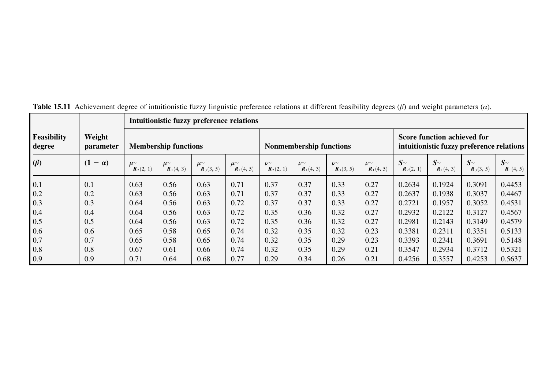|                       |                     |                             | Intuitionistic fuzzy preference relations |                        |                        |                        |                                |                        |                        |                           |                                                                          |                           |                           |  |
|-----------------------|---------------------|-----------------------------|-------------------------------------------|------------------------|------------------------|------------------------|--------------------------------|------------------------|------------------------|---------------------------|--------------------------------------------------------------------------|---------------------------|---------------------------|--|
| Feasibility<br>degree | Weight<br>parameter | <b>Membership functions</b> |                                           |                        |                        |                        | <b>Nonmembership functions</b> |                        |                        |                           | Score function achieved for<br>intuitionistic fuzzy preference relations |                           |                           |  |
| $(\beta)$             | $(1-\alpha)$        | $\mu$ ~<br>$R_2(2, 1)$      | $\mu_{\widetilde{R}_1(4, 3)}^{\sim}$      | $\mu$ ~<br>$R_3(3, 5)$ | $\mu$ ~<br>$R_1(4, 5)$ | $\nu$ ~<br>$R_2(2, 1)$ | $\nu$<br>$R_1(4, 3)$           | $\nu$ ~<br>$R_3(3, 5)$ | $\nu$ ~<br>$R_1(4, 5)$ | $S_{\sim}$<br>$R_2(2, 1)$ | $S_{\sim}$<br>$R_1(4, 3)$                                                | $S_{\sim}$<br>$R_3(3, 5)$ | $S_{\sim}$<br>$R_1(4, 5)$ |  |
| 0.1                   | 0.1                 | 0.63                        | 0.56                                      | 0.63                   | 0.71                   | 0.37                   | 0.37                           | 0.33                   | 0.27                   | 0.2634                    | 0.1924                                                                   | 0.3091                    | 0.4453                    |  |
| 0.2                   | 0.2                 | 0.63                        | 0.56                                      | 0.63                   | 0.71                   | 0.37                   | 0.37                           | 0.33                   | 0.27                   | 0.2637                    | 0.1938                                                                   | 0.3037                    | 0.4467                    |  |
| 0.3                   | 0.3                 | 0.64                        | 0.56                                      | 0.63                   | 0.72                   | 0.37                   | 0.37                           | 0.33                   | 0.27                   | 0.2721                    | 0.1957                                                                   | 0.3052                    | 0.4531                    |  |
| 0.4                   | 0.4                 | 0.64                        | 0.56                                      | 0.63                   | 0.72                   | 0.35                   | 0.36                           | 0.32                   | 0.27                   | 0.2932                    | 0.2122                                                                   | 0.3127                    | 0.4567                    |  |
| 0.5                   | 0.5                 | 0.64                        | 0.56                                      | 0.63                   | 0.72                   | 0.35                   | 0.36                           | 0.32                   | 0.27                   | 0.2981                    | 0.2143                                                                   | 0.3149                    | 0.4579                    |  |
| 0.6                   | 0.6                 | 0.65                        | 0.58                                      | 0.65                   | 0.74                   | 0.32                   | 0.35                           | 0.32                   | 0.23                   | 0.3381                    | 0.2311                                                                   | 0.3351                    | 0.5133                    |  |
| 0.7                   | 0.7                 | 0.65                        | 0.58                                      | 0.65                   | 0.74                   | 0.32                   | 0.35                           | 0.29                   | 0.23                   | 0.3393                    | 0.2341                                                                   | 0.3691                    | 0.5148                    |  |
| 0.8                   | 0.8                 | 0.67                        | 0.61                                      | 0.66                   | 0.74                   | 0.32                   | 0.35                           | 0.29                   | 0.21                   | 0.3547                    | 0.2934                                                                   | 0.3712                    | 0.5321                    |  |
| 0.9                   | 0.9                 | 0.71                        | 0.64                                      | 0.68                   | 0.77                   | 0.29                   | 0.34                           | 0.26                   | 0.21                   | 0.4256                    | 0.3557                                                                   | 0.4253                    | 0.5637                    |  |

<span id="page-56-0"></span>Table 15.11 Achievement degree of intuitionistic fuzzy linguistic preference relations at different feasibility degrees  $(\beta)$  and weight parameters  $(\alpha)$ .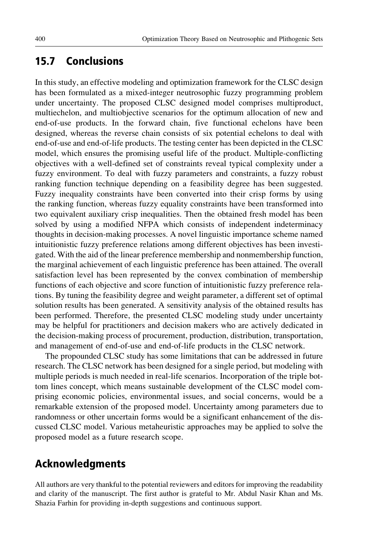# <span id="page-57-0"></span>15.7 Conclusions

In this study, an effective modeling and optimization framework for the CLSC design has been formulated as a mixed-integer neutrosophic fuzzy programming problem under uncertainty. The proposed CLSC designed model comprises multiproduct, multiechelon, and multiobjective scenarios for the optimum allocation of new and end-of-use products. In the forward chain, five functional echelons have been designed, whereas the reverse chain consists of six potential echelons to deal with end-of-use and end-of-life products. The testing center has been depicted in the CLSC model, which ensures the promising useful life of the product. Multiple-conflicting objectives with a well-defined set of constraints reveal typical complexity under a fuzzy environment. To deal with fuzzy parameters and constraints, a fuzzy robust ranking function technique depending on a feasibility degree has been suggested. Fuzzy inequality constraints have been converted into their crisp forms by using the ranking function, whereas fuzzy equality constraints have been transformed into two equivalent auxiliary crisp inequalities. Then the obtained fresh model has been solved by using a modified NFPA which consists of independent indeterminacy thoughts in decision-making processes. A novel linguistic importance scheme named intuitionistic fuzzy preference relations among different objectives has been investigated. With the aid of the linear preference membership and nonmembership function, the marginal achievement of each linguistic preference has been attained. The overall satisfaction level has been represented by the convex combination of membership functions of each objective and score function of intuitionistic fuzzy preference relations. By tuning the feasibility degree and weight parameter, a different set of optimal solution results has been generated. A sensitivity analysis of the obtained results has been performed. Therefore, the presented CLSC modeling study under uncertainty may be helpful for practitioners and decision makers who are actively dedicated in the decision-making process of procurement, production, distribution, transportation, and management of end-of-use and end-of-life products in the CLSC network.

The propounded CLSC study has some limitations that can be addressed in future research. The CLSC network has been designed for a single period, but modeling with multiple periods is much needed in real-life scenarios. Incorporation of the triple bottom lines concept, which means sustainable development of the CLSC model comprising economic policies, environmental issues, and social concerns, would be a remarkable extension of the proposed model. Uncertainty among parameters due to randomness or other uncertain forms would be a significant enhancement of the discussed CLSC model. Various metaheuristic approaches may be applied to solve the proposed model as a future research scope.

# Acknowledgments

All authors are very thankful to the potential reviewers and editors for improving the readability and clarity of the manuscript. The first author is grateful to Mr. Abdul Nasir Khan and Ms. Shazia Farhin for providing in-depth suggestions and continuous support.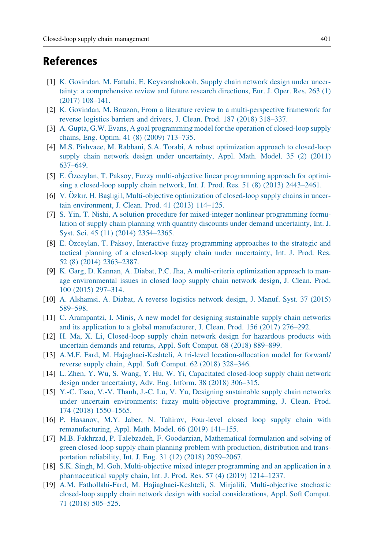## <span id="page-58-0"></span>References

- [1] [K. Govindan, M. Fattahi, E. Keyvanshokooh, Supply chain network design under uncer](http://refhub.elsevier.com/B978-0-12-819670-0.00015-9/rf0010)[tainty: a comprehensive review and future research directions, Eur. J. Oper. Res. 263 \(1\)](http://refhub.elsevier.com/B978-0-12-819670-0.00015-9/rf0010) [\(2017\) 108](http://refhub.elsevier.com/B978-0-12-819670-0.00015-9/rf0010)–141.
- [2] [K. Govindan, M. Bouzon, From a literature review to a multi-perspective framework for](http://refhub.elsevier.com/B978-0-12-819670-0.00015-9/rf0015) [reverse logistics barriers and drivers, J. Clean. Prod. 187 \(2018\) 318](http://refhub.elsevier.com/B978-0-12-819670-0.00015-9/rf0015)–337.
- [3] [A. Gupta, G.W. Evans, A goal programming model for the operation of closed-loop supply](http://refhub.elsevier.com/B978-0-12-819670-0.00015-9/rf0020) [chains, Eng. Optim. 41 \(8\) \(2009\) 713](http://refhub.elsevier.com/B978-0-12-819670-0.00015-9/rf0020)–735.
- [4] [M.S. Pishvaee, M. Rabbani, S.A. Torabi, A robust optimization approach to closed-loop](http://refhub.elsevier.com/B978-0-12-819670-0.00015-9/rf0025) [supply chain network design under uncertainty, Appl. Math. Model. 35 \(2\) \(2011\)](http://refhub.elsevier.com/B978-0-12-819670-0.00015-9/rf0025) 637–[649.](http://refhub.elsevier.com/B978-0-12-819670-0.00015-9/rf0025)
- [5] [E.](http://refhub.elsevier.com/B978-0-12-819670-0.00015-9/rf0030) O[zceylan, T. Paksoy, Fuzzy multi-objective linear programming approach for optimi](http://refhub.elsevier.com/B978-0-12-819670-0.00015-9/rf0030) [sing a closed-loop supply chain network, Int. J. Prod. Res. 51 \(8\) \(2013\) 2443](http://refhub.elsevier.com/B978-0-12-819670-0.00015-9/rf0030)–2461.
- [6] [V.](http://refhub.elsevier.com/B978-0-12-819670-0.00015-9/rf0035) Ozkir, H. Başlı[gil, Multi-objective optimization of closed-loop supply chains in uncer](http://refhub.elsevier.com/B978-0-12-819670-0.00015-9/rf0035)[tain environment, J. Clean. Prod. 41 \(2013\) 114](http://refhub.elsevier.com/B978-0-12-819670-0.00015-9/rf0035)–125.
- [7] [S. Yin, T. Nishi, A solution procedure for mixed-integer nonlinear programming formu](http://refhub.elsevier.com/B978-0-12-819670-0.00015-9/rf0040)[lation of supply chain planning with quantity discounts under demand uncertainty, Int. J.](http://refhub.elsevier.com/B978-0-12-819670-0.00015-9/rf0040) [Syst. Sci. 45 \(11\) \(2014\) 2354](http://refhub.elsevier.com/B978-0-12-819670-0.00015-9/rf0040)–2365.
- [8] [E.](http://refhub.elsevier.com/B978-0-12-819670-0.00015-9/rf0045) [Ozceylan, T. Paksoy, Interactive fuzzy programming approaches to the strategic and](http://refhub.elsevier.com/B978-0-12-819670-0.00015-9/rf0045) [tactical planning of a closed-loop supply chain under uncertainty, Int. J. Prod. Res.](http://refhub.elsevier.com/B978-0-12-819670-0.00015-9/rf0045) [52 \(8\) \(2014\) 2363](http://refhub.elsevier.com/B978-0-12-819670-0.00015-9/rf0045)–2387.
- [9] [K. Garg, D. Kannan, A. Diabat, P.C. Jha, A multi-criteria optimization approach to man](http://refhub.elsevier.com/B978-0-12-819670-0.00015-9/rf0050)[age environmental issues in closed loop supply chain network design, J. Clean. Prod.](http://refhub.elsevier.com/B978-0-12-819670-0.00015-9/rf0050) [100 \(2015\) 297](http://refhub.elsevier.com/B978-0-12-819670-0.00015-9/rf0050)–314.
- [10] [A. Alshamsi, A. Diabat, A reverse logistics network design, J. Manuf. Syst. 37 \(2015\)](http://refhub.elsevier.com/B978-0-12-819670-0.00015-9/rf0055) 589–[598.](http://refhub.elsevier.com/B978-0-12-819670-0.00015-9/rf0055)
- [11] [C. Arampantzi, I. Minis, A new model for designing sustainable supply chain networks](http://refhub.elsevier.com/B978-0-12-819670-0.00015-9/rf0060) [and its application to a global manufacturer, J. Clean. Prod. 156 \(2017\) 276](http://refhub.elsevier.com/B978-0-12-819670-0.00015-9/rf0060)–292.
- [12] [H. Ma, X. Li, Closed-loop supply chain network design for hazardous products with](http://refhub.elsevier.com/B978-0-12-819670-0.00015-9/rf0065) [uncertain demands and returns, Appl. Soft Comput. 68 \(2018\) 889](http://refhub.elsevier.com/B978-0-12-819670-0.00015-9/rf0065)–899.
- [13] [A.M.F. Fard, M. Hajaghaei-Keshteli, A tri-level location-allocation model for forward/](http://refhub.elsevier.com/B978-0-12-819670-0.00015-9/rf0070) [reverse supply chain, Appl. Soft Comput. 62 \(2018\) 328](http://refhub.elsevier.com/B978-0-12-819670-0.00015-9/rf0070)–346.
- [14] [L. Zhen, Y. Wu, S. Wang, Y. Hu, W. Yi, Capacitated closed-loop supply chain network](http://refhub.elsevier.com/B978-0-12-819670-0.00015-9/rf0075) [design under uncertainty, Adv. Eng. Inform. 38 \(2018\) 306](http://refhub.elsevier.com/B978-0-12-819670-0.00015-9/rf0075)–315.
- [15] [Y.-C. Tsao, V.-V. Thanh, J.-C. Lu, V. Yu, Designing sustainable supply chain networks](http://refhub.elsevier.com/B978-0-12-819670-0.00015-9/rf0080) [under uncertain environments: fuzzy multi-objective programming, J. Clean. Prod.](http://refhub.elsevier.com/B978-0-12-819670-0.00015-9/rf0080) [174 \(2018\) 1550](http://refhub.elsevier.com/B978-0-12-819670-0.00015-9/rf0080)–1565.
- [16] [P. Hasanov, M.Y. Jaber, N. Tahirov, Four-level closed loop supply chain with](http://refhub.elsevier.com/B978-0-12-819670-0.00015-9/rf0085) [remanufacturing, Appl. Math. Model. 66 \(2019\) 141](http://refhub.elsevier.com/B978-0-12-819670-0.00015-9/rf0085)–155.
- [17] [M.B. Fakhrzad, P. Talebzadeh, F. Goodarzian, Mathematical formulation and solving of](http://refhub.elsevier.com/B978-0-12-819670-0.00015-9/rf0090) [green closed-loop supply chain planning problem with production, distribution and trans](http://refhub.elsevier.com/B978-0-12-819670-0.00015-9/rf0090)[portation reliability, Int. J. Eng. 31 \(12\) \(2018\) 2059](http://refhub.elsevier.com/B978-0-12-819670-0.00015-9/rf0090)–2067.
- [18] [S.K. Singh, M. Goh, Multi-objective mixed integer programming and an application in a](http://refhub.elsevier.com/B978-0-12-819670-0.00015-9/rf0095) [pharmaceutical supply chain, Int. J. Prod. Res. 57 \(4\) \(2019\) 1214](http://refhub.elsevier.com/B978-0-12-819670-0.00015-9/rf0095)–1237.
- [19] [A.M. Fathollahi-Fard, M. Hajiaghaei-Keshteli, S. Mirjalili, Multi-objective stochastic](http://refhub.elsevier.com/B978-0-12-819670-0.00015-9/rf0100) [closed-loop supply chain network design with social considerations, Appl. Soft Comput.](http://refhub.elsevier.com/B978-0-12-819670-0.00015-9/rf0100) [71 \(2018\) 505](http://refhub.elsevier.com/B978-0-12-819670-0.00015-9/rf0100)–525.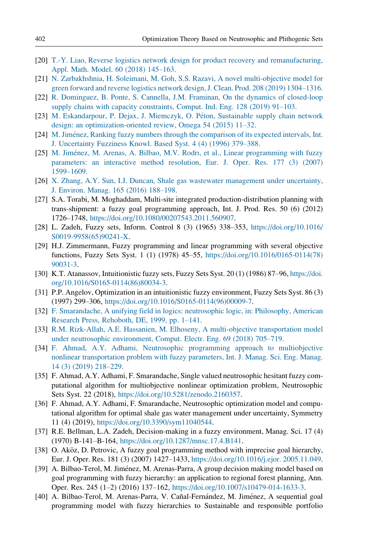- <span id="page-59-0"></span>[20] [T.-Y. Liao, Reverse logistics network design for product recovery and remanufacturing,](http://refhub.elsevier.com/B978-0-12-819670-0.00015-9/rf0105) [Appl. Math. Model. 60 \(2018\) 145](http://refhub.elsevier.com/B978-0-12-819670-0.00015-9/rf0105)–163.
- [21] [N. Zarbakhshnia, H. Soleimani, M. Goh, S.S. Razavi, A novel multi-objective model for](http://refhub.elsevier.com/B978-0-12-819670-0.00015-9/rf0110) [green forward and reverse logistics network design, J. Clean. Prod. 208 \(2019\) 1304](http://refhub.elsevier.com/B978-0-12-819670-0.00015-9/rf0110)–1316.
- [22] [R. Dominguez, B. Ponte, S. Cannella, J.M. Framinan, On the dynamics of closed-loop](http://refhub.elsevier.com/B978-0-12-819670-0.00015-9/rf0115) [supply chains with capacity constraints, Comput. Ind. Eng. 128 \(2019\) 91](http://refhub.elsevier.com/B978-0-12-819670-0.00015-9/rf0115)–103.
- [23] [M. Eskandarpour, P. Dejax, J. Miemczyk, O. P](http://refhub.elsevier.com/B978-0-12-819670-0.00015-9/rf0120)éton, Sustainable supply chain network [design: an optimization-oriented review, Omega 54 \(2015\) 11](http://refhub.elsevier.com/B978-0-12-819670-0.00015-9/rf0120)–32.
- [24] [M. Jim](http://refhub.elsevier.com/B978-0-12-819670-0.00015-9/rf0125)é[nez, Ranking fuzzy numbers through the comparison of its expected intervals, Int.](http://refhub.elsevier.com/B978-0-12-819670-0.00015-9/rf0125) [J. Uncertainty Fuzziness Knowl. Based Syst. 4 \(4\) \(1996\) 379](http://refhub.elsevier.com/B978-0-12-819670-0.00015-9/rf0125)–388.
- [25] [M. Jim](http://refhub.elsevier.com/B978-0-12-819670-0.00015-9/rf0130)énez, M. Arenas, A. Bilbao, M.V. Rodrı[, et al., Linear programming with fuzzy](http://refhub.elsevier.com/B978-0-12-819670-0.00015-9/rf0130) [parameters: an interactive method resolution, Eur. J. Oper. Res. 177 \(3\) \(2007\)](http://refhub.elsevier.com/B978-0-12-819670-0.00015-9/rf0130) 1599–[1609.](http://refhub.elsevier.com/B978-0-12-819670-0.00015-9/rf0130)
- [26] [X. Zhang, A.Y. Sun, I.J. Duncan, Shale gas wastewater management under uncertainty,](http://refhub.elsevier.com/B978-0-12-819670-0.00015-9/rf0135) [J. Environ. Manag. 165 \(2016\) 188](http://refhub.elsevier.com/B978-0-12-819670-0.00015-9/rf0135)–198.
- [27] S.A. Torabi, M. Moghaddam, Multi-site integrated production-distribution planning with trans-shipment: a fuzzy goal programming approach, Int. J. Prod. Res. 50 (6) (2012) 1726–1748, <https://doi.org/10.1080/00207543.2011.560907>.
- [28] L. Zadeh, Fuzzy sets, Inform. Control 8 (3) (1965) 338–353, [https://doi.org/10.1016/](https://doi.org/10.1016/S0019-9958(65)90241-X) [S0019-9958\(65\)90241-X](https://doi.org/10.1016/S0019-9958(65)90241-X).
- [29] H.J. Zimmermann, Fuzzy programming and linear programming with several objective functions, Fuzzy Sets Syst. 1 (1) (1978) 45–55, [https://doi.org/10.1016/0165-0114\(78\)](https://doi.org/10.1016/0165-0114(78)90031-3) [90031-3.](https://doi.org/10.1016/0165-0114(78)90031-3)
- [30] K.T. Atanassov, Intuitionistic fuzzy sets, Fuzzy Sets Syst. 20 (1) (1986) 87–96, [https://doi.](https://doi.org/10.1016/S0165-0114(86)80034-3) [org/10.1016/S0165-0114\(86\)80034-3.](https://doi.org/10.1016/S0165-0114(86)80034-3)
- [31] P.P. Angelov, Optimization in an intuitionistic fuzzy environment, Fuzzy Sets Syst. 86 (3) (1997) 299–306, [https://doi.org/10.1016/S0165-0114\(96\)00009-7](https://doi.org/10.1016/S0165-0114(96)00009-7).
- [32] [F. Smarandache, A unifying field in logics: neutrosophic logic, in: Philosophy, American](http://refhub.elsevier.com/B978-0-12-819670-0.00015-9/rf0165) [Research Press, Rehoboth, DE, 1999, pp. 1](http://refhub.elsevier.com/B978-0-12-819670-0.00015-9/rf0165)–141.
- [33] [R.M. Rizk-Allah, A.E. Hassanien, M. Elhoseny, A multi-objective transportation model](http://refhub.elsevier.com/B978-0-12-819670-0.00015-9/rf0170) [under neutrosophic environment, Comput. Electr. Eng. 69 \(2018\) 705](http://refhub.elsevier.com/B978-0-12-819670-0.00015-9/rf0170)–719.
- [34] [F. Ahmad, A.Y. Adhami, Neutrosophic programming approach to multiobjective](http://refhub.elsevier.com/B978-0-12-819670-0.00015-9/rf0175) [nonlinear transportation problem with fuzzy parameters, Int. J. Manag. Sci. Eng. Manag.](http://refhub.elsevier.com/B978-0-12-819670-0.00015-9/rf0175) [14 \(3\) \(2019\) 218](http://refhub.elsevier.com/B978-0-12-819670-0.00015-9/rf0175)–229.
- [35] F. Ahmad, A.Y. Adhami, F. Smarandache, Single valued neutrosophic hesitant fuzzy computational algorithm for multiobjective nonlinear optimization problem, Neutrosophic Sets Syst. 22 (2018), [https://doi.org/10.5281/zenodo.2160357.](https://doi.org/10.5281/zenodo.2160357)
- [36] F. Ahmad, A.Y. Adhami, F. Smarandache, Neutrosophic optimization model and computational algorithm for optimal shale gas water management under uncertainty, Symmetry 11 (4) (2019), <https://doi.org/10.3390/sym11040544>.
- [37] R.E. Bellman, L.A. Zadeh, Decision-making in a fuzzy environment, Manag. Sci. 17 (4) (1970) B-141–B-164, <https://doi.org/10.1287/mnsc.17.4.B141>.
- [38] O. Aköz, D. Petrovic, A fuzzy goal programming method with imprecise goal hierarchy, Eur. J. Oper. Res. 181 (3) (2007) 1427–1433, [https://doi.org/10.1016/j.ejor. 2005.11.049.](https://doi.org/10.1016/j.ejor.2005.11.049)
- [39] A. Bilbao-Terol, M. Jiménez, M. Arenas-Parra, A group decision making model based on goal programming with fuzzy hierarchy: an application to regional forest planning, Ann. Oper. Res. 245 (1–2) (2016) 137–162, [https://doi.org/10.1007/s10479-014-1633-3.](https://doi.org/10.1007/s10479-014-1633-3)
- [40] A. Bilbao-Terol, M. Arenas-Parra, V. Cañal-Fernández, M. Jiménez, A sequential goal programming model with fuzzy hierarchies to Sustainable and responsible portfolio